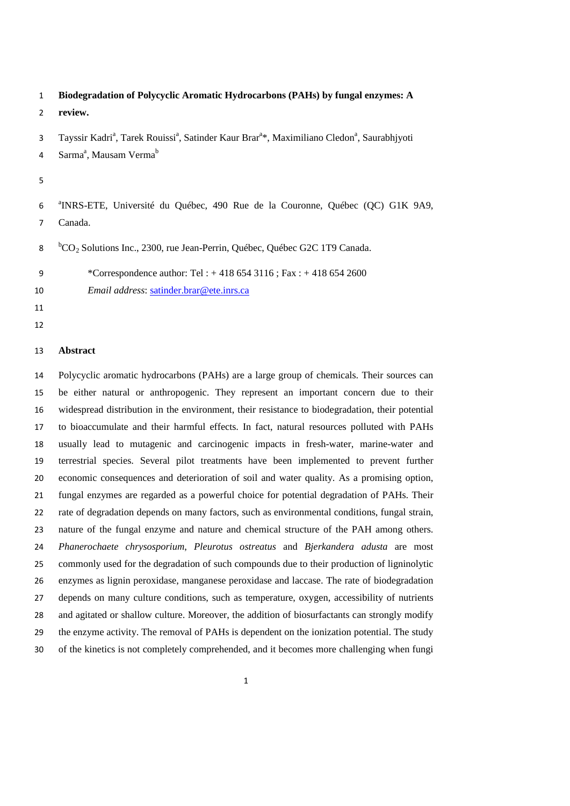**Biodegradation of Polycyclic Aromatic Hydrocarbons (PAHs) by fungal enzymes: A** 

- **review.**
- 3 Tayssir Kadri<sup>a</sup>, Tarek Rouissi<sup>a</sup>, Satinder Kaur Brar<sup>a\*</sup>, Maximiliano Cledon<sup>a</sup>, Saurabhjyoti
- 4 Sarma<sup>a</sup>, Mausam Verma<sup>b</sup>
- 
- <sup>a</sup> INRS-ETE, Université du Québec, 490 Rue de la Couronne, Québec (QC) G1K 9A9, Canada.
- 8 bCO<sub>2</sub> Solutions Inc., 2300, rue Jean-Perrin, Québec, Québec G2C 1T9 Canada.
- \*Correspondence author: Tel : + 418 654 3116 ; Fax : + 418 654 2600
- *Email address*: [satinder.brar@ete.inrs.ca](mailto:satinder.brar@ete.inrs.ca)
- 
- 

# **Abstract**

 Polycyclic aromatic hydrocarbons (PAHs) are a large group of chemicals. Their sources can be either natural or anthropogenic. They represent an important concern due to their widespread distribution in the environment, their resistance to biodegradation, their potential to bioaccumulate and their harmful effects. In fact, natural resources polluted with PAHs usually lead to mutagenic and carcinogenic impacts in fresh-water, marine-water and terrestrial species. Several pilot treatments have been implemented to prevent further economic consequences and deterioration of soil and water quality. As a promising option, fungal enzymes are regarded as a powerful choice for potential degradation of PAHs. Their rate of degradation depends on many factors, such as environmental conditions, fungal strain, nature of the fungal enzyme and nature and chemical structure of the PAH among others. *Phanerochaete chrysosporium*, *Pleurotus ostreatus* and *Bjerkandera adusta* are most commonly used for the degradation of such compounds due to their production of ligninolytic enzymes as lignin peroxidase, manganese peroxidase and laccase. The rate of biodegradation depends on many culture conditions, such as temperature, oxygen, accessibility of nutrients and agitated or shallow culture. Moreover, the addition of biosurfactants can strongly modify the enzyme activity. The removal of PAHs is dependent on the ionization potential. The study of the kinetics is not completely comprehended, and it becomes more challenging when fungi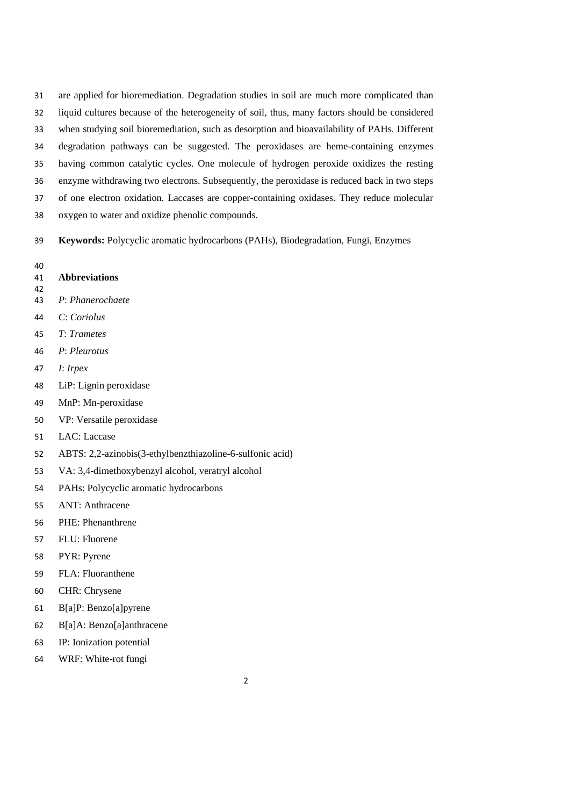are applied for bioremediation. Degradation studies in soil are much more complicated than liquid cultures because of the heterogeneity of soil, thus, many factors should be considered when studying soil bioremediation, such as desorption and bioavailability of PAHs. Different degradation pathways can be suggested. The peroxidases are heme-containing enzymes having common catalytic cycles. One molecule of hydrogen peroxide oxidizes the resting enzyme withdrawing two electrons. Subsequently, the peroxidase is reduced back in two steps of one electron oxidation. Laccases are copper-containing oxidases. They reduce molecular oxygen to water and oxidize phenolic compounds.

**Keywords:** Polycyclic aromatic hydrocarbons (PAHs), Biodegradation, Fungi, Enzymes

- 
- **Abbreviations**
- 
- *P*: *Phanerochaete*
- *C*: *Coriolus*
- *T*: *Trametes*
- *P*: *Pleurotus*
- *I*: *Irpex*
- LiP: Lignin peroxidase
- MnP: Mn-peroxidase
- VP: Versatile peroxidase
- LAC: Laccase
- ABTS: 2,2-azinobis(3-ethylbenzthiazoline-6-sulfonic acid)
- VA: 3,4-dimethoxybenzyl alcohol, veratryl alcohol
- PAHs: Polycyclic aromatic hydrocarbons
- ANT: Anthracene
- PHE: Phenanthrene
- FLU: Fluorene
- PYR: Pyrene
- FLA: Fluoranthene
- CHR: Chrysene
- B[a]P: Benzo[a]pyrene
- B[a]A: Benzo[a]anthracene
- IP: Ionization potential
- WRF: White-rot fungi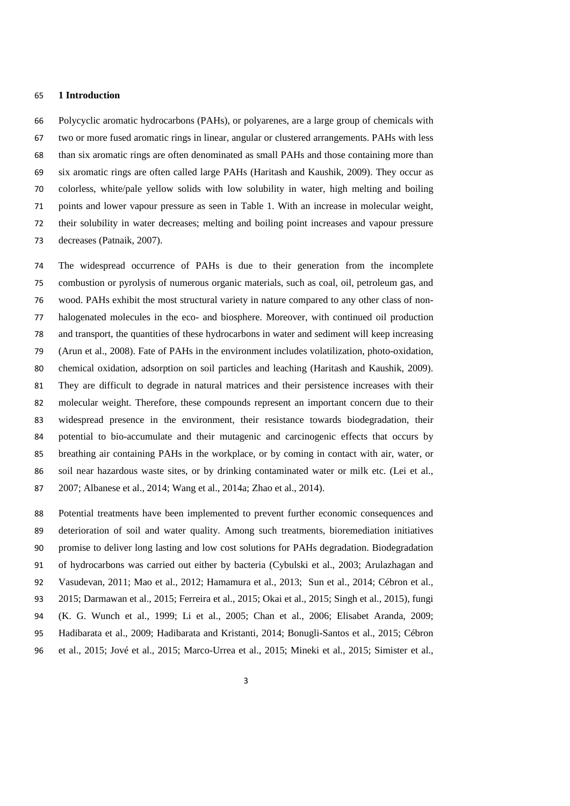#### **1 Introduction**

 Polycyclic aromatic hydrocarbons (PAHs), or polyarenes, are a large group of chemicals with two or more fused aromatic rings in linear, angular or clustered arrangements. PAHs with less than six aromatic rings are often denominated as small PAHs and those containing more than six aromatic rings are often called large PAHs (Haritash and Kaushik, 2009). They occur as colorless, white/pale yellow solids with low solubility in water, high melting and boiling points and lower vapour pressure as seen in Table 1. With an increase in molecular weight, their solubility in water decreases; melting and boiling point increases and vapour pressure decreases (Patnaik, 2007).

 The widespread occurrence of PAHs is due to their generation from the incomplete combustion or pyrolysis of numerous organic materials, such as coal, oil, petroleum gas, and wood. PAHs exhibit the most structural variety in nature compared to any other class of non- halogenated molecules in the eco- and biosphere. Moreover, with continued oil production and transport, the quantities of these hydrocarbons in water and sediment will keep increasing (Arun et al., 2008). Fate of PAHs in the environment includes volatilization, photo-oxidation, chemical oxidation, adsorption on soil particles and leaching (Haritash and Kaushik, 2009). They are difficult to degrade in natural matrices and their persistence increases with their molecular weight. Therefore, these compounds represent an important concern due to their widespread presence in the environment, their resistance towards biodegradation, their potential to bio-accumulate and their mutagenic and carcinogenic effects that occurs by breathing air containing PAHs in the workplace, or by coming in contact with air, water, or soil near hazardous waste sites, or by drinking contaminated water or milk etc. (Lei et al., 2007; Albanese et al., 2014; Wang et al., 2014a; Zhao et al., 2014).

 Potential treatments have been implemented to prevent further economic consequences and deterioration of soil and water quality. Among such treatments, bioremediation initiatives promise to deliver long lasting and low cost solutions for PAHs degradation. Biodegradation of hydrocarbons was carried out either by bacteria (Cybulski et al., 2003; Arulazhagan and Vasudevan, 2011; Mao et al., 2012; Hamamura et al., 2013; Sun et al., 2014; Cébron et al., 2015; Darmawan et al., 2015; Ferreira et al., 2015; Okai et al., 2015; Singh et al., 2015), fungi (K. G. Wunch et al., 1999; Li et al., 2005; Chan et al., 2006; Elisabet Aranda, 2009; Hadibarata et al., 2009; Hadibarata and Kristanti, 2014; Bonugli-Santos et al., 2015; Cébron et al., 2015; Jové et al., 2015; Marco-Urrea et al., 2015; Mineki et al., 2015; Simister et al.,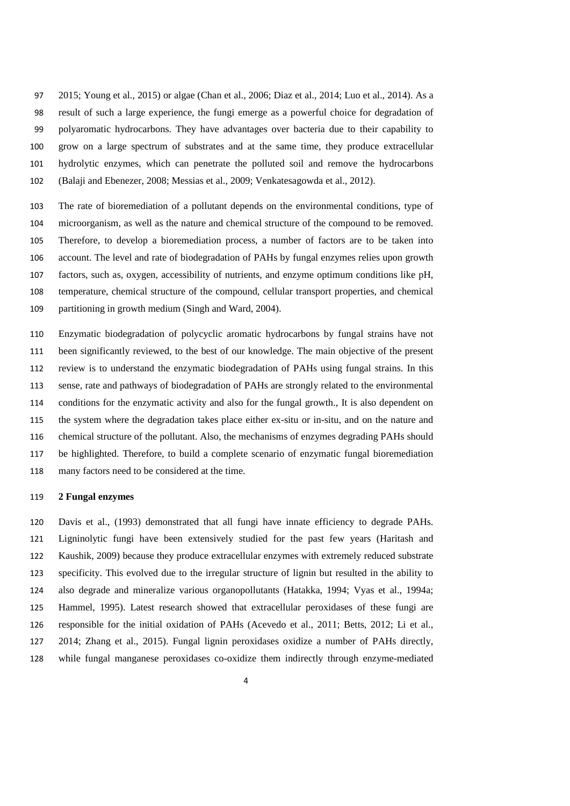2015; Young et al., 2015) or algae (Chan et al., 2006; Diaz et al., 2014; Luo et al., 2014). As a result of such a large experience, the fungi emerge as a powerful choice for degradation of polyaromatic hydrocarbons. They have advantages over bacteria due to their capability to grow on a large spectrum of substrates and at the same time, they produce extracellular hydrolytic enzymes, which can penetrate the polluted soil and remove the hydrocarbons (Balaji and Ebenezer, 2008; Messias et al., 2009; Venkatesagowda et al., 2012).

 The rate of bioremediation of a pollutant depends on the environmental conditions, type of microorganism, as well as the nature and chemical structure of the compound to be removed. Therefore, to develop a bioremediation process, a number of factors are to be taken into account. The level and rate of biodegradation of PAHs by fungal enzymes relies upon growth factors, such as, oxygen, accessibility of nutrients, and enzyme optimum conditions like pH, temperature, chemical structure of the compound, cellular transport properties, and chemical partitioning in growth medium (Singh and Ward, 2004).

 Enzymatic biodegradation of polycyclic aromatic hydrocarbons by fungal strains have not been significantly reviewed, to the best of our knowledge. The main objective of the present review is to understand the enzymatic biodegradation of PAHs using fungal strains. In this sense, rate and pathways of biodegradation of PAHs are strongly related to the environmental conditions for the enzymatic activity and also for the fungal growth., It is also dependent on the system where the degradation takes place either ex-situ or in-situ, and on the nature and chemical structure of the pollutant. Also, the mechanisms of enzymes degrading PAHs should be highlighted. Therefore, to build a complete scenario of enzymatic fungal bioremediation many factors need to be considered at the time.

## **2 Fungal enzymes**

 Davis et al., (1993) demonstrated that all fungi have innate efficiency to degrade PAHs. Ligninolytic fungi have been extensively studied for the past few years (Haritash and Kaushik, 2009) because they produce extracellular enzymes with extremely reduced substrate specificity. This evolved due to the irregular structure of lignin but resulted in the ability to also degrade and mineralize various organopollutants (Hatakka, 1994; Vyas et al., 1994a; Hammel, 1995). Latest research showed that extracellular peroxidases of these fungi are responsible for the initial oxidation of PAHs (Acevedo et al., 2011; Betts, 2012; Li et al., 2014; Zhang et al., 2015). Fungal lignin peroxidases oxidize a number of PAHs directly, while fungal manganese peroxidases co-oxidize them indirectly through enzyme-mediated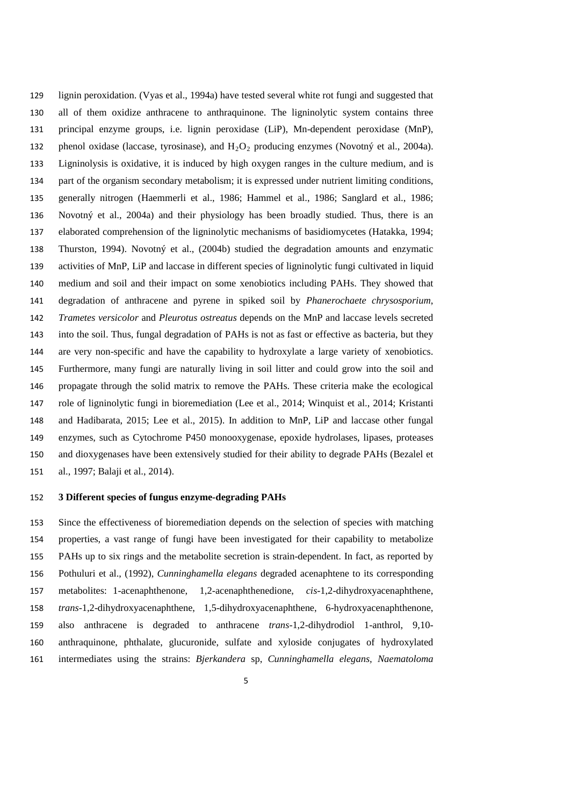lignin peroxidation. (Vyas et al., 1994a) have tested several white rot fungi and suggested that all of them oxidize anthracene to anthraquinone. The ligninolytic system contains three principal enzyme groups, i.e. lignin peroxidase (LiP), Mn-dependent peroxidase (MnP), 132 phenol oxidase (laccase, tyrosinase), and  $H_2O_2$  producing enzymes (Novotný et al., 2004a). Ligninolysis is oxidative, it is induced by high oxygen ranges in the culture medium, and is part of the organism secondary metabolism; it is expressed under nutrient limiting conditions, generally nitrogen (Haemmerli et al., 1986; Hammel et al., 1986; Sanglard et al., 1986; Novotný et al., 2004a) and their physiology has been broadly studied. Thus, there is an elaborated comprehension of the ligninolytic mechanisms of basidiomycetes (Hatakka, 1994; Thurston, 1994). Novotný et al., (2004b) studied the degradation amounts and enzymatic activities of MnP, LiP and laccase in different species of ligninolytic fungi cultivated in liquid medium and soil and their impact on some xenobiotics including PAHs. They showed that degradation of anthracene and pyrene in spiked soil by *Phanerochaete chrysosporium*, *Trametes versicolor* and *Pleurotus ostreatus* depends on the MnP and laccase levels secreted into the soil. Thus, fungal degradation of PAHs is not as fast or effective as bacteria, but they are very non-specific and have the capability to hydroxylate a large variety of xenobiotics. Furthermore, many fungi are naturally living in soil litter and could grow into the soil and propagate through the solid matrix to remove the PAHs. These criteria make the ecological role of ligninolytic fungi in bioremediation (Lee et al., 2014; Winquist et al., 2014; Kristanti and Hadibarata, 2015; Lee et al., 2015). In addition to MnP, LiP and laccase other fungal enzymes, such as Cytochrome P450 monooxygenase, epoxide hydrolases, lipases, proteases and dioxygenases have been extensively studied for their ability to degrade PAHs (Bezalel et al., 1997; Balaji et al., 2014).

## **3 Different species of fungus enzyme-degrading PAHs**

 Since the effectiveness of bioremediation depends on the selection of species with matching properties, a vast range of fungi have been investigated for their capability to metabolize PAHs up to six rings and the metabolite secretion is strain-dependent. In fact, as reported by Pothuluri et al., (1992), *Cunninghamella elegans* degraded acenaphtene to its corresponding metabolites: 1-acenaphthenone, 1,2-acenaphthenedione, *cis*-1,2-dihydroxyacenaphthene, *trans*-1,2-dihydroxyacenaphthene, 1,5-dihydroxyacenaphthene, 6-hydroxyacenaphthenone, also anthracene is degraded to anthracene *trans*-1,2-dihydrodiol 1-anthrol, 9,10- anthraquinone, phthalate, glucuronide, sulfate and xyloside conjugates of hydroxylated intermediates using the strains: *Bjerkandera* sp, *Cunninghamella elegans, Naematoloma*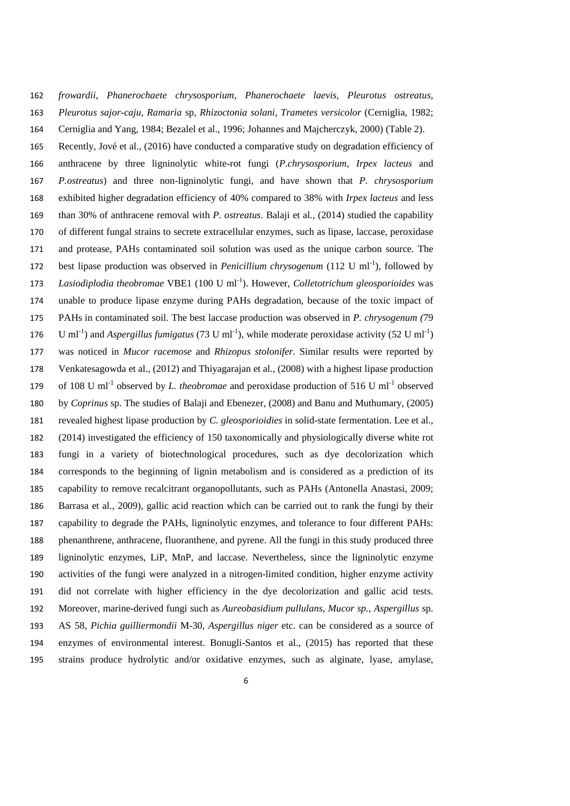*frowardii, Phanerochaete chrysosporium, Phanerochaete laevis, Pleurotus ostreatus, Pleurotus sajor-caju, Ramaria* sp, *Rhizoctonia solani, Trametes versicolor* (Cerniglia, 1982; Cerniglia and Yang, 1984; Bezalel et al., 1996; Johannes and Majcherczyk, 2000) (Table 2).

 Recently, Jové et al., (2016) have conducted a comparative study on degradation efficiency of anthracene by three ligninolytic white-rot fungi (*P.chrysosporium*, *Irpex lacteus* and *P.ostreatus*) and three non-ligninolytic fungi, and have shown that *P. chrysosporium* exhibited higher degradation efficiency of 40% compared to 38% with *Irpex lacteus* and less than 30% of anthracene removal with *P. ostreatus*. Balaji et al., (2014) studied the capability of different fungal strains to secrete extracellular enzymes, such as lipase, laccase, peroxidase and protease, PAHs contaminated soil solution was used as the unique carbon source. The 172 best lipase production was observed in *Penicillium chrysogenum* (112 U ml<sup>-1</sup>), followed by 173 Lasiodiplodia theobromae VBE1 (100 U ml<sup>-1</sup>). However, *Colletotrichum gleosporioides* was unable to produce lipase enzyme during PAHs degradation, because of the toxic impact of PAHs in contaminated soil. The best laccase production was observed in *P. chrysogenum (*79 176 U ml<sup>-1</sup>) and *Aspergillus fumigatus* (73 U ml<sup>-1</sup>), while moderate peroxidase activity (52 U ml<sup>-1</sup>) was noticed in *Mucor racemose* and *Rhizopus stolonifer*. Similar results were reported by Venkatesagowda et al., (2012) and Thiyagarajan et al., (2008) with a highest lipase production 179 of 108 U ml<sup>-1</sup> observed by *L. theobromae* and peroxidase production of 516 U ml<sup>-1</sup> observed by *Coprinus* sp. The studies of Balaji and Ebenezer, (2008) and Banu and Muthumary, (2005) revealed highest lipase production by *C. gleosporioidies* in solid-state fermentation. Lee et al., (2014) investigated the efficiency of 150 taxonomically and physiologically diverse white rot fungi in a variety of biotechnological procedures, such as dye decolorization which corresponds to the beginning of lignin metabolism and is considered as a prediction of its capability to remove recalcitrant organopollutants, such as PAHs (Antonella Anastasi, 2009; Barrasa et al., 2009), gallic acid reaction which can be carried out to rank the fungi by their capability to degrade the PAHs, ligninolytic enzymes, and tolerance to four different PAHs: phenanthrene, anthracene, fluoranthene, and pyrene. All the fungi in this study produced three ligninolytic enzymes, LiP, MnP, and laccase. Nevertheless, since the ligninolytic enzyme activities of the fungi were analyzed in a nitrogen-limited condition, higher enzyme activity did not correlate with higher efficiency in the dye decolorization and gallic acid tests. Moreover, marine-derived fungi such as *Aureobasidium pullulans*, *Mucor sp.*, *Aspergillus* sp. AS 58, *Pichia guilliermondii* M-30, *Aspergillus niger* etc. can be considered as a source of enzymes of environmental interest. Bonugli-Santos et al., (2015) has reported that these strains produce hydrolytic and/or oxidative enzymes, such as alginate, lyase, amylase,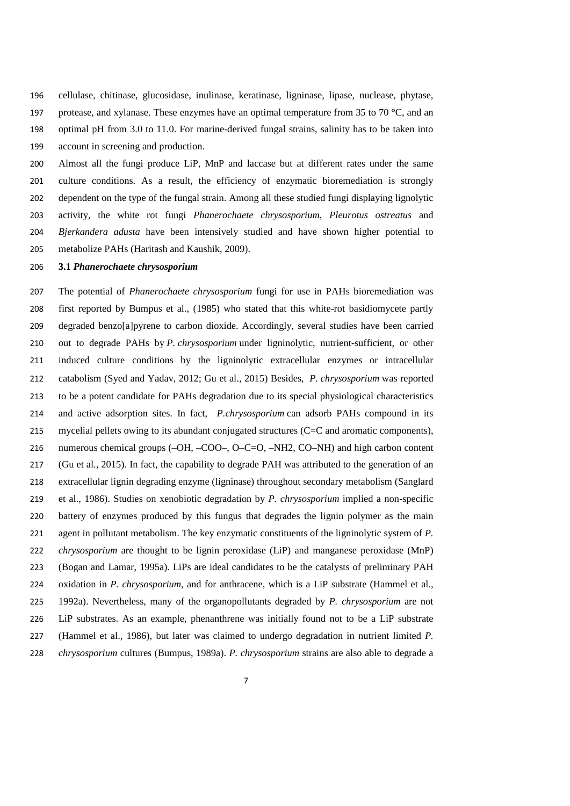cellulase, chitinase, glucosidase, inulinase, keratinase, ligninase, lipase, nuclease, phytase, 197 protease, and xylanase. These enzymes have an optimal temperature from 35 to 70  $^{\circ}$ C, and an optimal pH from 3.0 to 11.0. For marine-derived fungal strains, salinity has to be taken into account in screening and production.

 Almost all the fungi produce LiP, MnP and laccase but at different rates under the same culture conditions. As a result, the efficiency of enzymatic bioremediation is strongly dependent on the type of the fungal strain. Among all these studied fungi displaying lignolytic activity, the white rot fungi *Phanerochaete chrysosporium*, *Pleurotus ostreatus* and *Bjerkandera adusta* have been intensively studied and have shown higher potential to metabolize PAHs (Haritash and Kaushik, 2009).

## **3.1** *Phanerochaete chrysosporium*

 The potential of *Phanerochaete chrysosporium* fungi for use in PAHs bioremediation was first reported by Bumpus et al., (1985) who stated that this white-rot basidiomycete partly degraded benzo[a]pyrene to carbon dioxide. Accordingly, several studies have been carried out to degrade PAHs by *P. chrysosporium* under ligninolytic, nutrient-sufficient, or other induced culture conditions by the ligninolytic extracellular enzymes or intracellular catabolism (Syed and Yadav, 2012; Gu et al., 2015) Besides, *P. chrysosporium* was reported to be a potent candidate for PAHs degradation due to its special physiological characteristics and active adsorption sites. In fact, *P.chrysosporium* can adsorb PAHs compound in its mycelial pellets owing to its abundant conjugated structures (C=C and aromatic components), numerous chemical groups (–OH, –COO–, O–C=O, –NH2, CO–NH) and high carbon content (Gu et al., 2015). In fact, the capability to degrade PAH was attributed to the generation of an extracellular lignin degrading enzyme (ligninase) throughout secondary metabolism (Sanglard et al., 1986). Studies on xenobiotic degradation by *P. chrysosporium* implied a non-specific battery of enzymes produced by this fungus that degrades the lignin polymer as the main agent in pollutant metabolism. The key enzymatic constituents of the ligninolytic system of *P. chrysosporium* are thought to be lignin peroxidase (LiP) and manganese peroxidase (MnP) (Bogan and Lamar, 1995a). LiPs are ideal candidates to be the catalysts of preliminary PAH oxidation in *P. chrysosporium*, and for anthracene, which is a LiP substrate (Hammel et al., 1992a). Nevertheless, many of the organopollutants degraded by *P. chrysosporium* are not LiP substrates. As an example, phenanthrene was initially found not to be a LiP substrate (Hammel et al., 1986), but later was claimed to undergo degradation in nutrient limited *P. chrysosporium* cultures (Bumpus, 1989a). *P. chrysosporium* strains are also able to degrade a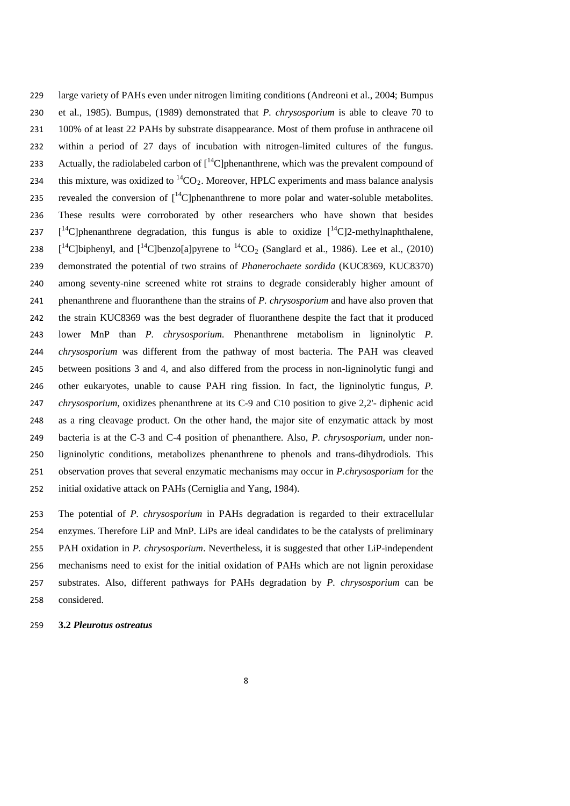large variety of PAHs even under nitrogen limiting conditions (Andreoni et al., 2004; Bumpus et al., 1985). Bumpus, (1989) demonstrated that *P. chrysosporium* is able to cleave 70 to 100% of at least 22 PAHs by substrate disappearance. Most of them profuse in anthracene oil within a period of 27 days of incubation with nitrogen-limited cultures of the fungus. 233 Actually, the radiolabeled carbon of  $I^{14}$ Clphenanthrene, which was the prevalent compound of 234 this mixture, was oxidized to  ${}^{14}CO_2$ . Moreover, HPLC experiments and mass balance analysis 235 revealed the conversion of  $I^{14}C$  phenanthrene to more polar and water-soluble metabolites. These results were corroborated by other researchers who have shown that besides  $\left[ {}^{14}C \right]$ phenanthrene degradation, this fungus is able to oxidize  $\left[ {}^{14}C \right]$ 2-methylnaphthalene,  $\left[ {}^{14}C \right]$ biphenyl, and  $\left[ {}^{14}C \right]$ benzo[a]pyrene to  ${}^{14}CO_2$  (Sanglard et al., 1986). Lee et al., (2010) demonstrated the potential of two strains of *Phanerochaete sordida* (KUC8369, KUC8370) among seventy-nine screened white rot strains to degrade considerably higher amount of phenanthrene and fluoranthene than the strains of *P. chrysosporium* and have also proven that the strain KUC8369 was the best degrader of fluoranthene despite the fact that it produced lower MnP than *P. chrysosporium.* Phenanthrene metabolism in ligninolytic *P. chrysosporium* was different from the pathway of most bacteria. The PAH was cleaved between positions 3 and 4, and also differed from the process in non-ligninolytic fungi and other eukaryotes, unable to cause PAH ring fission. In fact, the ligninolytic fungus, *P. chrysosporium*, oxidizes phenanthrene at its C-9 and C10 position to give 2,2'- diphenic acid as a ring cleavage product. On the other hand, the major site of enzymatic attack by most bacteria is at the C-3 and C-4 position of phenanthere. Also, *P. chrysosporium,* under non- ligninolytic conditions, metabolizes phenanthrene to phenols and trans-dihydrodiols. This observation proves that several enzymatic mechanisms may occur in *P.chrysosporium* for the initial oxidative attack on PAHs (Cerniglia and Yang, 1984).

 The potential of *P. chrysosporium* in PAHs degradation is regarded to their extracellular enzymes. Therefore LiP and MnP. LiPs are ideal candidates to be the catalysts of preliminary PAH oxidation in *P. chrysosporium*. Nevertheless, it is suggested that other LiP-independent mechanisms need to exist for the initial oxidation of PAHs which are not lignin peroxidase substrates. Also, different pathways for PAHs degradation by *P. chrysosporium* can be considered.

**3.2** *Pleurotus ostreatus*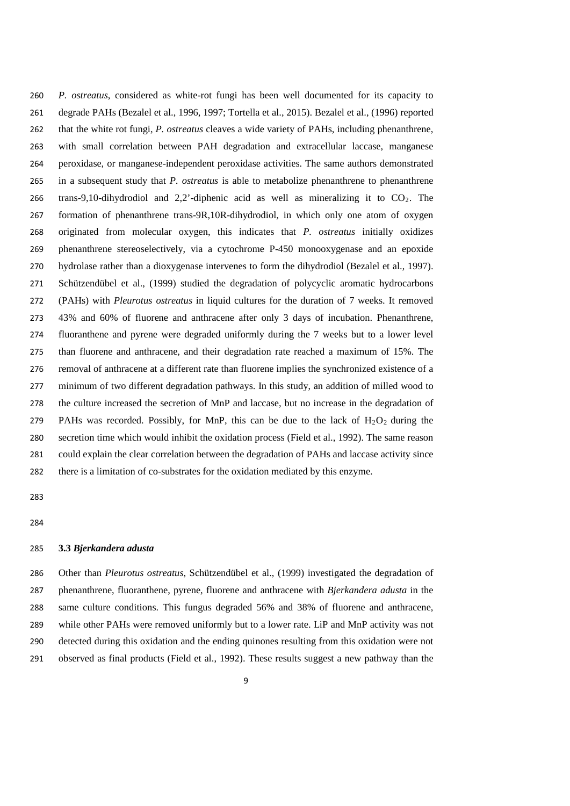*P. ostreatus*, considered as white-rot fungi has been well documented for its capacity to degrade PAHs (Bezalel et al., 1996, 1997; Tortella et al., 2015). Bezalel et al., (1996) reported that the white rot fungi, *P. ostreatus* cleaves a wide variety of PAHs, including phenanthrene, with small correlation between PAH degradation and extracellular laccase, manganese peroxidase, or manganese-independent peroxidase activities. The same authors demonstrated in a subsequent study that *P. ostreatus* is able to metabolize phenanthrene to phenanthrene 266 trans-9,10-dihydrodiol and 2,2<sup>-</sup>-diphenic acid as well as mineralizing it to  $CO<sub>2</sub>$ . The formation of phenanthrene trans-9R,10R-dihydrodiol, in which only one atom of oxygen originated from molecular oxygen, this indicates that *P. ostreatus* initially oxidizes phenanthrene stereoselectively, via a cytochrome P-450 monooxygenase and an epoxide hydrolase rather than a dioxygenase intervenes to form the dihydrodiol (Bezalel et al., 1997). Schützendübel et al., (1999) studied the degradation of polycyclic aromatic hydrocarbons (PAHs) with *Pleurotus ostreatus* in liquid cultures for the duration of 7 weeks. It removed 43% and 60% of fluorene and anthracene after only 3 days of incubation. Phenanthrene, fluoranthene and pyrene were degraded uniformly during the 7 weeks but to a lower level than fluorene and anthracene, and their degradation rate reached a maximum of 15%. The removal of anthracene at a different rate than fluorene implies the synchronized existence of a minimum of two different degradation pathways. In this study, an addition of milled wood to the culture increased the secretion of MnP and laccase, but no increase in the degradation of 279 PAHs was recorded. Possibly, for MnP, this can be due to the lack of  $H_2O_2$  during the secretion time which would inhibit the oxidation process (Field et al., 1992). The same reason could explain the clear correlation between the degradation of PAHs and laccase activity since there is a limitation of co-substrates for the oxidation mediated by this enzyme.

#### **3.3** *Bjerkandera adusta*

 Other than *Pleurotus ostreatus*, Schützendübel et al., (1999) investigated the degradation of phenanthrene, fluoranthene, pyrene, fluorene and anthracene with *Bjerkandera adusta* in the same culture conditions. This fungus degraded 56% and 38% of fluorene and anthracene, while other PAHs were removed uniformly but to a lower rate. LiP and MnP activity was not detected during this oxidation and the ending quinones resulting from this oxidation were not observed as final products (Field et al., 1992). These results suggest a new pathway than the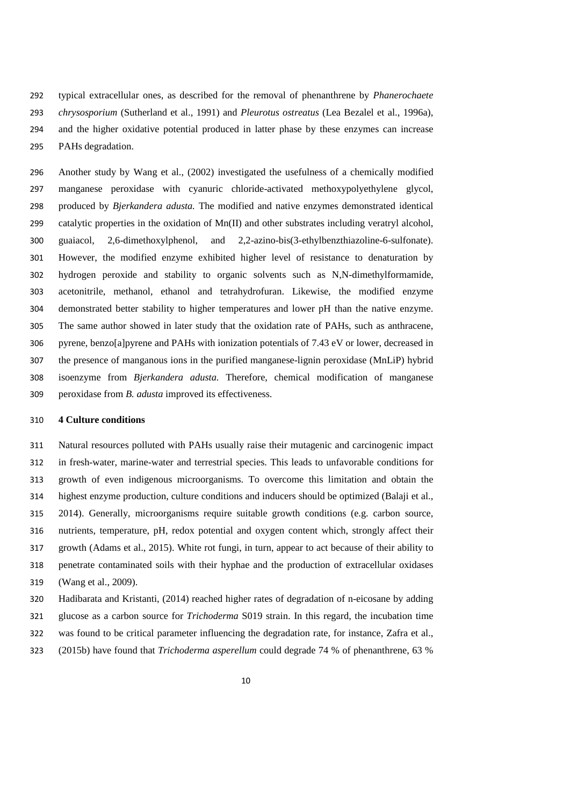typical extracellular ones, as described for the removal of phenanthrene by *Phanerochaete chrysosporium* (Sutherland et al., 1991) and *Pleurotus ostreatus* (Lea Bezalel et al., 1996a), and the higher oxidative potential produced in latter phase by these enzymes can increase PAHs degradation.

 Another study by Wang et al., (2002) investigated the usefulness of a chemically modified manganese peroxidase with cyanuric chloride-activated methoxypolyethylene glycol, produced by *Bjerkandera adusta.* The modified and native enzymes demonstrated identical catalytic properties in the oxidation of Mn(II) and other substrates including veratryl alcohol, guaiacol, 2,6-dimethoxylphenol, and 2,2-azino-bis(3-ethylbenzthiazoline-6-sulfonate). However, the modified enzyme exhibited higher level of resistance to denaturation by hydrogen peroxide and stability to organic solvents such as N,N-dimethylformamide, acetonitrile, methanol, ethanol and tetrahydrofuran. Likewise, the modified enzyme demonstrated better stability to higher temperatures and lower pH than the native enzyme. The same author showed in later study that the oxidation rate of PAHs, such as anthracene, pyrene, benzo[a]pyrene and PAHs with ionization potentials of 7.43 eV or lower, decreased in the presence of manganous ions in the purified manganese-lignin peroxidase (MnLiP) hybrid isoenzyme from *Bjerkandera adusta.* Therefore, chemical modification of manganese peroxidase from *B. adusta* improved its effectiveness.

## **4 Culture conditions**

 Natural resources polluted with PAHs usually raise their mutagenic and carcinogenic impact in fresh-water, marine-water and terrestrial species. This leads to unfavorable conditions for growth of even indigenous microorganisms. To overcome this limitation and obtain the highest enzyme production, culture conditions and inducers should be optimized (Balaji et al., 2014). Generally, microorganisms require suitable growth conditions (e.g. carbon source, nutrients, temperature, pH, redox potential and oxygen content which, strongly affect their growth (Adams et al., 2015). White rot fungi, in turn, appear to act because of their ability to penetrate contaminated soils with their hyphae and the production of extracellular oxidases (Wang et al., 2009).

- Hadibarata and Kristanti, (2014) reached higher rates of degradation of n-eicosane by adding
- glucose as a carbon source for *Trichoderma* S019 strain. In this regard, the incubation time
- was found to be critical parameter influencing the degradation rate, for instance, Zafra et al.,
- (2015b) have found that *Trichoderma asperellum* could degrade 74 % of phenanthrene, 63 %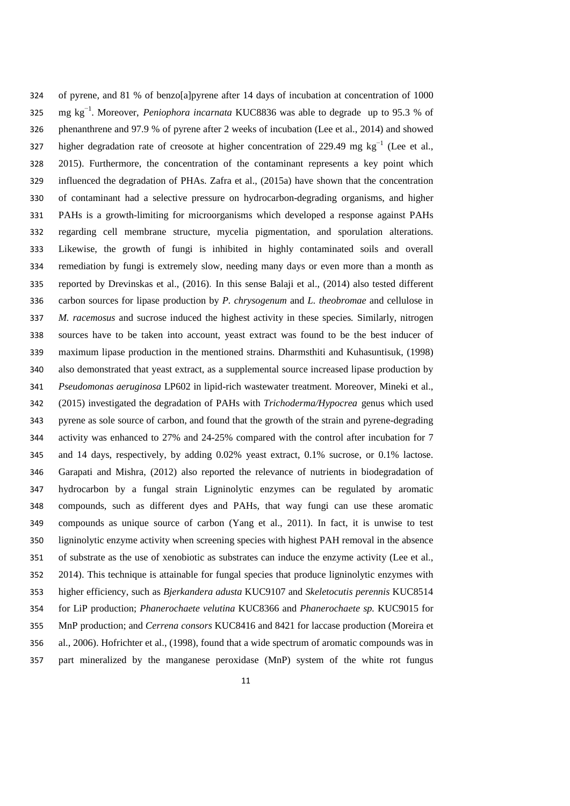of pyrene, and 81 % of benzo[a]pyrene after 14 days of incubation at concentration of 1000 325 mg kg<sup>-1</sup>. Moreover, *Peniophora incarnata* KUC8836 was able to degrade up to 95.3 % of phenanthrene and 97.9 % of pyrene after 2 weeks of incubation (Lee et al., 2014) and showed  $\mu$  higher degradation rate of creosote at higher concentration of 229.49 mg kg<sup>-1</sup> (Lee et al., 2015). Furthermore, the concentration of the contaminant represents a key point which influenced the degradation of PHAs. Zafra et al., (2015a) have shown that the concentration of contaminant had a selective pressure on hydrocarbon-degrading organisms, and higher PAHs is a growth-limiting for microorganisms which developed a response against PAHs regarding cell membrane structure, mycelia pigmentation, and sporulation alterations. Likewise, the growth of fungi is inhibited in highly contaminated soils and overall remediation by fungi is extremely slow, needing many days or even more than a month as reported by Drevinskas et al., (2016). In this sense Balaji et al., (2014) also tested different carbon sources for lipase production by *P. chrysogenum* and *L. theobromae* and cellulose in *M. racemosus* and sucrose induced the highest activity in these species*.* Similarly, nitrogen sources have to be taken into account, yeast extract was found to be the best inducer of maximum lipase production in the mentioned strains. Dharmsthiti and Kuhasuntisuk, (1998) also demonstrated that yeast extract, as a supplemental source increased lipase production by *Pseudomonas aeruginosa* LP602 in lipid-rich wastewater treatment. Moreover, Mineki et al., (2015) investigated the degradation of PAHs with *Trichoderma/Hypocrea* genus which used pyrene as sole source of carbon, and found that the growth of the strain and pyrene-degrading activity was enhanced to 27% and 24-25% compared with the control after incubation for 7 and 14 days, respectively, by adding 0.02% yeast extract, 0.1% sucrose, or 0.1% lactose. Garapati and Mishra, (2012) also reported the relevance of nutrients in biodegradation of hydrocarbon by a fungal strain Ligninolytic enzymes can be regulated by aromatic compounds, such as different dyes and PAHs, that way fungi can use these aromatic compounds as unique source of carbon (Yang et al., 2011). In fact, it is unwise to test ligninolytic enzyme activity when screening species with highest PAH removal in the absence of substrate as the use of xenobiotic as substrates can induce the enzyme activity (Lee et al., 2014). This technique is attainable for fungal species that produce ligninolytic enzymes with higher efficiency, such as *Bjerkandera adusta* KUC9107 and *Skeletocutis perennis* KUC8514 for LiP production; *Phanerochaete velutina* KUC8366 and *Phanerochaete sp.* KUC9015 for MnP production; and *Cerrena consors* KUC8416 and 8421 for laccase production (Moreira et al., 2006). Hofrichter et al., (1998), found that a wide spectrum of aromatic compounds was in part mineralized by the manganese peroxidase (MnP) system of the white rot fungus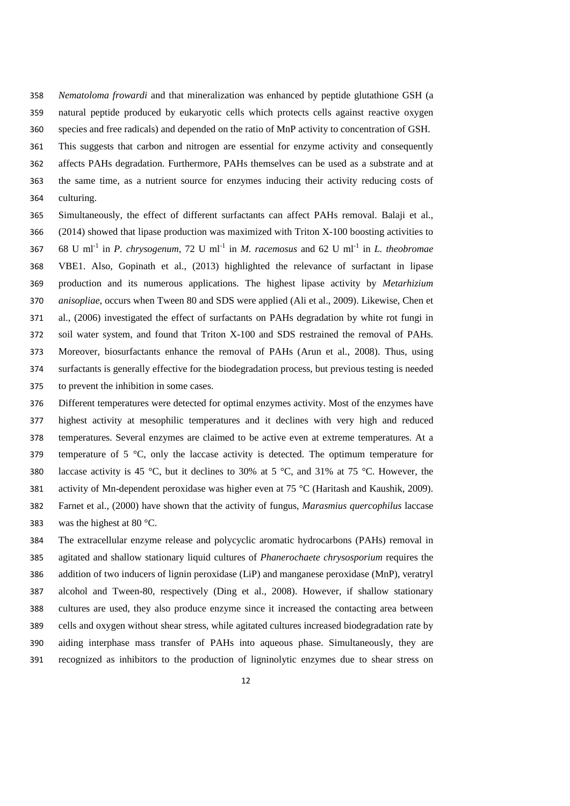*Nematoloma frowardi* and that mineralization was enhanced by peptide glutathione GSH (a natural peptide produced by eukaryotic cells which protects cells against reactive oxygen species and free radicals) and depended on the ratio of MnP activity to concentration of GSH.

 This suggests that carbon and nitrogen are essential for enzyme activity and consequently affects PAHs degradation. Furthermore, PAHs themselves can be used as a substrate and at the same time, as a nutrient source for enzymes inducing their activity reducing costs of

culturing.

 Simultaneously, the effect of different surfactants can affect PAHs removal. Balaji et al., (2014) showed that lipase production was maximized with Triton X-100 boosting activities to 68 U ml<sup>-1</sup> in *P. chrysogenum,*  $72 \text{ U ml}^{-1}$  in *M. racemosus* and  $62 \text{ U ml}^{-1}$  in *L. theobromae*  VBE1. Also, Gopinath et al., (2013) highlighted the relevance of surfactant in lipase production and its numerous applications. The highest lipase activity by *Metarhizium anisopliae*, occurs when Tween 80 and SDS were applied (Ali et al., 2009). Likewise, Chen et al., (2006) investigated the effect of surfactants on PAHs degradation by white rot fungi in soil water system, and found that Triton X-100 and SDS restrained the removal of PAHs. Moreover, biosurfactants enhance the removal of PAHs (Arun et al., 2008). Thus, using surfactants is generally effective for the biodegradation process, but previous testing is needed to prevent the inhibition in some cases.

 Different temperatures were detected for optimal enzymes activity. Most of the enzymes have highest activity at mesophilic temperatures and it declines with very high and reduced temperatures. Several enzymes are claimed to be active even at extreme temperatures. At a 379 temperature of  $5 \degree C$ , only the laccase activity is detected. The optimum temperature for 380 laccase activity is 45 °C, but it declines to 30% at 5 °C, and 31% at 75 °C. However, the 381 activity of Mn-dependent peroxidase was higher even at 75  $\degree$ C (Haritash and Kaushik, 2009). Farnet et al., (2000) have shown that the activity of fungus, *Marasmius quercophilus* laccase 383 was the highest at 80  $\degree$ C.

 The extracellular enzyme release and polycyclic aromatic hydrocarbons (PAHs) removal in agitated and shallow stationary liquid cultures of *Phanerochaete chrysosporium* requires the addition of two inducers of lignin peroxidase (LiP) and manganese peroxidase (MnP), veratryl alcohol and Tween-80, respectively (Ding et al., 2008). However, if shallow stationary cultures are used, they also produce enzyme since it increased the contacting area between cells and oxygen without shear stress, while agitated cultures increased biodegradation rate by aiding interphase mass transfer of PAHs into aqueous phase. Simultaneously, they are recognized as inhibitors to the production of ligninolytic enzymes due to shear stress on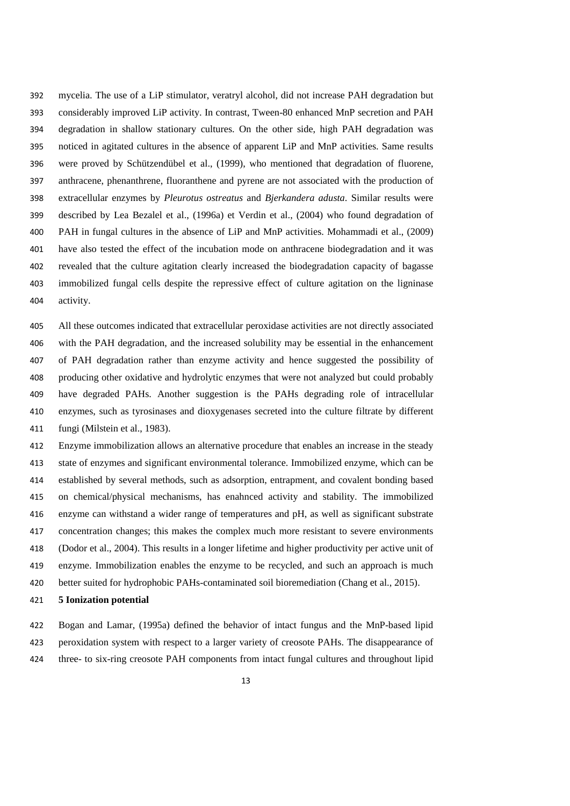mycelia. The use of a LiP stimulator, veratryl alcohol, did not increase PAH degradation but considerably improved LiP activity. In contrast, Tween-80 enhanced MnP secretion and PAH degradation in shallow stationary cultures. On the other side, high PAH degradation was noticed in agitated cultures in the absence of apparent LiP and MnP activities. Same results were proved by Schützendübel et al., (1999), who mentioned that degradation of fluorene, anthracene, phenanthrene, fluoranthene and pyrene are not associated with the production of extracellular enzymes by *Pleurotus ostreatus* and *Bjerkandera adusta*. Similar results were described by Lea Bezalel et al., (1996a) et Verdin et al., (2004) who found degradation of PAH in fungal cultures in the absence of LiP and MnP activities. Mohammadi et al., (2009) have also tested the effect of the incubation mode on anthracene biodegradation and it was revealed that the culture agitation clearly increased the biodegradation capacity of bagasse immobilized fungal cells despite the repressive effect of culture agitation on the ligninase activity.

 All these outcomes indicated that extracellular peroxidase activities are not directly associated with the PAH degradation, and the increased solubility may be essential in the enhancement of PAH degradation rather than enzyme activity and hence suggested the possibility of producing other oxidative and hydrolytic enzymes that were not analyzed but could probably have degraded PAHs. Another suggestion is the PAHs degrading role of intracellular enzymes, such as tyrosinases and dioxygenases secreted into the culture filtrate by different fungi (Milstein et al., 1983).

 Enzyme immobilization allows an alternative procedure that enables an increase in the steady state of enzymes and significant environmental tolerance. Immobilized enzyme, which can be established by several methods, such as adsorption, entrapment, and covalent bonding based on chemical/physical mechanisms, has enahnced activity and stability. The immobilized enzyme can withstand a wider range of temperatures and pH, as well as significant substrate concentration changes; this makes the complex much more resistant to severe environments (Dodor et al., 2004). This results in a longer lifetime and higher productivity per active unit of enzyme. Immobilization enables the enzyme to be recycled, and such an approach is much better suited for hydrophobic PAHs-contaminated soil bioremediation (Chang et al., 2015).

#### **5 Ionization potential**

 Bogan and Lamar, (1995a) defined the behavior of intact fungus and the MnP-based lipid peroxidation system with respect to a larger variety of creosote PAHs. The disappearance of three- to six-ring creosote PAH components from intact fungal cultures and throughout lipid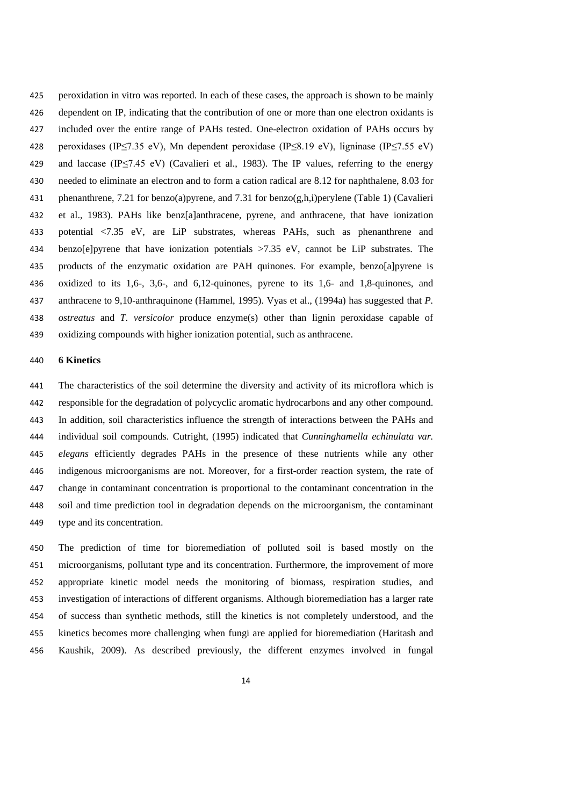peroxidation in vitro was reported. In each of these cases, the approach is shown to be mainly dependent on IP, indicating that the contribution of one or more than one electron oxidants is included over the entire range of PAHs tested. One-electron oxidation of PAHs occurs by peroxidases (IP≤7.35 eV), Mn dependent peroxidase (IP≤8.19 eV), ligninase (IP≤7.55 eV) 429 and laccase (IP≤7.45 eV) (Cavalieri et al., 1983). The IP values, referring to the energy needed to eliminate an electron and to form a cation radical are 8.12 for naphthalene, 8.03 for phenanthrene, 7.21 for benzo(a)pyrene, and 7.31 for benzo(g,h,i)perylene (Table 1) (Cavalieri et al., 1983). PAHs like benz[a]anthracene, pyrene, and anthracene, that have ionization potential <7.35 eV, are LiP substrates, whereas PAHs, such as phenanthrene and benzo[e]pyrene that have ionization potentials >7.35 eV, cannot be LiP substrates. The products of the enzymatic oxidation are PAH quinones. For example, benzo[a]pyrene is oxidized to its 1,6-, 3,6-, and 6,12-quinones, pyrene to its 1,6- and 1,8-quinones, and anthracene to 9,10-anthraquinone (Hammel, 1995). Vyas et al., (1994a) has suggested that *P. ostreatus* and *T. versicolor* produce enzyme(s) other than lignin peroxidase capable of oxidizing compounds with higher ionization potential, such as anthracene.

# **6 Kinetics**

 The characteristics of the soil determine the diversity and activity of its microflora which is responsible for the degradation of polycyclic aromatic hydrocarbons and any other compound. In addition, soil characteristics influence the strength of interactions between the PAHs and individual soil compounds. Cutright, (1995) indicated that *Cunninghamella echinulata var. elegans* efficiently degrades PAHs in the presence of these nutrients while any other indigenous microorganisms are not. Moreover, for a first-order reaction system, the rate of change in contaminant concentration is proportional to the contaminant concentration in the soil and time prediction tool in degradation depends on the microorganism, the contaminant type and its concentration.

 The prediction of time for bioremediation of polluted soil is based mostly on the microorganisms, pollutant type and its concentration. Furthermore, the improvement of more appropriate kinetic model needs the monitoring of biomass, respiration studies, and investigation of interactions of different organisms. Although bioremediation has a larger rate of success than synthetic methods, still the kinetics is not completely understood, and the kinetics becomes more challenging when fungi are applied for bioremediation (Haritash and Kaushik, 2009). As described previously, the different enzymes involved in fungal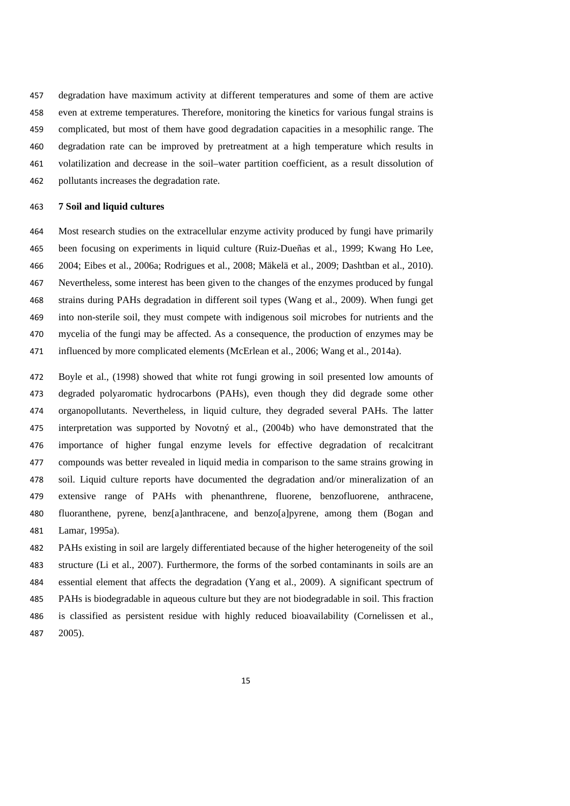degradation have maximum activity at different temperatures and some of them are active even at extreme temperatures. Therefore, monitoring the kinetics for various fungal strains is complicated, but most of them have good degradation capacities in a mesophilic range. The degradation rate can be improved by pretreatment at a high temperature which results in volatilization and decrease in the soil–water partition coefficient, as a result dissolution of pollutants increases the degradation rate.

#### **7 Soil and liquid cultures**

 Most research studies on the extracellular enzyme activity produced by fungi have primarily been focusing on experiments in liquid culture (Ruiz-Dueñas et al., 1999; Kwang Ho Lee, 2004; Eibes et al., 2006a; Rodrigues et al., 2008; Mäkelä et al., 2009; Dashtban et al., 2010). Nevertheless, some interest has been given to the changes of the enzymes produced by fungal strains during PAHs degradation in different soil types (Wang et al., 2009). When fungi get into non-sterile soil, they must compete with indigenous soil microbes for nutrients and the mycelia of the fungi may be affected. As a consequence, the production of enzymes may be influenced by more complicated elements (McErlean et al., 2006; Wang et al., 2014a).

 Boyle et al., (1998) showed that white rot fungi growing in soil presented low amounts of degraded polyaromatic hydrocarbons (PAHs), even though they did degrade some other organopollutants. Nevertheless, in liquid culture, they degraded several PAHs. The latter interpretation was supported by Novotný et al., (2004b) who have demonstrated that the importance of higher fungal enzyme levels for effective degradation of recalcitrant compounds was better revealed in liquid media in comparison to the same strains growing in soil. Liquid culture reports have documented the degradation and/or mineralization of an extensive range of PAHs with phenanthrene, fluorene, benzofluorene, anthracene, fluoranthene, pyrene, benz[a]anthracene, and benzo[a]pyrene, among them (Bogan and Lamar, 1995a).

 PAHs existing in soil are largely differentiated because of the higher heterogeneity of the soil structure (Li et al., 2007). Furthermore, the forms of the sorbed contaminants in soils are an essential element that affects the degradation (Yang et al., 2009). A significant spectrum of PAHs is biodegradable in aqueous culture but they are not biodegradable in soil. This fraction is classified as persistent residue with highly reduced bioavailability (Cornelissen et al., 2005).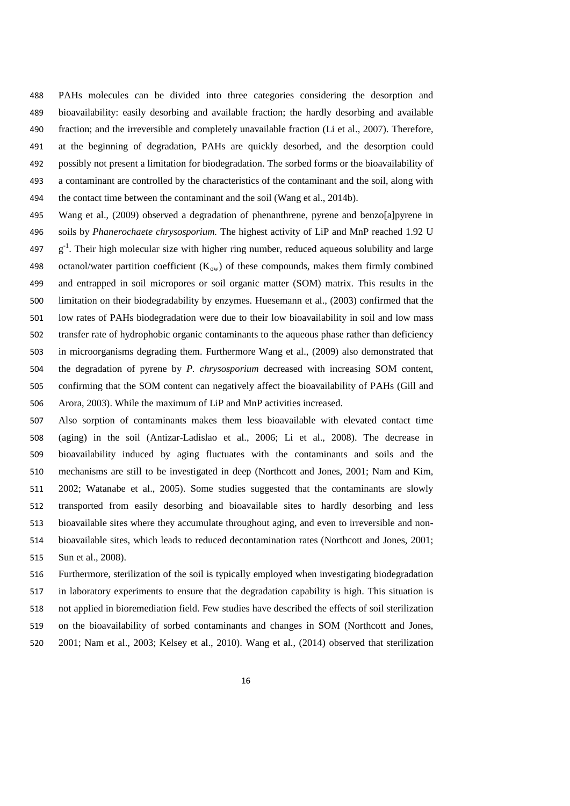PAHs molecules can be divided into three categories considering the desorption and bioavailability: easily desorbing and available fraction; the hardly desorbing and available fraction; and the irreversible and completely unavailable fraction (Li et al., 2007). Therefore, at the beginning of degradation, PAHs are quickly desorbed, and the desorption could possibly not present a limitation for biodegradation. The sorbed forms or the bioavailability of a contaminant are controlled by the characteristics of the contaminant and the soil, along with 494 the contact time between the contaminant and the soil (Wang et al., 2014b).

- Wang et al., (2009) observed a degradation of phenanthrene, pyrene and benzo[a]pyrene in soils by *Phanerochaete chrysosporium.* The highest activity of LiP and MnP reached 1.92 U 497  $g^{-1}$ . Their high molecular size with higher ring number, reduced aqueous solubility and large 498 octanol/water partition coefficient  $(K_{ow})$  of these compounds, makes them firmly combined and entrapped in soil micropores or soil organic matter (SOM) matrix. This results in the limitation on their biodegradability by enzymes. Huesemann et al., (2003) confirmed that the low rates of PAHs biodegradation were due to their low bioavailability in soil and low mass transfer rate of hydrophobic organic contaminants to the aqueous phase rather than deficiency in microorganisms degrading them. Furthermore Wang et al., (2009) also demonstrated that the degradation of pyrene by *P. chrysosporium* decreased with increasing SOM content, confirming that the SOM content can negatively affect the bioavailability of PAHs (Gill and Arora, 2003). While the maximum of LiP and MnP activities increased.
- Also sorption of contaminants makes them less bioavailable with elevated contact time (aging) in the soil (Antizar-Ladislao et al., 2006; Li et al., 2008). The decrease in bioavailability induced by aging fluctuates with the contaminants and soils and the mechanisms are still to be investigated in deep (Northcott and Jones, 2001; Nam and Kim, 2002; Watanabe et al., 2005). Some studies suggested that the contaminants are slowly transported from easily desorbing and bioavailable sites to hardly desorbing and less bioavailable sites where they accumulate throughout aging, and even to irreversible and non- bioavailable sites, which leads to reduced decontamination rates (Northcott and Jones, 2001; Sun et al., 2008).

 Furthermore, sterilization of the soil is typically employed when investigating biodegradation in laboratory experiments to ensure that the degradation capability is high. This situation is not applied in bioremediation field. Few studies have described the effects of soil sterilization on the bioavailability of sorbed contaminants and changes in SOM (Northcott and Jones, 2001; Nam et al., 2003; Kelsey et al., 2010). Wang et al., (2014) observed that sterilization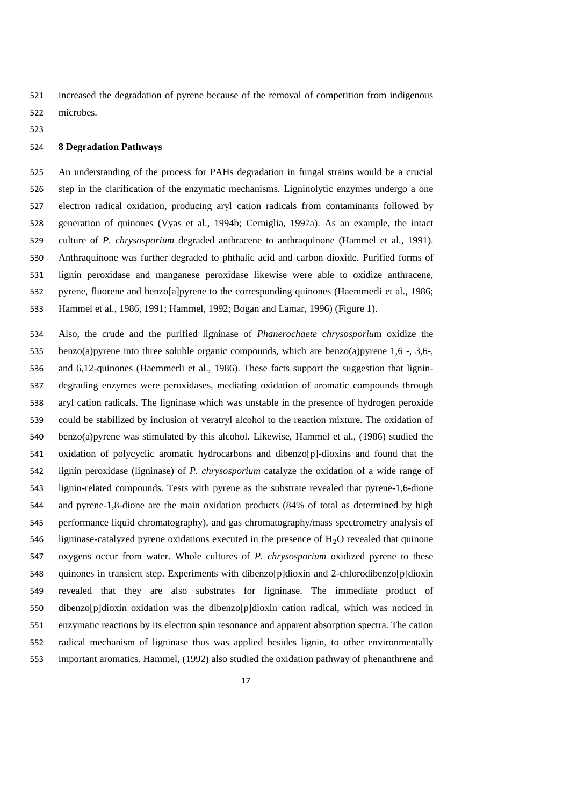increased the degradation of pyrene because of the removal of competition from indigenous microbes.

## **8 Degradation Pathways**

 An understanding of the process for PAHs degradation in fungal strains would be a crucial step in the clarification of the enzymatic mechanisms. Ligninolytic enzymes undergo a one electron radical oxidation, producing aryl cation radicals from contaminants followed by generation of quinones (Vyas et al., 1994b; Cerniglia, 1997a). As an example, the intact culture of *P. chrysosporium* degraded anthracene to anthraquinone (Hammel et al., 1991). Anthraquinone was further degraded to phthalic acid and carbon dioxide. Purified forms of lignin peroxidase and manganese peroxidase likewise were able to oxidize anthracene, pyrene, fluorene and benzo[a]pyrene to the corresponding quinones (Haemmerli et al., 1986; Hammel et al., 1986, 1991; Hammel, 1992; Bogan and Lamar, 1996) (Figure 1).

 Also, the crude and the purified ligninase of *Phanerochaete chrysosporiu*m oxidize the benzo(a)pyrene into three soluble organic compounds, which are benzo(a)pyrene 1,6 -, 3,6-, and 6,12-quinones (Haemmerli et al., 1986). These facts support the suggestion that lignin- degrading enzymes were peroxidases, mediating oxidation of aromatic compounds through aryl cation radicals. The ligninase which was unstable in the presence of hydrogen peroxide could be stabilized by inclusion of veratryl alcohol to the reaction mixture. The oxidation of benzo(a)pyrene was stimulated by this alcohol. Likewise, Hammel et al., (1986) studied the oxidation of polycyclic aromatic hydrocarbons and dibenzo[p]-dioxins and found that the lignin peroxidase (ligninase) of *P. chrysosporium* catalyze the oxidation of a wide range of lignin-related compounds. Tests with pyrene as the substrate revealed that pyrene-1,6-dione and pyrene-1,8-dione are the main oxidation products (84% of total as determined by high performance liquid chromatography), and gas chromatography/mass spectrometry analysis of 546 ligninase-catalyzed pyrene oxidations executed in the presence of  $H_2O$  revealed that quinone oxygens occur from water. Whole cultures of *P. chrysosporium* oxidized pyrene to these quinones in transient step. Experiments with dibenzo[p]dioxin and 2-chlorodibenzo[p]dioxin revealed that they are also substrates for ligninase. The immediate product of dibenzo[p]dioxin oxidation was the dibenzo[p]dioxin cation radical, which was noticed in enzymatic reactions by its electron spin resonance and apparent absorption spectra. The cation radical mechanism of ligninase thus was applied besides lignin, to other environmentally important aromatics. Hammel, (1992) also studied the oxidation pathway of phenanthrene and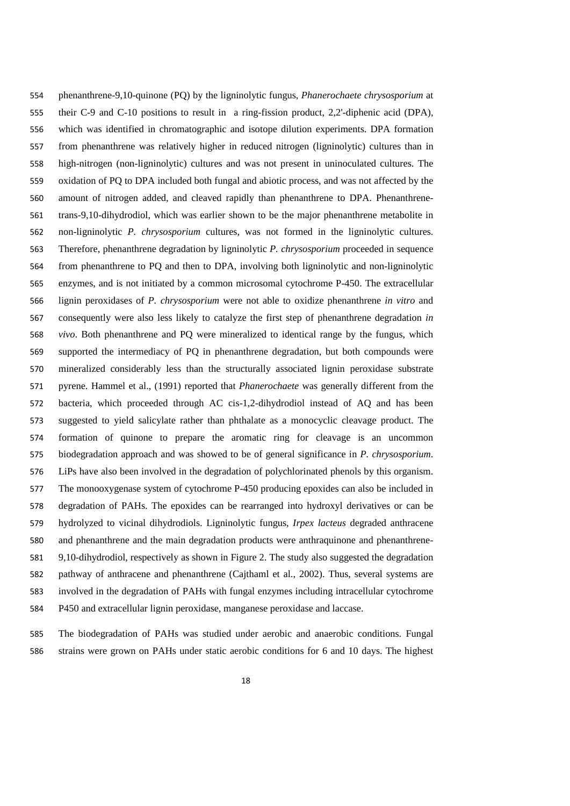phenanthrene-9,10-quinone (PQ) by the ligninolytic fungus, *Phanerochaete chrysosporium* at their C-9 and C-10 positions to result in a ring-fission product, 2,2'-diphenic acid (DPA), which was identified in chromatographic and isotope dilution experiments. DPA formation from phenanthrene was relatively higher in reduced nitrogen (ligninolytic) cultures than in high-nitrogen (non-ligninolytic) cultures and was not present in uninoculated cultures. The oxidation of PQ to DPA included both fungal and abiotic process, and was not affected by the amount of nitrogen added, and cleaved rapidly than phenanthrene to DPA. Phenanthrene- trans-9,10-dihydrodiol, which was earlier shown to be the major phenanthrene metabolite in non-ligninolytic *P. chrysosporium* cultures, was not formed in the ligninolytic cultures. Therefore, phenanthrene degradation by ligninolytic *P. chrysosporium* proceeded in sequence from phenanthrene to PQ and then to DPA, involving both ligninolytic and non-ligninolytic enzymes, and is not initiated by a common microsomal cytochrome P-450. The extracellular lignin peroxidases of *P. chrysosporium* were not able to oxidize phenanthrene *in vitro* and consequently were also less likely to catalyze the first step of phenanthrene degradation *in vivo*. Both phenanthrene and PQ were mineralized to identical range by the fungus, which supported the intermediacy of PQ in phenanthrene degradation, but both compounds were mineralized considerably less than the structurally associated lignin peroxidase substrate pyrene. Hammel et al., (1991) reported that *Phanerochaete* was generally different from the bacteria, which proceeded through AC cis-1,2-dihydrodiol instead of AQ and has been suggested to yield salicylate rather than phthalate as a monocyclic cleavage product. The formation of quinone to prepare the aromatic ring for cleavage is an uncommon biodegradation approach and was showed to be of general significance in *P. chrysosporium*. LiPs have also been involved in the degradation of polychlorinated phenols by this organism. The monooxygenase system of cytochrome P-450 producing epoxides can also be included in degradation of PAHs. The epoxides can be rearranged into hydroxyl derivatives or can be hydrolyzed to vicinal dihydrodiols. Ligninolytic fungus, *Irpex lacteus* degraded anthracene and phenanthrene and the main degradation products were anthraquinone and phenanthrene- 9,10-dihydrodiol, respectively as shown in Figure 2. The study also suggested the degradation pathway of anthracene and phenanthrene (Cajthaml et al., 2002). Thus, several systems are involved in the degradation of PAHs with fungal enzymes including intracellular cytochrome P450 and extracellular lignin peroxidase, manganese peroxidase and laccase.

 The biodegradation of PAHs was studied under aerobic and anaerobic conditions. Fungal strains were grown on PAHs under static aerobic conditions for 6 and 10 days. The highest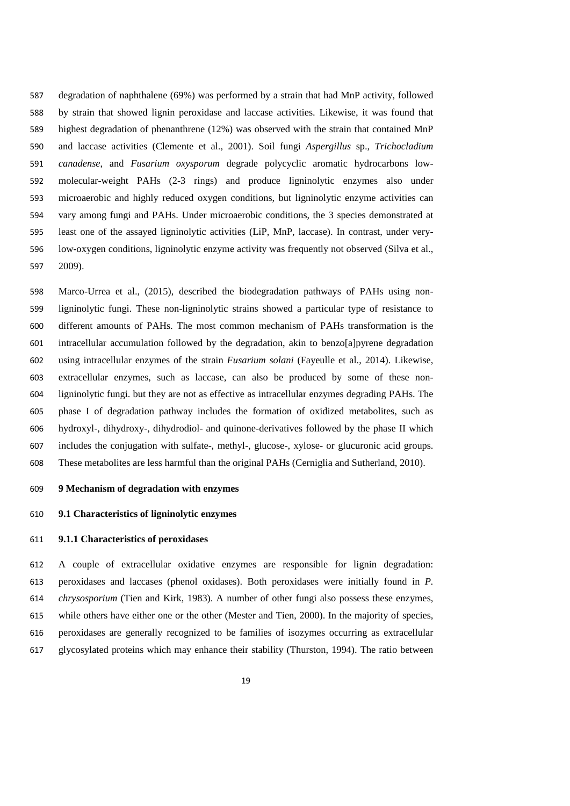degradation of naphthalene (69%) was performed by a strain that had MnP activity, followed by strain that showed lignin peroxidase and laccase activities. Likewise, it was found that highest degradation of phenanthrene (12%) was observed with the strain that contained MnP and laccase activities (Clemente et al., 2001). Soil fungi *Aspergillus* sp., *Trichocladium canadense*, and *Fusarium oxysporum* degrade polycyclic aromatic hydrocarbons low- molecular-weight PAHs (2-3 rings) and produce ligninolytic enzymes also under microaerobic and highly reduced oxygen conditions, but ligninolytic enzyme activities can vary among fungi and PAHs. Under microaerobic conditions, the 3 species demonstrated at least one of the assayed ligninolytic activities (LiP, MnP, laccase). In contrast, under very- low-oxygen conditions, ligninolytic enzyme activity was frequently not observed (Silva et al., 2009).

 Marco-Urrea et al., (2015), described the biodegradation pathways of PAHs using non- ligninolytic fungi. These non-ligninolytic strains showed a particular type of resistance to different amounts of PAHs. The most common mechanism of PAHs transformation is the intracellular accumulation followed by the degradation, akin to benzo[a]pyrene degradation using intracellular enzymes of the strain *Fusarium solani* (Fayeulle et al., 2014). Likewise, extracellular enzymes, such as laccase, can also be produced by some of these non- ligninolytic fungi. but they are not as effective as intracellular enzymes degrading PAHs. The phase I of degradation pathway includes the formation of oxidized metabolites, such as hydroxyl-, dihydroxy-, dihydrodiol- and quinone-derivatives followed by the phase II which includes the conjugation with sulfate-, methyl-, glucose-, xylose- or glucuronic acid groups. These metabolites are less harmful than the original PAHs (Cerniglia and Sutherland, 2010).

## **9 Mechanism of degradation with enzymes**

## **9.1 Characteristics of ligninolytic enzymes**

## **9.1.1 Characteristics of peroxidases**

 A couple of extracellular oxidative enzymes are responsible for lignin degradation: peroxidases and laccases (phenol oxidases). Both peroxidases were initially found in *P. chrysosporium* (Tien and Kirk, 1983). A number of other fungi also possess these enzymes, while others have either one or the other (Mester and Tien, 2000). In the majority of species, peroxidases are generally recognized to be families of isozymes occurring as extracellular glycosylated proteins which may enhance their stability (Thurston, 1994). The ratio between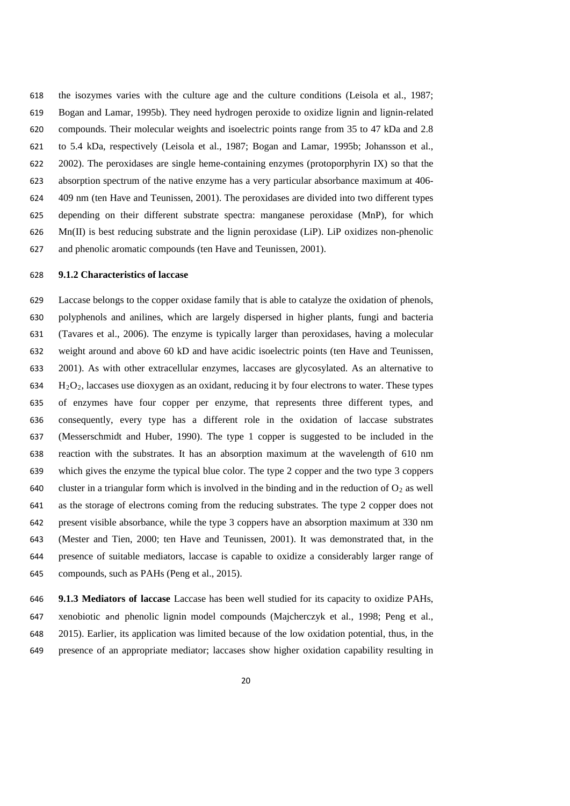the isozymes varies with the culture age and the culture conditions (Leisola et al., 1987; Bogan and Lamar, 1995b). They need hydrogen peroxide to oxidize lignin and lignin-related compounds. Their molecular weights and isoelectric points range from 35 to 47 kDa and 2.8 to 5.4 kDa, respectively (Leisola et al., 1987; Bogan and Lamar, 1995b; Johansson et al., 2002). The peroxidases are single heme-containing enzymes (protoporphyrin IX) so that the absorption spectrum of the native enzyme has a very particular absorbance maximum at 406- 409 nm (ten Have and Teunissen, 2001). The peroxidases are divided into two different types depending on their different substrate spectra: manganese peroxidase (MnP), for which Mn(II) is best reducing substrate and the lignin peroxidase (LiP). LiP oxidizes non-phenolic and phenolic aromatic compounds (ten Have and Teunissen, 2001).

#### **9.1.2 Characteristics of laccase**

 Laccase belongs to the copper oxidase family that is able to catalyze the oxidation of phenols, polyphenols and anilines, which are largely dispersed in higher plants, fungi and bacteria (Tavares et al., 2006). The enzyme is typically larger than peroxidases, having a molecular weight around and above 60 kD and have acidic isoelectric points (ten Have and Teunissen, 2001). As with other extracellular enzymes, laccases are glycosylated. As an alternative to  $H<sub>2</sub>O<sub>2</sub>$ , laccases use dioxygen as an oxidant, reducing it by four electrons to water. These types of enzymes have four copper per enzyme, that represents three different types, and consequently, every type has a different role in the oxidation of laccase substrates (Messerschmidt and Huber, 1990). The type 1 copper is suggested to be included in the reaction with the substrates. It has an absorption maximum at the wavelength of 610 nm which gives the enzyme the typical blue color. The type 2 copper and the two type 3 coppers 640 cluster in a triangular form which is involved in the binding and in the reduction of  $O_2$  as well as the storage of electrons coming from the reducing substrates. The type 2 copper does not present visible absorbance, while the type 3 coppers have an absorption maximum at 330 nm (Mester and Tien, 2000; ten Have and Teunissen, 2001). It was demonstrated that, in the presence of suitable mediators, laccase is capable to oxidize a considerably larger range of compounds, such as PAHs (Peng et al., 2015).

 **9.1.3 Mediators of laccase** Laccase has been well studied for its capacity to oxidize PAHs, xenobiotic and phenolic lignin model compounds (Majcherczyk et al., 1998; Peng et al., 2015). Earlier, its application was limited because of the low oxidation potential, thus, in the presence of an appropriate mediator; laccases show higher oxidation capability resulting in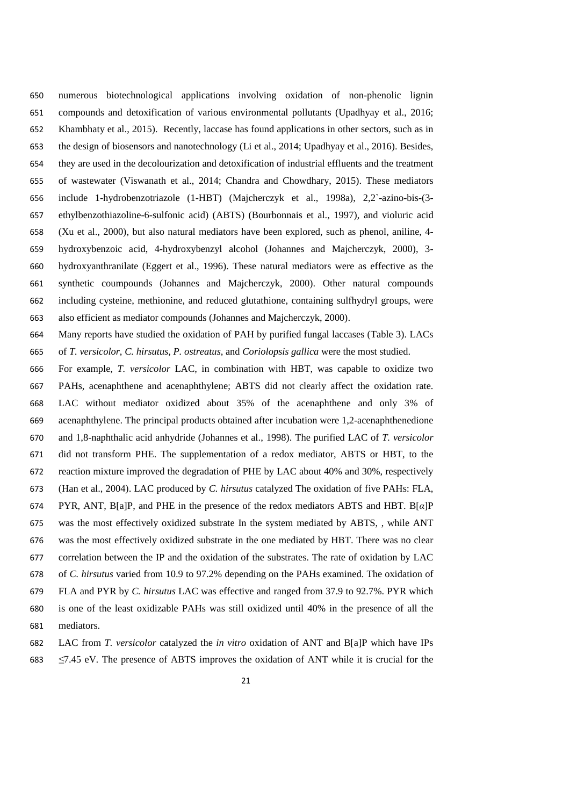numerous biotechnological applications involving oxidation of non-phenolic lignin compounds and detoxification of various environmental pollutants (Upadhyay et al., 2016; Khambhaty et al., 2015). Recently, laccase has found applications in other sectors, such as in the design of biosensors and nanotechnology (Li et al., 2014; Upadhyay et al., 2016). Besides, they are used in the decolourization and detoxification of industrial effluents and the treatment of wastewater (Viswanath et al., 2014; Chandra and Chowdhary, 2015). These mediators include 1-hydrobenzotriazole (1-HBT) (Majcherczyk et al., 1998a), 2,2`-azino-bis-(3- ethylbenzothiazoline-6-sulfonic acid) (ABTS) (Bourbonnais et al., 1997), and violuric acid (Xu et al., 2000), but also natural mediators have been explored, such as phenol, aniline, 4- hydroxybenzoic acid, 4-hydroxybenzyl alcohol (Johannes and Majcherczyk, 2000), 3- hydroxyanthranilate (Eggert et al., 1996). These natural mediators were as effective as the synthetic coumpounds (Johannes and Majcherczyk, 2000). Other natural compounds including cysteine, methionine, and reduced glutathione, containing sulfhydryl groups, were also efficient as mediator compounds (Johannes and Majcherczyk, 2000).

Many reports have studied the oxidation of PAH by purified fungal laccases (Table 3). LACs

of *T. versicolor*, *C. hirsutus, P. ostreatus*, and *Coriolopsis gallica* were the most studied.

 For example, *T. versicolor* LAC, in combination with HBT, was capable to oxidize two PAHs, acenaphthene and acenaphthylene; ABTS did not clearly affect the oxidation rate. LAC without mediator oxidized about 35% of the acenaphthene and only 3% of acenaphthylene. The principal products obtained after incubation were 1,2-acenaphthenedione and 1,8-naphthalic acid anhydride (Johannes et al., 1998). The purified LAC of *T. versicolor*  did not transform PHE. The supplementation of a redox mediator, ABTS or HBT, to the reaction mixture improved the degradation of PHE by LAC about 40% and 30%, respectively (Han et al., 2004). LAC produced by *C. hirsutus* catalyzed The oxidation of five PAHs: FLA, PYR, ANT, B[a]P, and PHE in the presence of the redox mediators ABTS and HBT. B[*α*]P was the most effectively oxidized substrate In the system mediated by ABTS, , while ANT was the most effectively oxidized substrate in the one mediated by HBT. There was no clear correlation between the IP and the oxidation of the substrates. The rate of oxidation by LAC of *C. hirsutus* varied from 10.9 to 97.2% depending on the PAHs examined. The oxidation of FLA and PYR by *C. hirsutus* LAC was effective and ranged from 37.9 to 92.7%. PYR which is one of the least oxidizable PAHs was still oxidized until 40% in the presence of all the mediators.

LAC from *T. versicolor* catalyzed the *in vitro* oxidation of ANT and B[a]P which have IPs

*≤*7.45 eV*.* The presence of ABTS improves the oxidation of ANT while it is crucial for the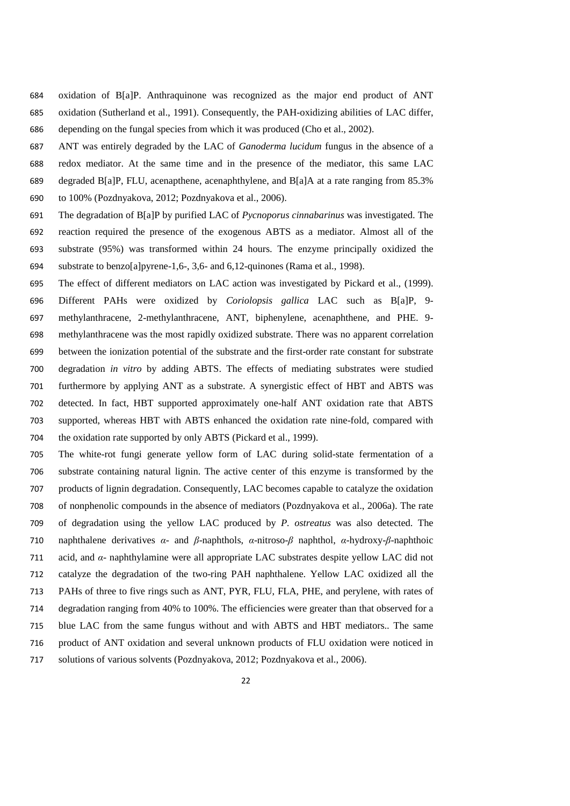- oxidation of B[a]P. Anthraquinone was recognized as the major end product of ANT oxidation (Sutherland et al., 1991). Consequently, the PAH-oxidizing abilities of LAC differ, depending on the fungal species from which it was produced (Cho et al., 2002).
- ANT was entirely degraded by the LAC of *Ganoderma lucidum* fungus in the absence of a redox mediator. At the same time and in the presence of the mediator, this same LAC degraded B[a]P, FLU, acenapthene, acenaphthylene, and B[a]A at a rate ranging from 85.3% to 100% (Pozdnyakova, 2012; Pozdnyakova et al., 2006).
- The degradation of B[a]P by purified LAC of *Pycnoporus cinnabarinus* was investigated. The reaction required the presence of the exogenous ABTS as a mediator. Almost all of the substrate (95%) was transformed within 24 hours. The enzyme principally oxidized the substrate to benzo[a]pyrene-1,6-, 3,6- and 6,12-quinones (Rama et al., 1998).
- The effect of different mediators on LAC action was investigated by Pickard et al., (1999). Different PAHs were oxidized by *Coriolopsis gallica* LAC such as B[a]P, 9- methylanthracene, 2-methylanthracene, ANT, biphenylene, acenaphthene, and PHE. 9- methylanthracene was the most rapidly oxidized substrate. There was no apparent correlation between the ionization potential of the substrate and the first-order rate constant for substrate degradation *in vitro* by adding ABTS. The effects of mediating substrates were studied furthermore by applying ANT as a substrate. A synergistic effect of HBT and ABTS was detected. In fact, HBT supported approximately one-half ANT oxidation rate that ABTS supported, whereas HBT with ABTS enhanced the oxidation rate nine-fold, compared with the oxidation rate supported by only ABTS (Pickard et al., 1999).
- The white-rot fungi generate yellow form of LAC during solid-state fermentation of a substrate containing natural lignin. The active center of this enzyme is transformed by the products of lignin degradation. Consequently, LAC becomes capable to catalyze the oxidation of nonphenolic compounds in the absence of mediators (Pozdnyakova et al., 2006a). The rate of degradation using the yellow LAC produced by *P. ostreatus* was also detected. The naphthalene derivatives *α*- and *β*-naphthols, *α*-nitroso-*β* naphthol, *α*-hydroxy-*β*-naphthoic acid, and *α*- naphthylamine were all appropriate LAC substrates despite yellow LAC did not catalyze the degradation of the two-ring PAH naphthalene. Yellow LAC oxidized all the PAHs of three to five rings such as ANT, PYR, FLU, FLA, PHE, and perylene, with rates of degradation ranging from 40% to 100%. The efficiencies were greater than that observed for a blue LAC from the same fungus without and with ABTS and HBT mediators.. The same product of ANT oxidation and several unknown products of FLU oxidation were noticed in solutions of various solvents (Pozdnyakova, 2012; Pozdnyakova et al., 2006).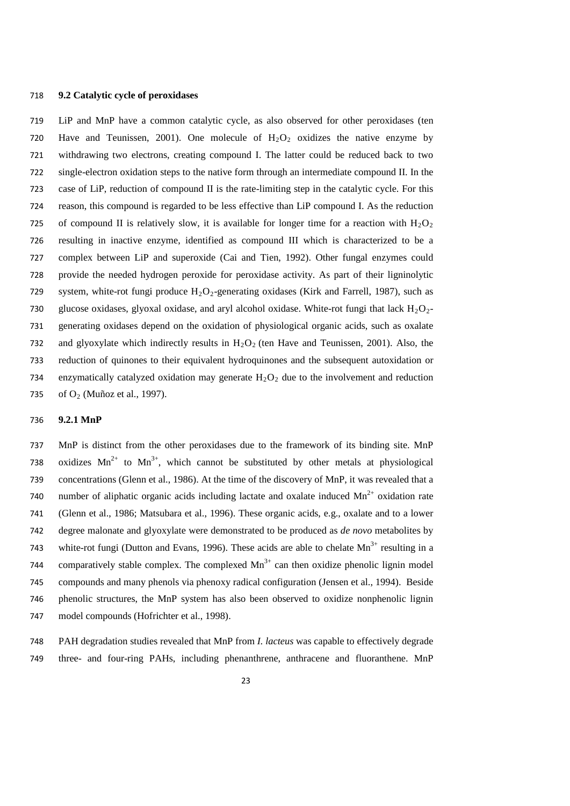#### **9.2 Catalytic cycle of peroxidases**

 LiP and MnP have a common catalytic cycle, as also observed for other peroxidases (ten 720 Have and Teunissen, 2001). One molecule of  $H_2O_2$  oxidizes the native enzyme by withdrawing two electrons, creating compound I. The latter could be reduced back to two single-electron oxidation steps to the native form through an intermediate compound II. In the case of LiP, reduction of compound II is the rate-limiting step in the catalytic cycle. For this reason, this compound is regarded to be less effective than LiP compound I. As the reduction 725 of compound II is relatively slow, it is available for longer time for a reaction with  $H_2O_2$  resulting in inactive enzyme, identified as compound III which is characterized to be a complex between LiP and superoxide (Cai and Tien, 1992). Other fungal enzymes could provide the needed hydrogen peroxide for peroxidase activity. As part of their ligninolytic 729 system, white-rot fungi produce  $H_2O_2$ -generating oxidases (Kirk and Farrell, 1987), such as 730 glucose oxidases, glyoxal oxidase, and aryl alcohol oxidase. White-rot fungi that lack  $H_2O_2$ - generating oxidases depend on the oxidation of physiological organic acids, such as oxalate 732 and glyoxylate which indirectly results in  $H_2O_2$  (ten Have and Teunissen, 2001). Also, the reduction of quinones to their equivalent hydroquinones and the subsequent autoxidation or 734 enzymatically catalyzed oxidation may generate  $H_2O_2$  due to the involvement and reduction 735 of  $O_2$  (Muñoz et al., 1997).

## **9.2.1 MnP**

 MnP is distinct from the other peroxidases due to the framework of its binding site. MnP 738 oxidizes  $Mn^{2+}$  to  $Mn^{3+}$ , which cannot be substituted by other metals at physiological concentrations (Glenn et al., 1986). At the time of the discovery of MnP, it was revealed that a 740 number of aliphatic organic acids including lactate and oxalate induced  $Mn^{2+}$  oxidation rate (Glenn et al., 1986; Matsubara et al., 1996). These organic acids, e.g., oxalate and to a lower degree malonate and glyoxylate were demonstrated to be produced as *de novo* metabolites by 743 white-rot fungi (Dutton and Evans, 1996). These acids are able to chelate  $Mn^{3+}$  resulting in a 744 comparatively stable complex. The complexed  $Mn<sup>3+</sup>$  can then oxidize phenolic lignin model compounds and many phenols via phenoxy radical configuration (Jensen et al., 1994). Beside phenolic structures, the MnP system has also been observed to oxidize nonphenolic lignin model compounds (Hofrichter et al., 1998).

 PAH degradation studies revealed that MnP from *I. lacteus* was capable to effectively degrade three- and four-ring PAHs, including phenanthrene, anthracene and fluoranthene. MnP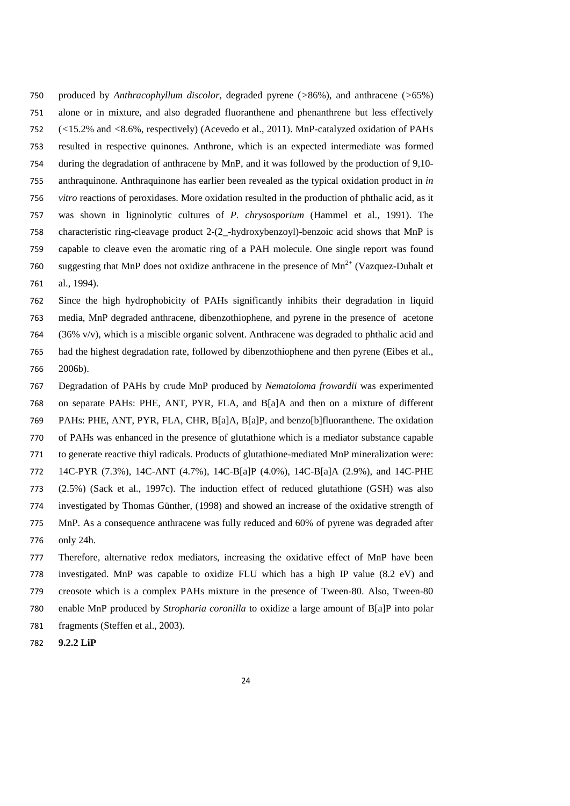produced by *Anthracophyllum discolor*, degraded pyrene (*>*86%), and anthracene (*>*65%) alone or in mixture, and also degraded fluoranthene and phenanthrene but less effectively (*<*15.2% and *<*8.6%, respectively) (Acevedo et al., 2011). MnP-catalyzed oxidation of PAHs resulted in respective quinones. Anthrone, which is an expected intermediate was formed during the degradation of anthracene by MnP, and it was followed by the production of 9,10- anthraquinone. Anthraquinone has earlier been revealed as the typical oxidation product in *in vitro* reactions of peroxidases. More oxidation resulted in the production of phthalic acid, as it was shown in ligninolytic cultures of *P. chrysosporium* (Hammel et al., 1991). The characteristic ring-cleavage product 2-(2*\_*-hydroxybenzoyl)-benzoic acid shows that MnP is capable to cleave even the aromatic ring of a PAH molecule. One single report was found 760 suggesting that MnP does not oxidize anthracene in the presence of  $Mn^{2+}$  (Vazquez-Duhalt et al., 1994).

 Since the high hydrophobicity of PAHs significantly inhibits their degradation in liquid media, MnP degraded anthracene, dibenzothiophene, and pyrene in the presence of acetone 764 (36% v/v), which is a miscible organic solvent. Anthracene was degraded to phthalic acid and had the highest degradation rate, followed by dibenzothiophene and then pyrene (Eibes et al., 2006b).

 Degradation of PAHs by crude MnP produced by *Nematoloma frowardii* was experimented on separate PAHs: PHE, ANT, PYR, FLA, and B[a]A and then on a mixture of different PAHs: PHE, ANT, PYR, FLA, CHR, B[a]A, B[a]P, and benzo[b]fluoranthene. The oxidation of PAHs was enhanced in the presence of glutathione which is a mediator substance capable to generate reactive thiyl radicals. Products of glutathione-mediated MnP mineralization were: 14C-PYR (7.3%), 14C-ANT (4.7%), 14C-B[a]P (4.0%), 14C-B[a]A (2.9%), and 14C-PHE (2.5%) (Sack et al., 1997c). The induction effect of reduced glutathione (GSH) was also investigated by Thomas Günther, (1998) and showed an increase of the oxidative strength of MnP. As a consequence anthracene was fully reduced and 60% of pyrene was degraded after only 24h. Therefore, alternative redox mediators, increasing the oxidative effect of MnP have been

 investigated. MnP was capable to oxidize FLU which has a high IP value (8.2 eV) and creosote which is a complex PAHs mixture in the presence of Tween-80. Also, Tween-80 enable MnP produced by *Stropharia coronilla* to oxidize a large amount of B[a]P into polar 781 fragments (Steffen et al., 2003).

**9.2.2 LiP**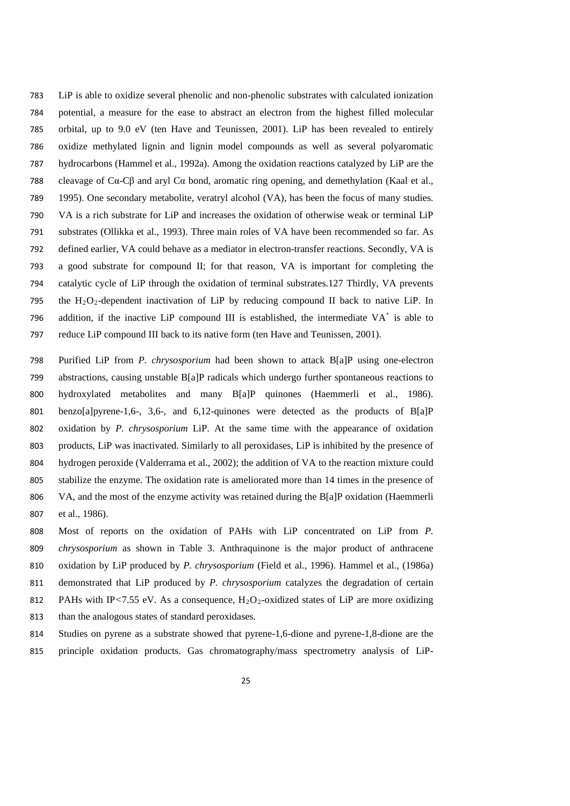LiP is able to oxidize several phenolic and non-phenolic substrates with calculated ionization potential, a measure for the ease to abstract an electron from the highest filled molecular orbital, up to 9.0 eV (ten Have and Teunissen, 2001). LiP has been revealed to entirely oxidize methylated lignin and lignin model compounds as well as several polyaromatic hydrocarbons (Hammel et al., 1992a). Among the oxidation reactions catalyzed by LiP are the 788 cleavage of Cα-Cβ and aryl Cα bond, aromatic ring opening, and demethylation (Kaal et al., 1995). One secondary metabolite, veratryl alcohol (VA), has been the focus of many studies. VA is a rich substrate for LiP and increases the oxidation of otherwise weak or terminal LiP substrates (Ollikka et al., 1993). Three main roles of VA have been recommended so far. As defined earlier, VA could behave as a mediator in electron-transfer reactions. Secondly, VA is a good substrate for compound II; for that reason, VA is important for completing the catalytic cycle of LiP through the oxidation of terminal substrates.127 Thirdly, VA prevents 795 the  $H_2O_2$ -dependent inactivation of LiP by reducing compound II back to native LiP. In 796 addition, if the inactive LiP compound III is established, the intermediate  $VA<sup>+</sup>$  is able to reduce LiP compound III back to its native form (ten Have and Teunissen, 2001).

 Purified LiP from *P. chrysosporium* had been shown to attack B[a]P using one-electron abstractions, causing unstable B[a]P radicals which undergo further spontaneous reactions to hydroxylated metabolites and many B[a]P quinones (Haemmerli et al., 1986). benzo[a]pyrene-1,6-, 3,6-, and 6,12-quinones were detected as the products of B[a]P oxidation by *P. chrysosporium* LiP. At the same time with the appearance of oxidation products, LiP was inactivated. Similarly to all peroxidases, LiP is inhibited by the presence of hydrogen peroxide (Valderrama et al., 2002); the addition of VA to the reaction mixture could stabilize the enzyme. The oxidation rate is ameliorated more than 14 times in the presence of VA, and the most of the enzyme activity was retained during the B[a]P oxidation (Haemmerli et al., 1986).

 Most of reports on the oxidation of PAHs with LiP concentrated on LiP from *P. chrysosporium* as shown in Table 3. Anthraquinone is the major product of anthracene oxidation by LiP produced by *P. chrysosporium* (Field et al., 1996). Hammel et al., (1986a) demonstrated that LiP produced by *P. chrysosporium* catalyzes the degradation of certain 812 PAHs with IP $\lt$ 7.55 eV. As a consequence, H<sub>2</sub>O<sub>2</sub>-oxidized states of LiP are more oxidizing than the analogous states of standard peroxidases.

 Studies on pyrene as a substrate showed that pyrene-1,6-dione and pyrene-1,8-dione are the principle oxidation products. Gas chromatography/mass spectrometry analysis of LiP-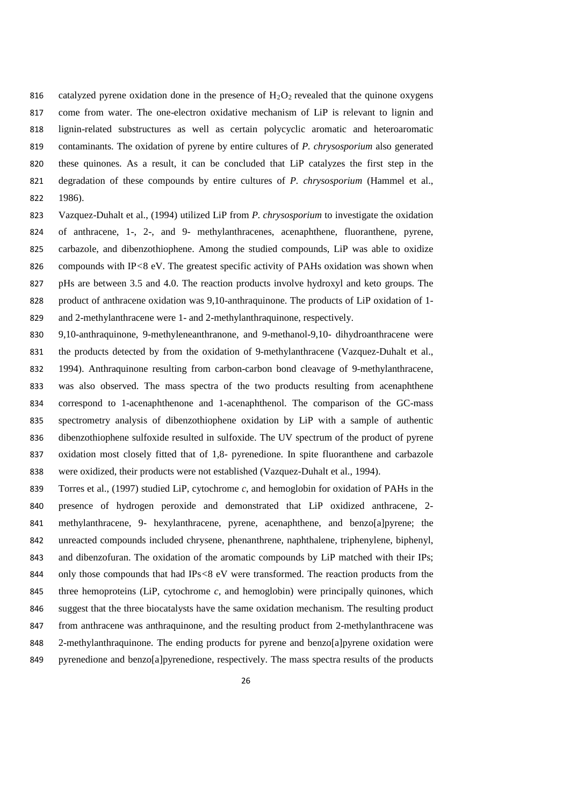- 816 catalyzed pyrene oxidation done in the presence of  $H_2O_2$  revealed that the quinone oxygens come from water. The one-electron oxidative mechanism of LiP is relevant to lignin and lignin-related substructures as well as certain polycyclic aromatic and heteroaromatic contaminants. The oxidation of pyrene by entire cultures of *P. chrysosporium* also generated these quinones. As a result, it can be concluded that LiP catalyzes the first step in the degradation of these compounds by entire cultures of *P. chrysosporium* (Hammel et al., 1986).
- Vazquez-Duhalt et al., (1994) utilized LiP from *P. chrysosporium* to investigate the oxidation of anthracene, 1-, 2-, and 9- methylanthracenes, acenaphthene, fluoranthene, pyrene, carbazole, and dibenzothiophene. Among the studied compounds, LiP was able to oxidize compounds with IP*<*8 eV. The greatest specific activity of PAHs oxidation was shown when pHs are between 3.5 and 4.0. The reaction products involve hydroxyl and keto groups. The product of anthracene oxidation was 9,10-anthraquinone. The products of LiP oxidation of 1-
- and 2-methylanthracene were 1- and 2-methylanthraquinone, respectively.
- 9,10-anthraquinone, 9-methyleneanthranone, and 9-methanol-9,10- dihydroanthracene were 831 the products detected by from the oxidation of 9-methylanthracene (Vazquez-Duhalt et al., 1994). Anthraquinone resulting from carbon-carbon bond cleavage of 9-methylanthracene, was also observed. The mass spectra of the two products resulting from acenaphthene correspond to 1-acenaphthenone and 1-acenaphthenol. The comparison of the GC-mass spectrometry analysis of dibenzothiophene oxidation by LiP with a sample of authentic dibenzothiophene sulfoxide resulted in sulfoxide. The UV spectrum of the product of pyrene oxidation most closely fitted that of 1,8- pyrenedione. In spite fluoranthene and carbazole were oxidized, their products were not established (Vazquez-Duhalt et al., 1994).
- Torres et al., (1997) studied LiP, cytochrome *c*, and hemoglobin for oxidation of PAHs in the presence of hydrogen peroxide and demonstrated that LiP oxidized anthracene, 2- methylanthracene, 9- hexylanthracene, pyrene, acenaphthene, and benzo[a]pyrene; the unreacted compounds included chrysene, phenanthrene, naphthalene, triphenylene, biphenyl, and dibenzofuran. The oxidation of the aromatic compounds by LiP matched with their IPs; only those compounds that had IPs*<*8 eV were transformed. The reaction products from the three hemoproteins (LiP, cytochrome *c,* and hemoglobin) were principally quinones, which suggest that the three biocatalysts have the same oxidation mechanism. The resulting product from anthracene was anthraquinone, and the resulting product from 2-methylanthracene was 2-methylanthraquinone. The ending products for pyrene and benzo[a]pyrene oxidation were 849 pyrenedione and benzo[a]pyrenedione, respectively. The mass spectra results of the products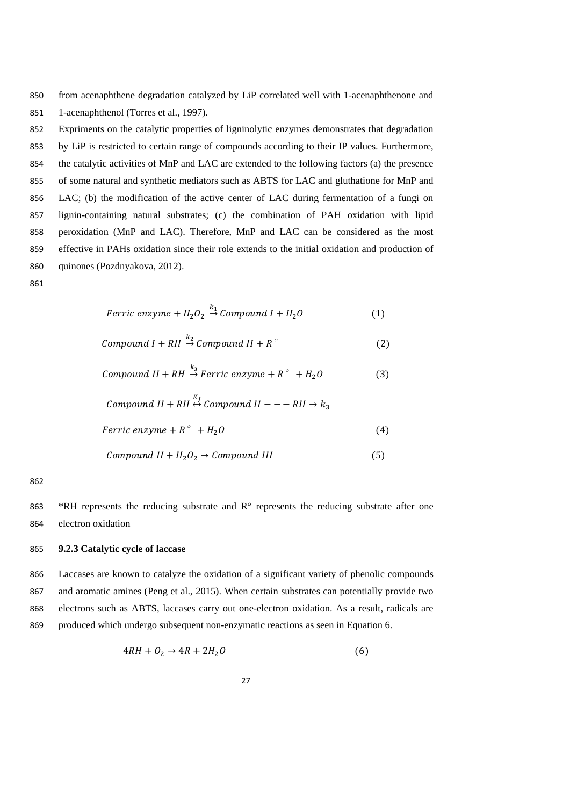from acenaphthene degradation catalyzed by LiP correlated well with 1-acenaphthenone and 1-acenaphthenol (Torres et al., 1997).

 Expriments on the catalytic properties of ligninolytic enzymes demonstrates that degradation by LiP is restricted to certain range of compounds according to their IP values. Furthermore, the catalytic activities of MnP and LAC are extended to the following factors (a) the presence of some natural and synthetic mediators such as ABTS for LAC and gluthatione for MnP and LAC; (b) the modification of the active center of LAC during fermentation of a fungi on lignin-containing natural substrates; (c) the combination of PAH oxidation with lipid peroxidation (MnP and LAC). Therefore, MnP and LAC can be considered as the most effective in PAHs oxidation since their role extends to the initial oxidation and production of quinones (Pozdnyakova, 2012).

*Ferric enzyme* + 
$$
H_2O_2 \stackrel{\kappa_1}{\rightarrow} Compound I + H_2O
$$
 (1)

 $\mathbf{1}$ 

$$
Compound I + RH \stackrel{k_2}{\rightarrow} Compound II + R^{\circ}
$$
 (2)

$$
Compound II + RH \stackrel{k_3}{\rightarrow} Ferric\ enzyme + R^{\circ} + H_2O \tag{3}
$$

$$
Compound II + RH \stackrel{K_I}{\leftrightarrow} Compound II --- RH \rightarrow k_3
$$
  
Ferric enzyme + R° + H<sub>2</sub>O (4)

$$
Compound II + H_2O_2 \rightarrow Compound III
$$
 (5)

863 \*RH represents the reducing substrate and R° represents the reducing substrate after one electron oxidation

# **9.2.3 Catalytic cycle of laccase**

 Laccases are known to catalyze the oxidation of a significant variety of phenolic compounds and aromatic amines (Peng et al., 2015). When certain substrates can potentially provide two electrons such as ABTS, laccases carry out one-electron oxidation. As a result, radicals are produced which undergo subsequent non-enzymatic reactions as seen in Equation 6.

$$
4RH + O_2 \rightarrow 4R + 2H_2O \tag{6}
$$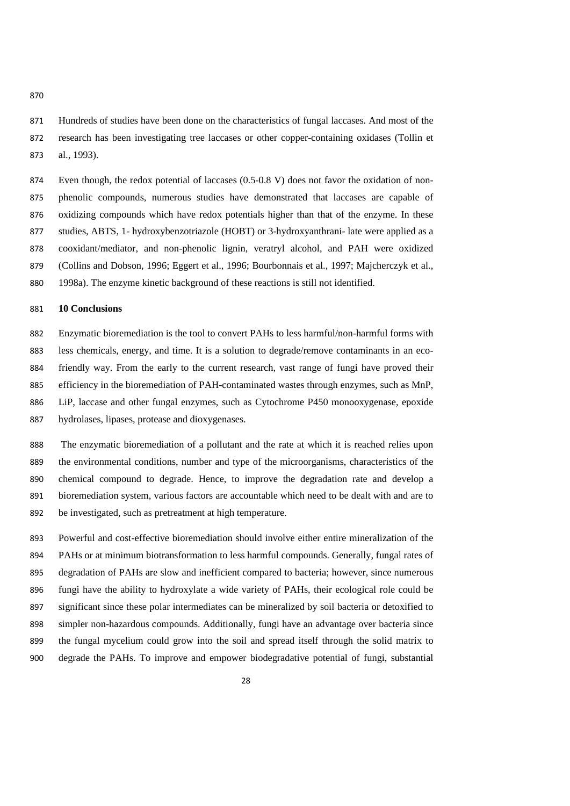Hundreds of studies have been done on the characteristics of fungal laccases. And most of the research has been investigating tree laccases or other copper-containing oxidases (Tollin et al., 1993).

874 Even though, the redox potential of laccases (0.5-0.8 V) does not favor the oxidation of non- phenolic compounds, numerous studies have demonstrated that laccases are capable of oxidizing compounds which have redox potentials higher than that of the enzyme. In these studies, ABTS, 1- hydroxybenzotriazole (HOBT) or 3-hydroxyanthrani- late were applied as a cooxidant/mediator, and non-phenolic lignin, veratryl alcohol, and PAH were oxidized (Collins and Dobson, 1996; Eggert et al., 1996; Bourbonnais et al., 1997; Majcherczyk et al.,

1998a). The enzyme kinetic background of these reactions is still not identified.

# **10 Conclusions**

 Enzymatic bioremediation is the tool to convert PAHs to less harmful/non-harmful forms with less chemicals, energy, and time. It is a solution to degrade/remove contaminants in an eco- friendly way. From the early to the current research, vast range of fungi have proved their efficiency in the bioremediation of PAH-contaminated wastes through enzymes, such as MnP, LiP, laccase and other fungal enzymes, such as Cytochrome P450 monooxygenase, epoxide hydrolases, lipases, protease and dioxygenases.

 The enzymatic bioremediation of a pollutant and the rate at which it is reached relies upon the environmental conditions, number and type of the microorganisms, characteristics of the chemical compound to degrade. Hence, to improve the degradation rate and develop a bioremediation system, various factors are accountable which need to be dealt with and are to be investigated, such as pretreatment at high temperature.

 Powerful and cost-effective bioremediation should involve either entire mineralization of the PAHs or at minimum biotransformation to less harmful compounds. Generally, fungal rates of degradation of PAHs are slow and inefficient compared to bacteria; however, since numerous fungi have the ability to hydroxylate a wide variety of PAHs, their ecological role could be significant since these polar intermediates can be mineralized by soil bacteria or detoxified to simpler non-hazardous compounds. Additionally, fungi have an advantage over bacteria since the fungal mycelium could grow into the soil and spread itself through the solid matrix to degrade the PAHs. To improve and empower biodegradative potential of fungi, substantial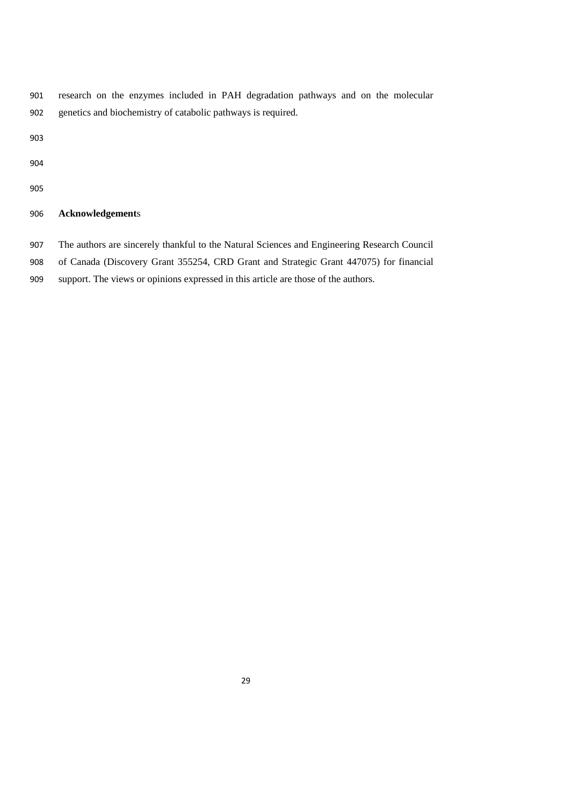- research on the enzymes included in PAH degradation pathways and on the molecular genetics and biochemistry of catabolic pathways is required.
- 
- 
- 

# **Acknowledgement**s

- The authors are sincerely thankful to the Natural Sciences and Engineering Research Council
- of Canada (Discovery Grant 355254, CRD Grant and Strategic Grant 447075) for financial
- support. The views or opinions expressed in this article are those of the authors.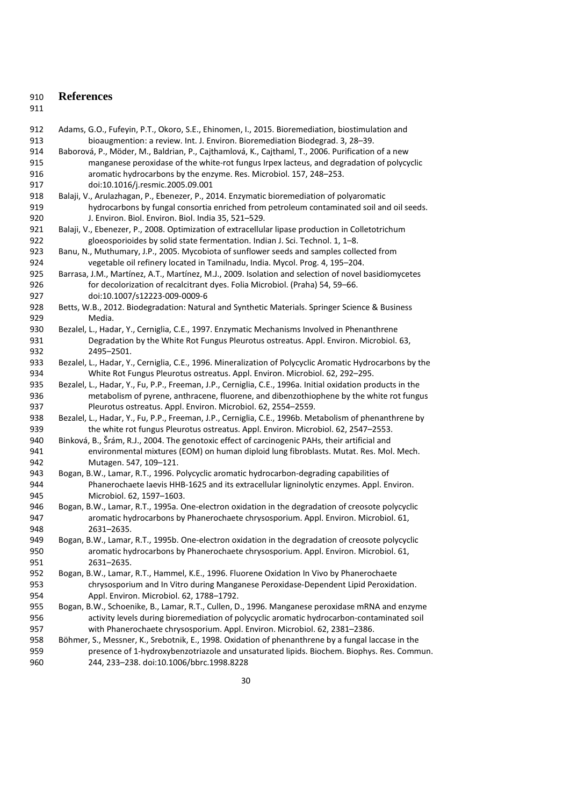# **References**

| 912        | Adams, G.O., Fufeyin, P.T., Okoro, S.E., Ehinomen, I., 2015. Bioremediation, biostimulation and            |
|------------|------------------------------------------------------------------------------------------------------------|
| 913        | bioaugmention: a review. Int. J. Environ. Bioremediation Biodegrad. 3, 28-39.                              |
| 914        | Baborová, P., Möder, M., Baldrian, P., Cajthamlová, K., Cajthaml, T., 2006. Purification of a new          |
| 915        | manganese peroxidase of the white-rot fungus Irpex lacteus, and degradation of polycyclic                  |
| 916        | aromatic hydrocarbons by the enzyme. Res. Microbiol. 157, 248-253.                                         |
| 917        | doi:10.1016/j.resmic.2005.09.001                                                                           |
| 918        | Balaji, V., Arulazhagan, P., Ebenezer, P., 2014. Enzymatic bioremediation of polyaromatic                  |
| 919        | hydrocarbons by fungal consortia enriched from petroleum contaminated soil and oil seeds.                  |
| 920        | J. Environ. Biol. Environ. Biol. India 35, 521-529.                                                        |
| 921        | Balaji, V., Ebenezer, P., 2008. Optimization of extracellular lipase production in Colletotrichum          |
| 922        | gloeosporioides by solid state fermentation. Indian J. Sci. Technol. 1, 1-8.                               |
| 923        | Banu, N., Muthumary, J.P., 2005. Mycobiota of sunflower seeds and samples collected from                   |
| 924        | vegetable oil refinery located in Tamilnadu, India. Mycol. Prog. 4, 195-204.                               |
| 925        | Barrasa, J.M., Martínez, A.T., Martínez, M.J., 2009. Isolation and selection of novel basidiomycetes       |
| 926        | for decolorization of recalcitrant dyes. Folia Microbiol. (Praha) 54, 59-66.                               |
| 927        | doi:10.1007/s12223-009-0009-6                                                                              |
| 928        | Betts, W.B., 2012. Biodegradation: Natural and Synthetic Materials. Springer Science & Business            |
| 929        | Media.                                                                                                     |
| 930        | Bezalel, L., Hadar, Y., Cerniglia, C.E., 1997. Enzymatic Mechanisms Involved in Phenanthrene               |
| 931        | Degradation by the White Rot Fungus Pleurotus ostreatus. Appl. Environ. Microbiol. 63,                     |
| 932        | 2495-2501.                                                                                                 |
| 933        | Bezalel, L., Hadar, Y., Cerniglia, C.E., 1996. Mineralization of Polycyclic Aromatic Hydrocarbons by the   |
| 934        | White Rot Fungus Pleurotus ostreatus. Appl. Environ. Microbiol. 62, 292-295.                               |
| 935        | Bezalel, L., Hadar, Y., Fu, P.P., Freeman, J.P., Cerniglia, C.E., 1996a. Initial oxidation products in the |
| 936        | metabolism of pyrene, anthracene, fluorene, and dibenzothiophene by the white rot fungus                   |
| 937        | Pleurotus ostreatus. Appl. Environ. Microbiol. 62, 2554-2559.                                              |
| 938        | Bezalel, L., Hadar, Y., Fu, P.P., Freeman, J.P., Cerniglia, C.E., 1996b. Metabolism of phenanthrene by     |
| 939        | the white rot fungus Pleurotus ostreatus. Appl. Environ. Microbiol. 62, 2547-2553.                         |
| 940        | Binková, B., Šrám, R.J., 2004. The genotoxic effect of carcinogenic PAHs, their artificial and             |
| 941        | environmental mixtures (EOM) on human diploid lung fibroblasts. Mutat. Res. Mol. Mech.                     |
| 942        | Mutagen. 547, 109-121.                                                                                     |
| 943        | Bogan, B.W., Lamar, R.T., 1996. Polycyclic aromatic hydrocarbon-degrading capabilities of                  |
| 944        | Phanerochaete laevis HHB-1625 and its extracellular ligninolytic enzymes. Appl. Environ.                   |
| 945        | Microbiol. 62, 1597-1603.                                                                                  |
| 946        | Bogan, B.W., Lamar, R.T., 1995a. One-electron oxidation in the degradation of creosote polycyclic          |
| 947        | aromatic hydrocarbons by Phanerochaete chrysosporium. Appl. Environ. Microbiol. 61,                        |
| 948        | 2631-2635.                                                                                                 |
| 949        | Bogan, B.W., Lamar, R.T., 1995b. One-electron oxidation in the degradation of creosote polycyclic          |
| 950        | aromatic hydrocarbons by Phanerochaete chrysosporium. Appl. Environ. Microbiol. 61,                        |
|            | 2631-2635.                                                                                                 |
| 951<br>952 | Bogan, B.W., Lamar, R.T., Hammel, K.E., 1996. Fluorene Oxidation In Vivo by Phanerochaete                  |
| 953        | chrysosporium and In Vitro during Manganese Peroxidase-Dependent Lipid Peroxidation.                       |
|            | Appl. Environ. Microbiol. 62, 1788-1792.                                                                   |
| 954        |                                                                                                            |
| 955        | Bogan, B.W., Schoenike, B., Lamar, R.T., Cullen, D., 1996. Manganese peroxidase mRNA and enzyme            |
| 956        | activity levels during bioremediation of polycyclic aromatic hydrocarbon-contaminated soil                 |
| 957        | with Phanerochaete chrysosporium. Appl. Environ. Microbiol. 62, 2381-2386.                                 |
| 958        | Böhmer, S., Messner, K., Srebotnik, E., 1998. Oxidation of phenanthrene by a fungal laccase in the         |
| 959        | presence of 1-hydroxybenzotriazole and unsaturated lipids. Biochem. Biophys. Res. Commun.                  |
| 960        | 244, 233-238. doi:10.1006/bbrc.1998.8228                                                                   |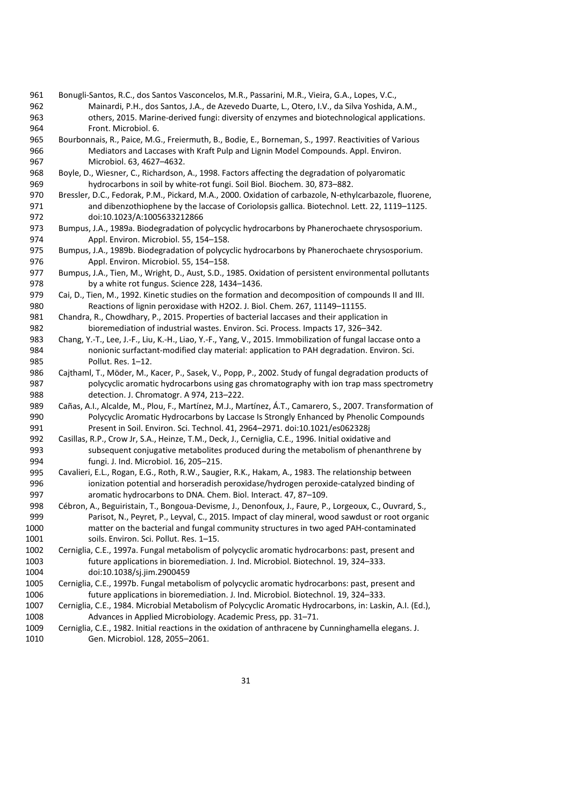- Bonugli-Santos, R.C., dos Santos Vasconcelos, M.R., Passarini, M.R., Vieira, G.A., Lopes, V.C., Mainardi, P.H., dos Santos, J.A., de Azevedo Duarte, L., Otero, I.V., da Silva Yoshida, A.M., others, 2015. Marine-derived fungi: diversity of enzymes and biotechnological applications. Front. Microbiol. 6.
- Bourbonnais, R., Paice, M.G., Freiermuth, B., Bodie, E., Borneman, S., 1997. Reactivities of Various Mediators and Laccases with Kraft Pulp and Lignin Model Compounds. Appl. Environ. Microbiol. 63, 4627–4632.
- Boyle, D., Wiesner, C., Richardson, A., 1998. Factors affecting the degradation of polyaromatic hydrocarbons in soil by white-rot fungi. Soil Biol. Biochem. 30, 873–882.
- Bressler, D.C., Fedorak, P.M., Pickard, M.A., 2000. Oxidation of carbazole, N-ethylcarbazole, fluorene, and dibenzothiophene by the laccase of Coriolopsis gallica. Biotechnol. Lett. 22, 1119–1125. doi:10.1023/A:1005633212866
- Bumpus, J.A., 1989a. Biodegradation of polycyclic hydrocarbons by Phanerochaete chrysosporium. Appl. Environ. Microbiol. 55, 154–158.
- Bumpus, J.A., 1989b. Biodegradation of polycyclic hydrocarbons by Phanerochaete chrysosporium. Appl. Environ. Microbiol. 55, 154–158.
- Bumpus, J.A., Tien, M., Wright, D., Aust, S.D., 1985. Oxidation of persistent environmental pollutants by a white rot fungus. Science 228, 1434–1436.
- Cai, D., Tien, M., 1992. Kinetic studies on the formation and decomposition of compounds II and III. Reactions of lignin peroxidase with H2O2. J. Biol. Chem. 267, 11149–11155.
- Chandra, R., Chowdhary, P., 2015. Properties of bacterial laccases and their application in bioremediation of industrial wastes. Environ. Sci. Process. Impacts 17, 326–342.
- Chang, Y.-T., Lee, J.-F., Liu, K.-H., Liao, Y.-F., Yang, V., 2015. Immobilization of fungal laccase onto a nonionic surfactant-modified clay material: application to PAH degradation. Environ. Sci. Pollut. Res. 1–12.
- Cajthaml, T., Möder, M., Kacer, P., Sasek, V., Popp, P., 2002. Study of fungal degradation products of polycyclic aromatic hydrocarbons using gas chromatography with ion trap mass spectrometry detection. J. Chromatogr. A 974, 213–222.
- Cañas, A.I., Alcalde, M., Plou, F., Martínez, M.J., Martínez, Á.T., Camarero, S., 2007. Transformation of Polycyclic Aromatic Hydrocarbons by Laccase Is Strongly Enhanced by Phenolic Compounds Present in Soil. Environ. Sci. Technol. 41, 2964–2971. doi:10.1021/es062328j
- Casillas, R.P., Crow Jr, S.A., Heinze, T.M., Deck, J., Cerniglia, C.E., 1996. Initial oxidative and subsequent conjugative metabolites produced during the metabolism of phenanthrene by fungi. J. Ind. Microbiol. 16, 205–215.
- Cavalieri, E.L., Rogan, E.G., Roth, R.W., Saugier, R.K., Hakam, A., 1983. The relationship between ionization potential and horseradish peroxidase/hydrogen peroxide-catalyzed binding of aromatic hydrocarbons to DNA. Chem. Biol. Interact. 47, 87–109.
- Cébron, A., Beguiristain, T., Bongoua-Devisme, J., Denonfoux, J., Faure, P., Lorgeoux, C., Ouvrard, S., Parisot, N., Peyret, P., Leyval, C., 2015. Impact of clay mineral, wood sawdust or root organic matter on the bacterial and fungal community structures in two aged PAH-contaminated soils. Environ. Sci. Pollut. Res. 1–15.
- Cerniglia, C.E., 1997a. Fungal metabolism of polycyclic aromatic hydrocarbons: past, present and future applications in bioremediation. J. Ind. Microbiol. Biotechnol. 19, 324–333. doi:10.1038/sj.jim.2900459
- Cerniglia, C.E., 1997b. Fungal metabolism of polycyclic aromatic hydrocarbons: past, present and future applications in bioremediation. J. Ind. Microbiol. Biotechnol. 19, 324–333.
- Cerniglia, C.E., 1984. Microbial Metabolism of Polycyclic Aromatic Hydrocarbons, in: Laskin, A.I. (Ed.), Advances in Applied Microbiology. Academic Press, pp. 31–71.
- Cerniglia, C.E., 1982. Initial reactions in the oxidation of anthracene by Cunninghamella elegans. J. Gen. Microbiol. 128, 2055–2061.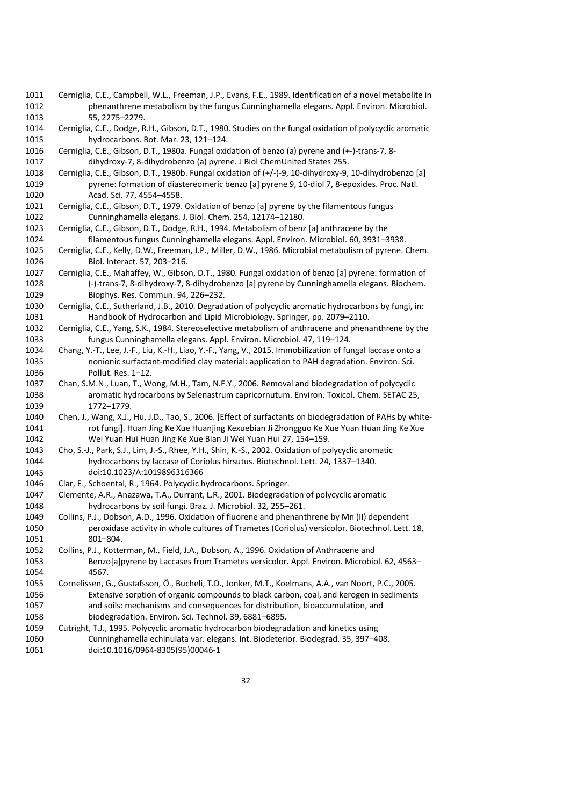Cerniglia, C.E., Campbell, W.L., Freeman, J.P., Evans, F.E., 1989. Identification of a novel metabolite in phenanthrene metabolism by the fungus Cunninghamella elegans. Appl. Environ. Microbiol. 55, 2275–2279.

 Cerniglia, C.E., Dodge, R.H., Gibson, D.T., 1980. Studies on the fungal oxidation of polycyclic aromatic hydrocarbons. Bot. Mar. 23, 121–124.

- Cerniglia, C.E., Gibson, D.T., 1980a. Fungal oxidation of benzo (a) pyrene and (+-)-trans-7, 8- dihydroxy-7, 8-dihydrobenzo (a) pyrene. J Biol ChemUnited States 255.
- Cerniglia, C.E., Gibson, D.T., 1980b. Fungal oxidation of (+/-)-9, 10-dihydroxy-9, 10-dihydrobenzo [a] pyrene: formation of diastereomeric benzo [a] pyrene 9, 10-diol 7, 8-epoxides. Proc. Natl. Acad. Sci. 77, 4554–4558.
- Cerniglia, C.E., Gibson, D.T., 1979. Oxidation of benzo [a] pyrene by the filamentous fungus Cunninghamella elegans. J. Biol. Chem. 254, 12174–12180.
- Cerniglia, C.E., Gibson, D.T., Dodge, R.H., 1994. Metabolism of benz [a] anthracene by the filamentous fungus Cunninghamella elegans. Appl. Environ. Microbiol. 60, 3931–3938.
- Cerniglia, C.E., Kelly, D.W., Freeman, J.P., Miller, D.W., 1986. Microbial metabolism of pyrene. Chem. Biol. Interact. 57, 203–216.
- Cerniglia, C.E., Mahaffey, W., Gibson, D.T., 1980. Fungal oxidation of benzo [a] pyrene: formation of (-)-trans-7, 8-dihydroxy-7, 8-dihydrobenzo [a] pyrene by Cunninghamella elegans. Biochem. Biophys. Res. Commun. 94, 226–232.
- Cerniglia, C.E., Sutherland, J.B., 2010. Degradation of polycyclic aromatic hydrocarbons by fungi, in: Handbook of Hydrocarbon and Lipid Microbiology. Springer, pp. 2079–2110.
- Cerniglia, C.E., Yang, S.K., 1984. Stereoselective metabolism of anthracene and phenanthrene by the fungus Cunninghamella elegans. Appl. Environ. Microbiol. 47, 119–124.
- Chang, Y.-T., Lee, J.-F., Liu, K.-H., Liao, Y.-F., Yang, V., 2015. Immobilization of fungal laccase onto a nonionic surfactant-modified clay material: application to PAH degradation. Environ. Sci. Pollut. Res. 1–12.
- Chan, S.M.N., Luan, T., Wong, M.H., Tam, N.F.Y., 2006. Removal and biodegradation of polycyclic aromatic hydrocarbons by Selenastrum capricornutum. Environ. Toxicol. Chem. SETAC 25, 1772–1779.
- Chen, J., Wang, X.J., Hu, J.D., Tao, S., 2006. [Effect of surfactants on biodegradation of PAHs by white- rot fungi]. Huan Jing Ke Xue Huanjing Kexuebian Ji Zhongguo Ke Xue Yuan Huan Jing Ke Xue Wei Yuan Hui Huan Jing Ke Xue Bian Ji Wei Yuan Hui 27, 154–159.
- Cho, S.-J., Park, S.J., Lim, J.-S., Rhee, Y.H., Shin, K.-S., 2002. Oxidation of polycyclic aromatic hydrocarbons by laccase of Coriolus hirsutus. Biotechnol. Lett. 24, 1337–1340. doi:10.1023/A:1019896316366
- Clar, E., Schoental, R., 1964. Polycyclic hydrocarbons. Springer.
- Clemente, A.R., Anazawa, T.A., Durrant, L.R., 2001. Biodegradation of polycyclic aromatic hydrocarbons by soil fungi. Braz. J. Microbiol. 32, 255–261.
- Collins, P.J., Dobson, A.D., 1996. Oxidation of fluorene and phenanthrene by Mn (II) dependent peroxidase activity in whole cultures of Trametes (Coriolus) versicolor. Biotechnol. Lett. 18, 801–804.
- Collins, P.J., Kotterman, M., Field, J.A., Dobson, A., 1996. Oxidation of Anthracene and Benzo[a]pyrene by Laccases from Trametes versicolor. Appl. Environ. Microbiol. 62, 4563– 4567.
- Cornelissen, G., Gustafsson, Ö., Bucheli, T.D., Jonker, M.T., Koelmans, A.A., van Noort, P.C., 2005. Extensive sorption of organic compounds to black carbon, coal, and kerogen in sediments and soils: mechanisms and consequences for distribution, bioaccumulation, and biodegradation. Environ. Sci. Technol. 39, 6881–6895.
- Cutright, T.J., 1995. Polycyclic aromatic hydrocarbon biodegradation and kinetics using Cunninghamella echinulata var. elegans. Int. Biodeterior. Biodegrad. 35, 397–408. doi:10.1016/0964-8305(95)00046-1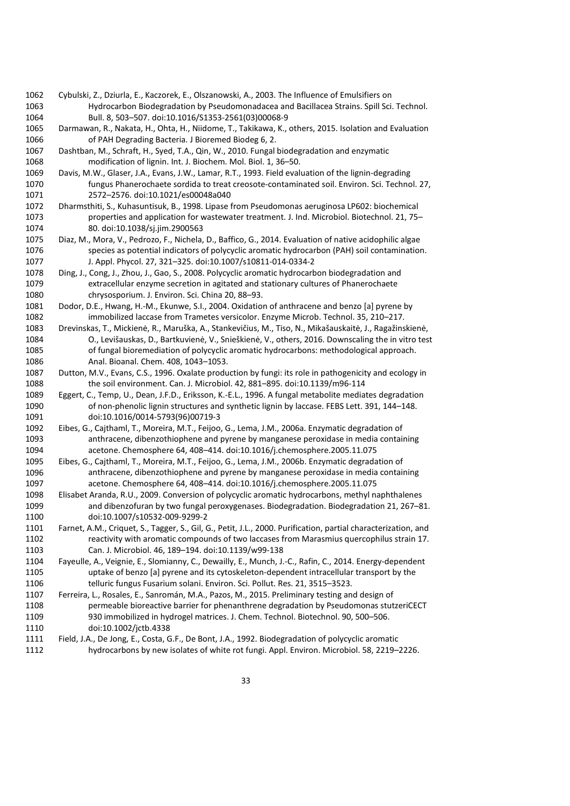- Cybulski, Z., Dziurla, E., Kaczorek, E., Olszanowski, A., 2003. The Influence of Emulsifiers on Hydrocarbon Biodegradation by Pseudomonadacea and Bacillacea Strains. Spill Sci. Technol. Bull. 8, 503–507. doi:10.1016/S1353-2561(03)00068-9
- Darmawan, R., Nakata, H., Ohta, H., Niidome, T., Takikawa, K., others, 2015. Isolation and Evaluation of PAH Degrading Bacteria. J Bioremed Biodeg 6, 2.
- Dashtban, M., Schraft, H., Syed, T.A., Qin, W., 2010. Fungal biodegradation and enzymatic modification of lignin. Int. J. Biochem. Mol. Biol. 1, 36–50.
- Davis, M.W., Glaser, J.A., Evans, J.W., Lamar, R.T., 1993. Field evaluation of the lignin-degrading fungus Phanerochaete sordida to treat creosote-contaminated soil. Environ. Sci. Technol. 27, 2572–2576. doi:10.1021/es00048a040
- Dharmsthiti, S., Kuhasuntisuk, B., 1998. Lipase from Pseudomonas aeruginosa LP602: biochemical properties and application for wastewater treatment. J. Ind. Microbiol. Biotechnol. 21, 75– 80. doi:10.1038/sj.jim.2900563
- Diaz, M., Mora, V., Pedrozo, F., Nichela, D., Baffico, G., 2014. Evaluation of native acidophilic algae species as potential indicators of polycyclic aromatic hydrocarbon (PAH) soil contamination. J. Appl. Phycol. 27, 321–325. doi:10.1007/s10811-014-0334-2
- Ding, J., Cong, J., Zhou, J., Gao, S., 2008. Polycyclic aromatic hydrocarbon biodegradation and extracellular enzyme secretion in agitated and stationary cultures of Phanerochaete chrysosporium. J. Environ. Sci. China 20, 88–93.
- Dodor, D.E., Hwang, H.-M., Ekunwe, S.I., 2004. Oxidation of anthracene and benzo [a] pyrene by immobilized laccase from Trametes versicolor. Enzyme Microb. Technol. 35, 210–217.
- Drevinskas, T., Mickienė, R., Maruška, A., Stankevičius, M., Tiso, N., Mikašauskaitė, J., Ragažinskienė, O., Levišauskas, D., Bartkuvienė, V., Snieškienė, V., others, 2016. Downscaling the in vitro test of fungal bioremediation of polycyclic aromatic hydrocarbons: methodological approach. Anal. Bioanal. Chem. 408, 1043–1053.
- Dutton, M.V., Evans, C.S., 1996. Oxalate production by fungi: its role in pathogenicity and ecology in the soil environment. Can. J. Microbiol. 42, 881–895. doi:10.1139/m96-114
- Eggert, C., Temp, U., Dean, J.F.D., Eriksson, K.-E.L., 1996. A fungal metabolite mediates degradation of non-phenolic lignin structures and synthetic lignin by laccase. FEBS Lett. 391, 144–148. doi:10.1016/0014-5793(96)00719-3
- Eibes, G., Cajthaml, T., Moreira, M.T., Feijoo, G., Lema, J.M., 2006a. Enzymatic degradation of anthracene, dibenzothiophene and pyrene by manganese peroxidase in media containing acetone. Chemosphere 64, 408–414. doi:10.1016/j.chemosphere.2005.11.075
- Eibes, G., Cajthaml, T., Moreira, M.T., Feijoo, G., Lema, J.M., 2006b. Enzymatic degradation of anthracene, dibenzothiophene and pyrene by manganese peroxidase in media containing acetone. Chemosphere 64, 408–414. doi:10.1016/j.chemosphere.2005.11.075
- Elisabet Aranda, R.U., 2009. Conversion of polycyclic aromatic hydrocarbons, methyl naphthalenes and dibenzofuran by two fungal peroxygenases. Biodegradation. Biodegradation 21, 267–81. doi:10.1007/s10532-009-9299-2
- Farnet, A.M., Criquet, S., Tagger, S., Gil, G., Petit, J.L., 2000. Purification, partial characterization, and reactivity with aromatic compounds of two laccases from Marasmius quercophilus strain 17. Can. J. Microbiol. 46, 189–194. doi:10.1139/w99-138
- Fayeulle, A., Veignie, E., Slomianny, C., Dewailly, E., Munch, J.-C., Rafin, C., 2014. Energy-dependent uptake of benzo [a] pyrene and its cytoskeleton-dependent intracellular transport by the telluric fungus Fusarium solani. Environ. Sci. Pollut. Res. 21, 3515–3523.
- Ferreira, L., Rosales, E., Sanromán, M.A., Pazos, M., 2015. Preliminary testing and design of permeable bioreactive barrier for phenanthrene degradation by Pseudomonas stutzeriCECT 930 immobilized in hydrogel matrices. J. Chem. Technol. Biotechnol. 90, 500–506. doi:10.1002/jctb.4338
- Field, J.A., De Jong, E., Costa, G.F., De Bont, J.A., 1992. Biodegradation of polycyclic aromatic
- hydrocarbons by new isolates of white rot fungi. Appl. Environ. Microbiol. 58, 2219–2226.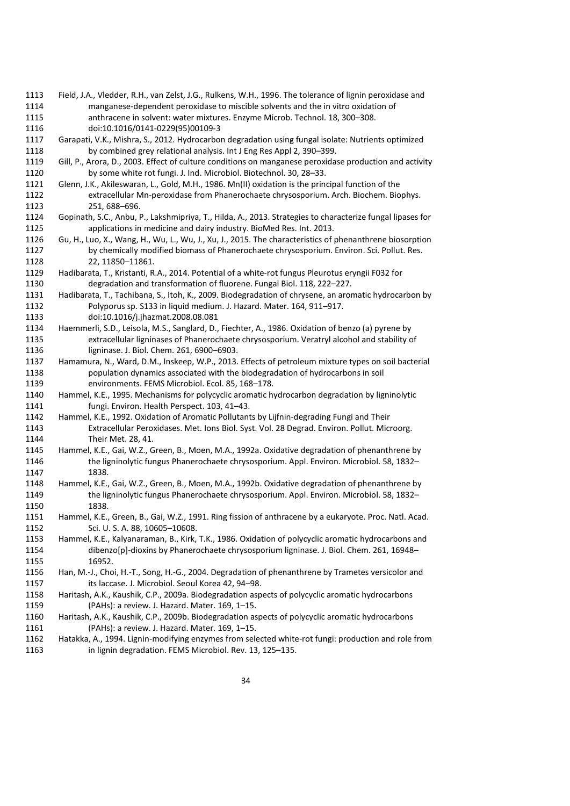- Field, J.A., Vledder, R.H., van Zelst, J.G., Rulkens, W.H., 1996. The tolerance of lignin peroxidase and manganese-dependent peroxidase to miscible solvents and the in vitro oxidation of anthracene in solvent: water mixtures. Enzyme Microb. Technol. 18, 300–308. doi:10.1016/0141-0229(95)00109-3
- Garapati, V.K., Mishra, S., 2012. Hydrocarbon degradation using fungal isolate: Nutrients optimized by combined grey relational analysis. Int J Eng Res Appl 2, 390–399.
- Gill, P., Arora, D., 2003. Effect of culture conditions on manganese peroxidase production and activity by some white rot fungi. J. Ind. Microbiol. Biotechnol. 30, 28–33.
- Glenn, J.K., Akileswaran, L., Gold, M.H., 1986. Mn(II) oxidation is the principal function of the extracellular Mn-peroxidase from Phanerochaete chrysosporium. Arch. Biochem. Biophys. 251, 688–696.
- Gopinath, S.C., Anbu, P., Lakshmipriya, T., Hilda, A., 2013. Strategies to characterize fungal lipases for applications in medicine and dairy industry. BioMed Res. Int. 2013.
- Gu, H., Luo, X., Wang, H., Wu, L., Wu, J., Xu, J., 2015. The characteristics of phenanthrene biosorption by chemically modified biomass of Phanerochaete chrysosporium. Environ. Sci. Pollut. Res. 22, 11850–11861.
- Hadibarata, T., Kristanti, R.A., 2014. Potential of a white-rot fungus Pleurotus eryngii F032 for degradation and transformation of fluorene. Fungal Biol. 118, 222–227.
- Hadibarata, T., Tachibana, S., Itoh, K., 2009. Biodegradation of chrysene, an aromatic hydrocarbon by Polyporus sp. S133 in liquid medium. J. Hazard. Mater. 164, 911–917.
- doi:10.1016/j.jhazmat.2008.08.081 Haemmerli, S.D., Leisola, M.S., Sanglard, D., Fiechter, A., 1986. Oxidation of benzo (a) pyrene by
- extracellular ligninases of Phanerochaete chrysosporium. Veratryl alcohol and stability of ligninase. J. Biol. Chem. 261, 6900–6903.
- Hamamura, N., Ward, D.M., Inskeep, W.P., 2013. Effects of petroleum mixture types on soil bacterial population dynamics associated with the biodegradation of hydrocarbons in soil environments. FEMS Microbiol. Ecol. 85, 168–178.
- Hammel, K.E., 1995. Mechanisms for polycyclic aromatic hydrocarbon degradation by ligninolytic fungi. Environ. Health Perspect. 103, 41–43.
- Hammel, K.E., 1992. Oxidation of Aromatic Pollutants by Lijfnin-degrading Fungi and Their Extracellular Peroxidases. Met. Ions Biol. Syst. Vol. 28 Degrad. Environ. Pollut. Microorg. Their Met. 28, 41.
- Hammel, K.E., Gai, W.Z., Green, B., Moen, M.A., 1992a. Oxidative degradation of phenanthrene by the ligninolytic fungus Phanerochaete chrysosporium. Appl. Environ. Microbiol. 58, 1832– 1838.
- Hammel, K.E., Gai, W.Z., Green, B., Moen, M.A., 1992b. Oxidative degradation of phenanthrene by the ligninolytic fungus Phanerochaete chrysosporium. Appl. Environ. Microbiol. 58, 1832– 1838.
- Hammel, K.E., Green, B., Gai, W.Z., 1991. Ring fission of anthracene by a eukaryote. Proc. Natl. Acad. Sci. U. S. A. 88, 10605–10608.
- Hammel, K.E., Kalyanaraman, B., Kirk, T.K., 1986. Oxidation of polycyclic aromatic hydrocarbons and dibenzo[p]-dioxins by Phanerochaete chrysosporium ligninase. J. Biol. Chem. 261, 16948– 16952.
- Han, M.-J., Choi, H.-T., Song, H.-G., 2004. Degradation of phenanthrene by Trametes versicolor and its laccase. J. Microbiol. Seoul Korea 42, 94–98.
- Haritash, A.K., Kaushik, C.P., 2009a. Biodegradation aspects of polycyclic aromatic hydrocarbons (PAHs): a review. J. Hazard. Mater. 169, 1–15.
- Haritash, A.K., Kaushik, C.P., 2009b. Biodegradation aspects of polycyclic aromatic hydrocarbons (PAHs): a review. J. Hazard. Mater. 169, 1–15.
- Hatakka, A., 1994. Lignin-modifying enzymes from selected white-rot fungi: production and role from in lignin degradation. FEMS Microbiol. Rev. 13, 125–135.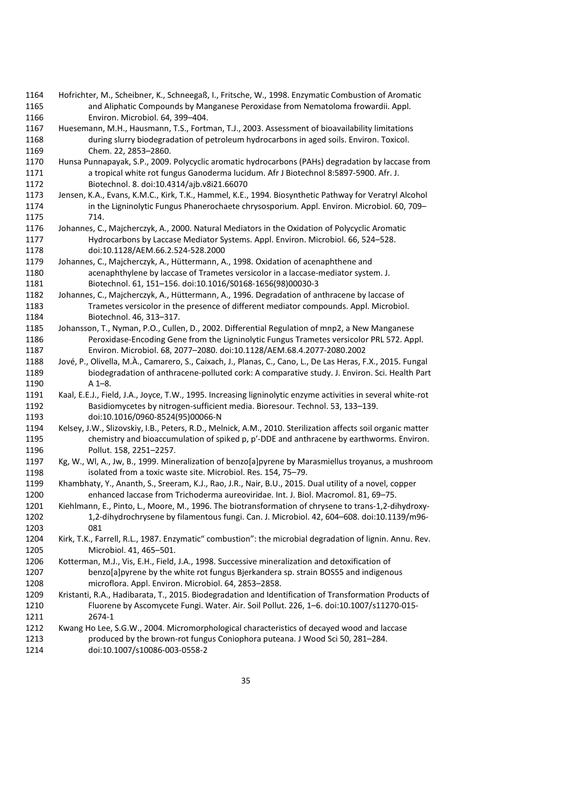- Hofrichter, M., Scheibner, K., Schneegaß, I., Fritsche, W., 1998. Enzymatic Combustion of Aromatic and Aliphatic Compounds by Manganese Peroxidase from Nematoloma frowardii. Appl. Environ. Microbiol. 64, 399–404.
- Huesemann, M.H., Hausmann, T.S., Fortman, T.J., 2003. Assessment of bioavailability limitations during slurry biodegradation of petroleum hydrocarbons in aged soils. Environ. Toxicol. Chem. 22, 2853–2860.
- Hunsa Punnapayak, S.P., 2009. Polycyclic aromatic hydrocarbons (PAHs) degradation by laccase from a tropical white rot fungus Ganoderma lucidum. Afr J Biotechnol 8:5897-5900. Afr. J. Biotechnol. 8. doi:10.4314/ajb.v8i21.66070
- Jensen, K.A., Evans, K.M.C., Kirk, T.K., Hammel, K.E., 1994. Biosynthetic Pathway for Veratryl Alcohol in the Ligninolytic Fungus Phanerochaete chrysosporium. Appl. Environ. Microbiol. 60, 709– 714.
- Johannes, C., Majcherczyk, A., 2000. Natural Mediators in the Oxidation of Polycyclic Aromatic Hydrocarbons by Laccase Mediator Systems. Appl. Environ. Microbiol. 66, 524–528. doi:10.1128/AEM.66.2.524-528.2000
- Johannes, C., Majcherczyk, A., Hüttermann, A., 1998. Oxidation of acenaphthene and acenaphthylene by laccase of Trametes versicolor in a laccase-mediator system. J. Biotechnol. 61, 151–156. doi:10.1016/S0168-1656(98)00030-3
- Johannes, C., Majcherczyk, A., Hüttermann, A., 1996. Degradation of anthracene by laccase of Trametes versicolor in the presence of different mediator compounds. Appl. Microbiol. Biotechnol. 46, 313–317.
- Johansson, T., Nyman, P.O., Cullen, D., 2002. Differential Regulation of mnp2, a New Manganese Peroxidase-Encoding Gene from the Ligninolytic Fungus Trametes versicolor PRL 572. Appl. Environ. Microbiol. 68, 2077–2080. doi:10.1128/AEM.68.4.2077-2080.2002
- Jové, P., Olivella, M.À., Camarero, S., Caixach, J., Planas, C., Cano, L., De Las Heras, F.X., 2015. Fungal biodegradation of anthracene-polluted cork: A comparative study. J. Environ. Sci. Health Part A 1–8.
- Kaal, E.E.J., Field, J.A., Joyce, T.W., 1995. Increasing ligninolytic enzyme activities in several white-rot Basidiomycetes by nitrogen-sufficient media. Bioresour. Technol. 53, 133–139. doi:10.1016/0960-8524(95)00066-N
- Kelsey, J.W., Slizovskiy, I.B., Peters, R.D., Melnick, A.M., 2010. Sterilization affects soil organic matter chemistry and bioaccumulation of spiked p, p′-DDE and anthracene by earthworms. Environ. Pollut. 158, 2251–2257.
- Kg, W., Wl, A., Jw, B., 1999. Mineralization of benzo[a]pyrene by Marasmiellus troyanus, a mushroom isolated from a toxic waste site. Microbiol. Res. 154, 75–79.
- Khambhaty, Y., Ananth, S., Sreeram, K.J., Rao, J.R., Nair, B.U., 2015. Dual utility of a novel, copper enhanced laccase from Trichoderma aureoviridae. Int. J. Biol. Macromol. 81, 69–75.
- Kiehlmann, E., Pinto, L., Moore, M., 1996. The biotransformation of chrysene to trans-1,2-dihydroxy- 1,2-dihydrochrysene by filamentous fungi. Can. J. Microbiol. 42, 604–608. doi:10.1139/m96- 081
- Kirk, T.K., Farrell, R.L., 1987. Enzymatic" combustion": the microbial degradation of lignin. Annu. Rev. Microbiol. 41, 465–501.
- Kotterman, M.J., Vis, E.H., Field, J.A., 1998. Successive mineralization and detoxification of benzo[a]pyrene by the white rot fungus Bjerkandera sp. strain BOS55 and indigenous microflora. Appl. Environ. Microbiol. 64, 2853–2858.
- Kristanti, R.A., Hadibarata, T., 2015. Biodegradation and Identification of Transformation Products of Fluorene by Ascomycete Fungi. Water. Air. Soil Pollut. 226, 1–6. doi:10.1007/s11270-015- 2674-1
- Kwang Ho Lee, S.G.W., 2004. Micromorphological characteristics of decayed wood and laccase produced by the brown-rot fungus Coniophora puteana. J Wood Sci 50, 281–284. doi:10.1007/s10086-003-0558-2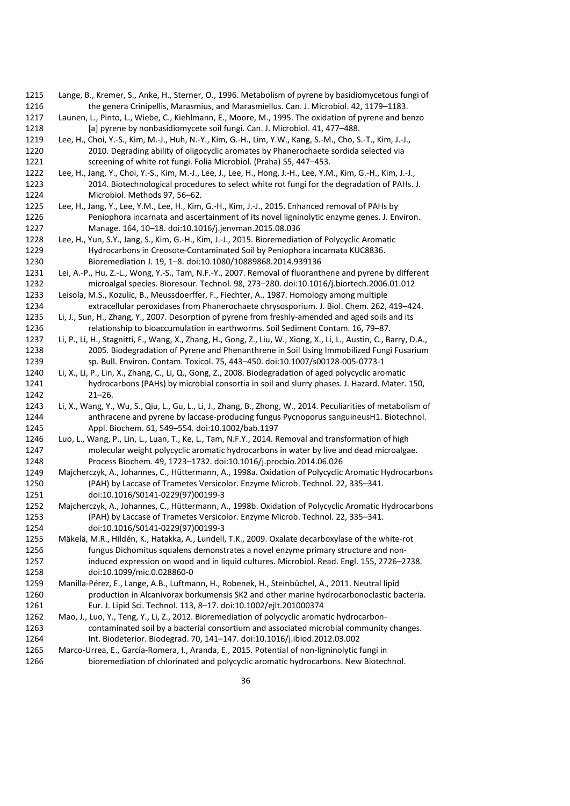- Lange, B., Kremer, S., Anke, H., Sterner, O., 1996. Metabolism of pyrene by basidiomycetous fungi of the genera Crinipellis, Marasmius, and Marasmiellus. Can. J. Microbiol. 42, 1179–1183.
- Launen, L., Pinto, L., Wiebe, C., Kiehlmann, E., Moore, M., 1995. The oxidation of pyrene and benzo [a] pyrene by nonbasidiomycete soil fungi. Can. J. Microbiol. 41, 477–488.
- Lee, H., Choi, Y.-S., Kim, M.-J., Huh, N.-Y., Kim, G.-H., Lim, Y.W., Kang, S.-M., Cho, S.-T., Kim, J.-J., 2010. Degrading ability of oligocyclic aromates by Phanerochaete sordida selected via screening of white rot fungi. Folia Microbiol. (Praha) 55, 447–453.
- Lee, H., Jang, Y., Choi, Y.-S., Kim, M.-J., Lee, J., Lee, H., Hong, J.-H., Lee, Y.M., Kim, G.-H., Kim, J.-J., 2014. Biotechnological procedures to select white rot fungi for the degradation of PAHs. J. Microbiol. Methods 97, 56–62.
- Lee, H., Jang, Y., Lee, Y.M., Lee, H., Kim, G.-H., Kim, J.-J., 2015. Enhanced removal of PAHs by Peniophora incarnata and ascertainment of its novel ligninolytic enzyme genes. J. Environ. Manage. 164, 10–18. doi:10.1016/j.jenvman.2015.08.036
- Lee, H., Yun, S.Y., Jang, S., Kim, G.-H., Kim, J.-J., 2015. Bioremediation of Polycyclic Aromatic Hydrocarbons in Creosote-Contaminated Soil by Peniophora incarnata KUC8836. Bioremediation J. 19, 1–8. doi:10.1080/10889868.2014.939136
- Lei, A.-P., Hu, Z.-L., Wong, Y.-S., Tam, N.F.-Y., 2007. Removal of fluoranthene and pyrene by different microalgal species. Bioresour. Technol. 98, 273–280. doi:10.1016/j.biortech.2006.01.012
- Leisola, M.S., Kozulic, B., Meussdoerffer, F., Fiechter, A., 1987. Homology among multiple extracellular peroxidases from Phanerochaete chrysosporium. J. Biol. Chem. 262, 419–424.
- Li, J., Sun, H., Zhang, Y., 2007. Desorption of pyrene from freshly-amended and aged soils and its relationship to bioaccumulation in earthworms. Soil Sediment Contam. 16, 79–87.
- Li, P., Li, H., Stagnitti, F., Wang, X., Zhang, H., Gong, Z., Liu, W., Xiong, X., Li, L., Austin, C., Barry, D.A., 2005. Biodegradation of Pyrene and Phenanthrene in Soil Using Immobilized Fungi Fusarium sp. Bull. Environ. Contam. Toxicol. 75, 443–450. doi:10.1007/s00128-005-0773-1
- Li, X., Li, P., Lin, X., Zhang, C., Li, Q., Gong, Z., 2008. Biodegradation of aged polycyclic aromatic hydrocarbons (PAHs) by microbial consortia in soil and slurry phases. J. Hazard. Mater. 150, 21–26.
- Li, X., Wang, Y., Wu, S., Qiu, L., Gu, L., Li, J., Zhang, B., Zhong, W., 2014. Peculiarities of metabolism of anthracene and pyrene by laccase-producing fungus Pycnoporus sanguineusH1. Biotechnol. Appl. Biochem. 61, 549–554. doi:10.1002/bab.1197
- Luo, L., Wang, P., Lin, L., Luan, T., Ke, L., Tam, N.F.Y., 2014. Removal and transformation of high molecular weight polycyclic aromatic hydrocarbons in water by live and dead microalgae. Process Biochem. 49, 1723–1732. doi:10.1016/j.procbio.2014.06.026
- Majcherczyk, A., Johannes, C., Hüttermann, A., 1998a. Oxidation of Polycyclic Aromatic Hydrocarbons (PAH) by Laccase of Trametes Versicolor. Enzyme Microb. Technol. 22, 335–341. doi:10.1016/S0141-0229(97)00199-3
- Majcherczyk, A., Johannes, C., Hüttermann, A., 1998b. Oxidation of Polycyclic Aromatic Hydrocarbons (PAH) by Laccase of Trametes Versicolor. Enzyme Microb. Technol. 22, 335–341. doi:10.1016/S0141-0229(97)00199-3
- Mäkelä, M.R., Hildén, K., Hatakka, A., Lundell, T.K., 2009. Oxalate decarboxylase of the white-rot fungus Dichomitus squalens demonstrates a novel enzyme primary structure and non- induced expression on wood and in liquid cultures. Microbiol. Read. Engl. 155, 2726–2738. doi:10.1099/mic.0.028860-0
- Manilla-Pérez, E., Lange, A.B., Luftmann, H., Robenek, H., Steinbüchel, A., 2011. Neutral lipid production in Alcanivorax borkumensis SK2 and other marine hydrocarbonoclastic bacteria. Eur. J. Lipid Sci. Technol. 113, 8–17. doi:10.1002/ejlt.201000374
- Mao, J., Luo, Y., Teng, Y., Li, Z., 2012. Bioremediation of polycyclic aromatic hydrocarbon- contaminated soil by a bacterial consortium and associated microbial community changes. Int. Biodeterior. Biodegrad. 70, 141–147. doi:10.1016/j.ibiod.2012.03.002
- Marco-Urrea, E., García-Romera, I., Aranda, E., 2015. Potential of non-ligninolytic fungi in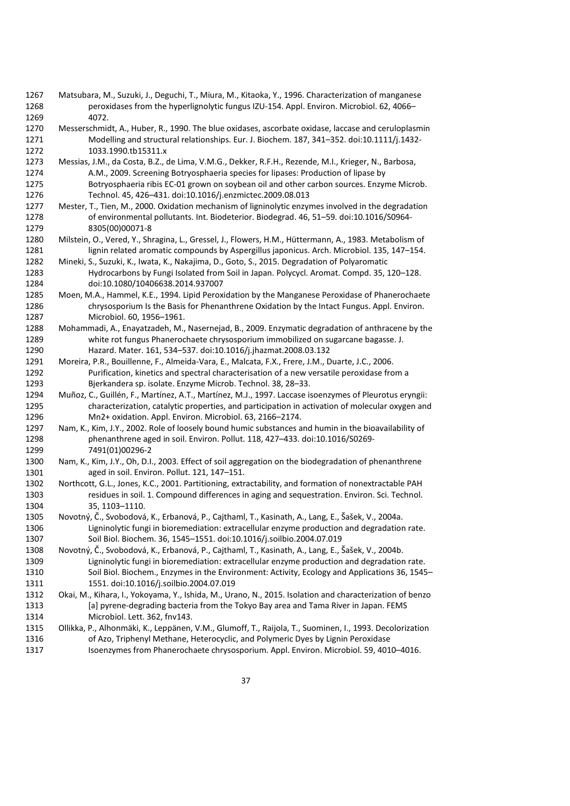- Matsubara, M., Suzuki, J., Deguchi, T., Miura, M., Kitaoka, Y., 1996. Characterization of manganese peroxidases from the hyperlignolytic fungus IZU-154. Appl. Environ. Microbiol. 62, 4066– 4072.
- Messerschmidt, A., Huber, R., 1990. The blue oxidases, ascorbate oxidase, laccase and ceruloplasmin Modelling and structural relationships. Eur. J. Biochem. 187, 341–352. doi:10.1111/j.1432- 1033.1990.tb15311.x
- Messias, J.M., da Costa, B.Z., de Lima, V.M.G., Dekker, R.F.H., Rezende, M.I., Krieger, N., Barbosa, A.M., 2009. Screening Botryosphaeria species for lipases: Production of lipase by Botryosphaeria ribis EC-01 grown on soybean oil and other carbon sources. Enzyme Microb. Technol. 45, 426–431. doi:10.1016/j.enzmictec.2009.08.013
- Mester, T., Tien, M., 2000. Oxidation mechanism of ligninolytic enzymes involved in the degradation of environmental pollutants. Int. Biodeterior. Biodegrad. 46, 51–59. doi:10.1016/S0964- 8305(00)00071-8
- Milstein, O., Vered, Y., Shragina, L., Gressel, J., Flowers, H.M., Hüttermann, A., 1983. Metabolism of lignin related aromatic compounds by Aspergillus japonicus. Arch. Microbiol. 135, 147–154.
- Mineki, S., Suzuki, K., Iwata, K., Nakajima, D., Goto, S., 2015. Degradation of Polyaromatic Hydrocarbons by Fungi Isolated from Soil in Japan. Polycycl. Aromat. Compd. 35, 120–128. doi:10.1080/10406638.2014.937007
- Moen, M.A., Hammel, K.E., 1994. Lipid Peroxidation by the Manganese Peroxidase of Phanerochaete chrysosporium Is the Basis for Phenanthrene Oxidation by the Intact Fungus. Appl. Environ. Microbiol. 60, 1956–1961.
- Mohammadi, A., Enayatzadeh, M., Nasernejad, B., 2009. Enzymatic degradation of anthracene by the white rot fungus Phanerochaete chrysosporium immobilized on sugarcane bagasse. J. Hazard. Mater. 161, 534–537. doi:10.1016/j.jhazmat.2008.03.132
- Moreira, P.R., Bouillenne, F., Almeida-Vara, E., Malcata, F.X., Frere, J.M., Duarte, J.C., 2006. Purification, kinetics and spectral characterisation of a new versatile peroxidase from a Bjerkandera sp. isolate. Enzyme Microb. Technol. 38, 28–33.
- Muñoz, C., Guillén, F., Martínez, A.T., Martínez, M.J., 1997. Laccase isoenzymes of Pleurotus eryngii: characterization, catalytic properties, and participation in activation of molecular oxygen and Mn2+ oxidation. Appl. Environ. Microbiol. 63, 2166–2174.
- Nam, K., Kim, J.Y., 2002. Role of loosely bound humic substances and humin in the bioavailability of phenanthrene aged in soil. Environ. Pollut. 118, 427–433. doi:10.1016/S0269- 7491(01)00296-2
- Nam, K., Kim, J.Y., Oh, D.I., 2003. Effect of soil aggregation on the biodegradation of phenanthrene aged in soil. Environ. Pollut. 121, 147–151.
- Northcott, G.L., Jones, K.C., 2001. Partitioning, extractability, and formation of nonextractable PAH residues in soil. 1. Compound differences in aging and sequestration. Environ. Sci. Technol. 35, 1103–1110.
- Novotný, Č., Svobodová, K., Erbanová, P., Cajthaml, T., Kasinath, A., Lang, E., Šašek, V., 2004a. Ligninolytic fungi in bioremediation: extracellular enzyme production and degradation rate. Soil Biol. Biochem. 36, 1545–1551. doi:10.1016/j.soilbio.2004.07.019
- Novotný, Č., Svobodová, K., Erbanová, P., Cajthaml, T., Kasinath, A., Lang, E., Šašek, V., 2004b. Ligninolytic fungi in bioremediation: extracellular enzyme production and degradation rate. Soil Biol. Biochem., Enzymes in the Environment: Activity, Ecology and Applications 36, 1545– 1551. doi:10.1016/j.soilbio.2004.07.019
- Okai, M., Kihara, I., Yokoyama, Y., Ishida, M., Urano, N., 2015. Isolation and characterization of benzo [a] pyrene-degrading bacteria from the Tokyo Bay area and Tama River in Japan. FEMS Microbiol. Lett. 362, fnv143.
- Ollikka, P., Alhonmäki, K., Leppänen, V.M., Glumoff, T., Raijola, T., Suominen, I., 1993. Decolorization of Azo, Triphenyl Methane, Heterocyclic, and Polymeric Dyes by Lignin Peroxidase
- Isoenzymes from Phanerochaete chrysosporium. Appl. Environ. Microbiol. 59, 4010–4016.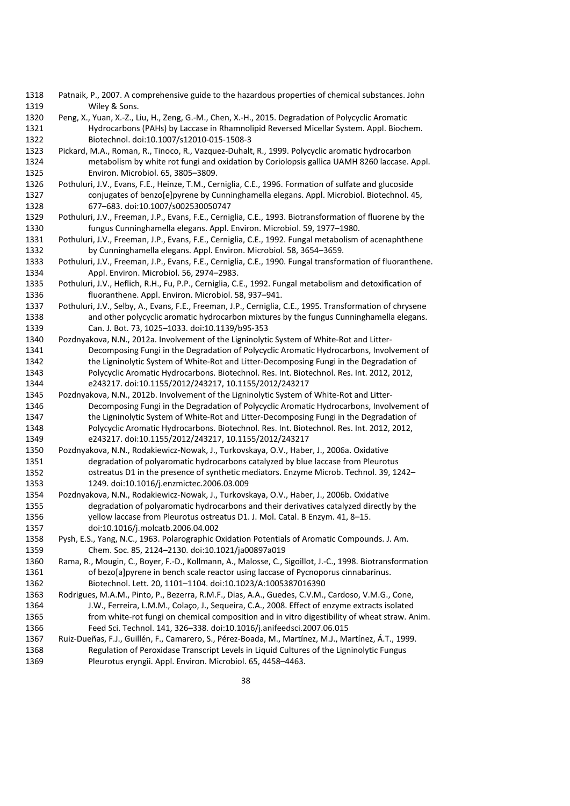- Patnaik, P., 2007. A comprehensive guide to the hazardous properties of chemical substances. John 1319 Wiley & Sons.
- Peng, X., Yuan, X.-Z., Liu, H., Zeng, G.-M., Chen, X.-H., 2015. Degradation of Polycyclic Aromatic Hydrocarbons (PAHs) by Laccase in Rhamnolipid Reversed Micellar System. Appl. Biochem. Biotechnol. doi:10.1007/s12010-015-1508-3
- Pickard, M.A., Roman, R., Tinoco, R., Vazquez-Duhalt, R., 1999. Polycyclic aromatic hydrocarbon metabolism by white rot fungi and oxidation by Coriolopsis gallica UAMH 8260 laccase. Appl. Environ. Microbiol. 65, 3805–3809.
- Pothuluri, J.V., Evans, F.E., Heinze, T.M., Cerniglia, C.E., 1996. Formation of sulfate and glucoside conjugates of benzo[e]pyrene by Cunninghamella elegans. Appl. Microbiol. Biotechnol. 45, 677–683. doi:10.1007/s002530050747
- Pothuluri, J.V., Freeman, J.P., Evans, F.E., Cerniglia, C.E., 1993. Biotransformation of fluorene by the fungus Cunninghamella elegans. Appl. Environ. Microbiol. 59, 1977–1980.
- Pothuluri, J.V., Freeman, J.P., Evans, F.E., Cerniglia, C.E., 1992. Fungal metabolism of acenaphthene by Cunninghamella elegans. Appl. Environ. Microbiol. 58, 3654–3659.
- Pothuluri, J.V., Freeman, J.P., Evans, F.E., Cerniglia, C.E., 1990. Fungal transformation of fluoranthene. Appl. Environ. Microbiol. 56, 2974–2983.
- Pothuluri, J.V., Heflich, R.H., Fu, P.P., Cerniglia, C.E., 1992. Fungal metabolism and detoxification of fluoranthene. Appl. Environ. Microbiol. 58, 937–941.
- Pothuluri, J.V., Selby, A., Evans, F.E., Freeman, J.P., Cerniglia, C.E., 1995. Transformation of chrysene and other polycyclic aromatic hydrocarbon mixtures by the fungus Cunninghamella elegans. Can. J. Bot. 73, 1025–1033. doi:10.1139/b95-353
- Pozdnyakova, N.N., 2012a. Involvement of the Ligninolytic System of White-Rot and Litter- Decomposing Fungi in the Degradation of Polycyclic Aromatic Hydrocarbons, Involvement of the Ligninolytic System of White-Rot and Litter-Decomposing Fungi in the Degradation of Polycyclic Aromatic Hydrocarbons. Biotechnol. Res. Int. Biotechnol. Res. Int. 2012, 2012, e243217. doi:10.1155/2012/243217, 10.1155/2012/243217
- Pozdnyakova, N.N., 2012b. Involvement of the Ligninolytic System of White-Rot and Litter- Decomposing Fungi in the Degradation of Polycyclic Aromatic Hydrocarbons, Involvement of 1347 the Ligninolytic System of White-Rot and Litter-Decomposing Fungi in the Degradation of Polycyclic Aromatic Hydrocarbons. Biotechnol. Res. Int. Biotechnol. Res. Int. 2012, 2012, e243217. doi:10.1155/2012/243217, 10.1155/2012/243217
- Pozdnyakova, N.N., Rodakiewicz-Nowak, J., Turkovskaya, O.V., Haber, J., 2006a. Oxidative degradation of polyaromatic hydrocarbons catalyzed by blue laccase from Pleurotus ostreatus D1 in the presence of synthetic mediators. Enzyme Microb. Technol. 39, 1242– 1249. doi:10.1016/j.enzmictec.2006.03.009
- Pozdnyakova, N.N., Rodakiewicz-Nowak, J., Turkovskaya, O.V., Haber, J., 2006b. Oxidative degradation of polyaromatic hydrocarbons and their derivatives catalyzed directly by the yellow laccase from Pleurotus ostreatus D1. J. Mol. Catal. B Enzym. 41, 8–15. doi:10.1016/j.molcatb.2006.04.002
- Pysh, E.S., Yang, N.C., 1963. Polarographic Oxidation Potentials of Aromatic Compounds. J. Am. Chem. Soc. 85, 2124–2130. doi:10.1021/ja00897a019
- Rama, R., Mougin, C., Boyer, F.-D., Kollmann, A., Malosse, C., Sigoillot, J.-C., 1998. Biotransformation of bezo[a]pyrene in bench scale reactor using laccase of Pycnoporus cinnabarinus. Biotechnol. Lett. 20, 1101–1104. doi:10.1023/A:1005387016390
- Rodrigues, M.A.M., Pinto, P., Bezerra, R.M.F., Dias, A.A., Guedes, C.V.M., Cardoso, V.M.G., Cone, J.W., Ferreira, L.M.M., Colaço, J., Sequeira, C.A., 2008. Effect of enzyme extracts isolated from white-rot fungi on chemical composition and in vitro digestibility of wheat straw. Anim. Feed Sci. Technol. 141, 326–338. doi:10.1016/j.anifeedsci.2007.06.015
- Ruiz-Dueñas, F.J., Guillén, F., Camarero, S., Pérez-Boada, M., Martínez, M.J., Martínez, Á.T., 1999. Regulation of Peroxidase Transcript Levels in Liquid Cultures of the Ligninolytic Fungus Pleurotus eryngii. Appl. Environ. Microbiol. 65, 4458–4463.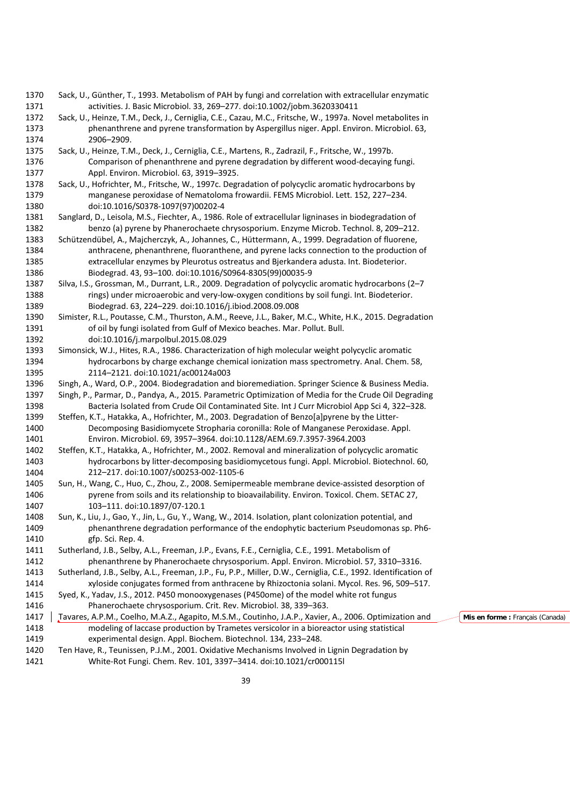Sack, U., Günther, T., 1993. Metabolism of PAH by fungi and correlation with extracellular enzymatic activities. J. Basic Microbiol. 33, 269–277. doi:10.1002/jobm.3620330411 Sack, U., Heinze, T.M., Deck, J., Cerniglia, C.E., Cazau, M.C., Fritsche, W., 1997a. Novel metabolites in phenanthrene and pyrene transformation by Aspergillus niger. Appl. Environ. Microbiol. 63, 2906–2909. Sack, U., Heinze, T.M., Deck, J., Cerniglia, C.E., Martens, R., Zadrazil, F., Fritsche, W., 1997b. Comparison of phenanthrene and pyrene degradation by different wood-decaying fungi. Appl. Environ. Microbiol. 63, 3919–3925. Sack, U., Hofrichter, M., Fritsche, W., 1997c. Degradation of polycyclic aromatic hydrocarbons by manganese peroxidase of Nematoloma frowardii. FEMS Microbiol. Lett. 152, 227–234. doi:10.1016/S0378-1097(97)00202-4 Sanglard, D., Leisola, M.S., Fiechter, A., 1986. Role of extracellular ligninases in biodegradation of benzo (a) pyrene by Phanerochaete chrysosporium. Enzyme Microb. Technol. 8, 209–212. Schützendübel, A., Majcherczyk, A., Johannes, C., Hüttermann, A., 1999. Degradation of fluorene, anthracene, phenanthrene, fluoranthene, and pyrene lacks connection to the production of extracellular enzymes by Pleurotus ostreatus and Bjerkandera adusta. Int. Biodeterior. Biodegrad. 43, 93–100. doi:10.1016/S0964-8305(99)00035-9 Silva, I.S., Grossman, M., Durrant, L.R., 2009. Degradation of polycyclic aromatic hydrocarbons (2–7 rings) under microaerobic and very-low-oxygen conditions by soil fungi. Int. Biodeterior. Biodegrad. 63, 224–229. doi:10.1016/j.ibiod.2008.09.008 Simister, R.L., Poutasse, C.M., Thurston, A.M., Reeve, J.L., Baker, M.C., White, H.K., 2015. Degradation 1391 of oil by fungi isolated from Gulf of Mexico beaches. Mar. Pollut. Bull. doi:10.1016/j.marpolbul.2015.08.029 Simonsick, W.J., Hites, R.A., 1986. Characterization of high molecular weight polycyclic aromatic hydrocarbons by charge exchange chemical ionization mass spectrometry. Anal. Chem. 58, 2114–2121. doi:10.1021/ac00124a003 Singh, A., Ward, O.P., 2004. Biodegradation and bioremediation. Springer Science & Business Media. Singh, P., Parmar, D., Pandya, A., 2015. Parametric Optimization of Media for the Crude Oil Degrading Bacteria Isolated from Crude Oil Contaminated Site. Int J Curr Microbiol App Sci 4, 322–328. Steffen, K.T., Hatakka, A., Hofrichter, M., 2003. Degradation of Benzo[a]pyrene by the Litter- Decomposing Basidiomycete Stropharia coronilla: Role of Manganese Peroxidase. Appl. Environ. Microbiol. 69, 3957–3964. doi:10.1128/AEM.69.7.3957-3964.2003 Steffen, K.T., Hatakka, A., Hofrichter, M., 2002. Removal and mineralization of polycyclic aromatic hydrocarbons by litter-decomposing basidiomycetous fungi. Appl. Microbiol. Biotechnol. 60, 212–217. doi:10.1007/s00253-002-1105-6 Sun, H., Wang, C., Huo, C., Zhou, Z., 2008. Semipermeable membrane device-assisted desorption of pyrene from soils and its relationship to bioavailability. Environ. Toxicol. Chem. SETAC 27, 103–111. doi:10.1897/07-120.1 Sun, K., Liu, J., Gao, Y., Jin, L., Gu, Y., Wang, W., 2014. Isolation, plant colonization potential, and phenanthrene degradation performance of the endophytic bacterium Pseudomonas sp. Ph6- gfp. Sci. Rep. 4. Sutherland, J.B., Selby, A.L., Freeman, J.P., Evans, F.E., Cerniglia, C.E., 1991. Metabolism of phenanthrene by Phanerochaete chrysosporium. Appl. Environ. Microbiol. 57, 3310–3316. Sutherland, J.B., Selby, A.L., Freeman, J.P., Fu, P.P., Miller, D.W., Cerniglia, C.E., 1992. Identification of xyloside conjugates formed from anthracene by Rhizoctonia solani. Mycol. Res. 96, 509–517. Syed, K., Yadav, J.S., 2012. P450 monooxygenases (P450ome) of the model white rot fungus Phanerochaete chrysosporium. Crit. Rev. Microbiol. 38, 339–363. 1417 | Tavares, A.P.M., Coelho, M.A.Z., Agapito, M.S.M., Coutinho, J.A.P., Xavier, A., 2006. Optimization and modeling of laccase production by Trametes versicolor in a bioreactor using statistical experimental design. Appl. Biochem. Biotechnol. 134, 233–248. Ten Have, R., Teunissen, P.J.M., 2001. Oxidative Mechanisms Involved in Lignin Degradation by White-Rot Fungi. Chem. Rev. 101, 3397–3414. doi:10.1021/cr000115l **Mis en forme :** Français (Canada)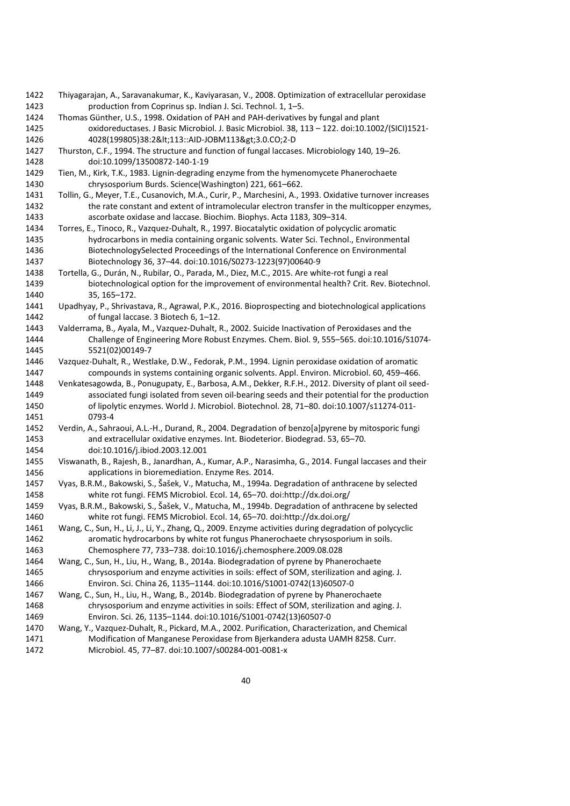- Thiyagarajan, A., Saravanakumar, K., Kaviyarasan, V., 2008. Optimization of extracellular peroxidase production from Coprinus sp. Indian J. Sci. Technol. 1, 1–5.
- Thomas Günther, U.S., 1998. Oxidation of PAH and PAH-derivatives by fungal and plant oxidoreductases. J Basic Microbiol. J. Basic Microbiol. 38, 113 – 122. doi:10.1002/(SICI)1521- 4028(199805)38:2<113::AID-JOBM113>3.0.CO;2-D
- Thurston, C.F., 1994. The structure and function of fungal laccases. Microbiology 140, 19–26. doi:10.1099/13500872-140-1-19
- Tien, M., Kirk, T.K., 1983. Lignin-degrading enzyme from the hymenomycete Phanerochaete chrysosporium Burds. Science(Washington) 221, 661–662.
- Tollin, G., Meyer, T.E., Cusanovich, M.A., Curir, P., Marchesini, A., 1993. Oxidative turnover increases 1432 the rate constant and extent of intramolecular electron transfer in the multicopper enzymes, ascorbate oxidase and laccase. Biochim. Biophys. Acta 1183, 309–314.
- Torres, E., Tinoco, R., Vazquez-Duhalt, R., 1997. Biocatalytic oxidation of polycyclic aromatic hydrocarbons in media containing organic solvents. Water Sci. Technol., Environmental BiotechnologySelected Proceedings of the International Conference on Environmental Biotechnology 36, 37–44. doi:10.1016/S0273-1223(97)00640-9
- Tortella, G., Durán, N., Rubilar, O., Parada, M., Diez, M.C., 2015. Are white-rot fungi a real biotechnological option for the improvement of environmental health? Crit. Rev. Biotechnol. 35, 165–172.
- Upadhyay, P., Shrivastava, R., Agrawal, P.K., 2016. Bioprospecting and biotechnological applications of fungal laccase. 3 Biotech 6, 1–12.
- Valderrama, B., Ayala, M., Vazquez-Duhalt, R., 2002. Suicide Inactivation of Peroxidases and the Challenge of Engineering More Robust Enzymes. Chem. Biol. 9, 555–565. doi:10.1016/S1074- 5521(02)00149-7
- Vazquez-Duhalt, R., Westlake, D.W., Fedorak, P.M., 1994. Lignin peroxidase oxidation of aromatic compounds in systems containing organic solvents. Appl. Environ. Microbiol. 60, 459–466.
- Venkatesagowda, B., Ponugupaty, E., Barbosa, A.M., Dekker, R.F.H., 2012. Diversity of plant oil seed- associated fungi isolated from seven oil-bearing seeds and their potential for the production of lipolytic enzymes. World J. Microbiol. Biotechnol. 28, 71–80. doi:10.1007/s11274-011- 0793-4
- Verdin, A., Sahraoui, A.L.-H., Durand, R., 2004. Degradation of benzo[a]pyrene by mitosporic fungi and extracellular oxidative enzymes. Int. Biodeterior. Biodegrad. 53, 65–70. doi:10.1016/j.ibiod.2003.12.001
- Viswanath, B., Rajesh, B., Janardhan, A., Kumar, A.P., Narasimha, G., 2014. Fungal laccases and their applications in bioremediation. Enzyme Res. 2014.
- Vyas, B.R.M., Bakowski, S., Šašek, V., Matucha, M., 1994a. Degradation of anthracene by selected white rot fungi. FEMS Microbiol. Ecol. 14, 65–70. doi:http://dx.doi.org/
- Vyas, B.R.M., Bakowski, S., Šašek, V., Matucha, M., 1994b. Degradation of anthracene by selected white rot fungi. FEMS Microbiol. Ecol. 14, 65–70. doi:http://dx.doi.org/
- Wang, C., Sun, H., Li, J., Li, Y., Zhang, Q., 2009. Enzyme activities during degradation of polycyclic aromatic hydrocarbons by white rot fungus Phanerochaete chrysosporium in soils. Chemosphere 77, 733–738. doi:10.1016/j.chemosphere.2009.08.028
- Wang, C., Sun, H., Liu, H., Wang, B., 2014a. Biodegradation of pyrene by Phanerochaete chrysosporium and enzyme activities in soils: effect of SOM, sterilization and aging. J. Environ. Sci. China 26, 1135–1144. doi:10.1016/S1001-0742(13)60507-0
- Wang, C., Sun, H., Liu, H., Wang, B., 2014b. Biodegradation of pyrene by Phanerochaete chrysosporium and enzyme activities in soils: Effect of SOM, sterilization and aging. J. Environ. Sci. 26, 1135–1144. doi:10.1016/S1001-0742(13)60507-0
- Wang, Y., Vazquez-Duhalt, R., Pickard, M.A., 2002. Purification, Characterization, and Chemical Modification of Manganese Peroxidase from Bjerkandera adusta UAMH 8258. Curr. Microbiol. 45, 77–87. doi:10.1007/s00284-001-0081-x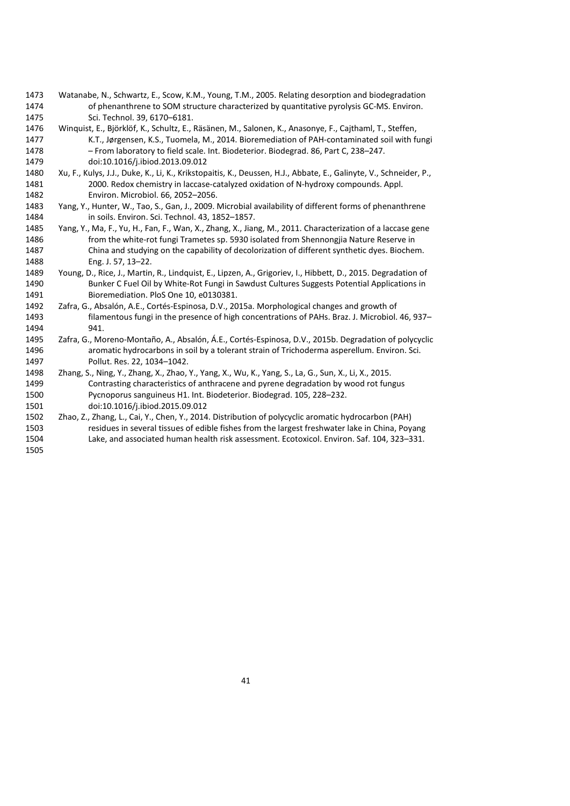- Watanabe, N., Schwartz, E., Scow, K.M., Young, T.M., 2005. Relating desorption and biodegradation 1474 of phenanthrene to SOM structure characterized by quantitative pyrolysis GC-MS. Environ. Sci. Technol. 39, 6170–6181.
- Winquist, E., Björklöf, K., Schultz, E., Räsänen, M., Salonen, K., Anasonye, F., Cajthaml, T., Steffen, K.T., Jørgensen, K.S., Tuomela, M., 2014. Bioremediation of PAH-contaminated soil with fungi – From laboratory to field scale. Int. Biodeterior. Biodegrad. 86, Part C, 238–247. doi:10.1016/j.ibiod.2013.09.012
- Xu, F., Kulys, J.J., Duke, K., Li, K., Krikstopaitis, K., Deussen, H.J., Abbate, E., Galinyte, V., Schneider, P., 2000. Redox chemistry in laccase-catalyzed oxidation of N-hydroxy compounds. Appl. Environ. Microbiol. 66, 2052–2056.
- Yang, Y., Hunter, W., Tao, S., Gan, J., 2009. Microbial availability of different forms of phenanthrene in soils. Environ. Sci. Technol. 43, 1852–1857.
- Yang, Y., Ma, F., Yu, H., Fan, F., Wan, X., Zhang, X., Jiang, M., 2011. Characterization of a laccase gene from the white-rot fungi Trametes sp. 5930 isolated from Shennongjia Nature Reserve in China and studying on the capability of decolorization of different synthetic dyes. Biochem. Eng. J. 57, 13–22.
- Young, D., Rice, J., Martin, R., Lindquist, E., Lipzen, A., Grigoriev, I., Hibbett, D., 2015. Degradation of Bunker C Fuel Oil by White-Rot Fungi in Sawdust Cultures Suggests Potential Applications in Bioremediation. PloS One 10, e0130381.
- Zafra, G., Absalón, A.E., Cortés-Espinosa, D.V., 2015a. Morphological changes and growth of filamentous fungi in the presence of high concentrations of PAHs. Braz. J. Microbiol. 46, 937– 941.
- Zafra, G., Moreno-Montaño, A., Absalón, Á.E., Cortés-Espinosa, D.V., 2015b. Degradation of polycyclic aromatic hydrocarbons in soil by a tolerant strain of Trichoderma asperellum. Environ. Sci. Pollut. Res. 22, 1034–1042.
- Zhang, S., Ning, Y., Zhang, X., Zhao, Y., Yang, X., Wu, K., Yang, S., La, G., Sun, X., Li, X., 2015. Contrasting characteristics of anthracene and pyrene degradation by wood rot fungus Pycnoporus sanguineus H1. Int. Biodeterior. Biodegrad. 105, 228–232.
- doi:10.1016/j.ibiod.2015.09.012
- Zhao, Z., Zhang, L., Cai, Y., Chen, Y., 2014. Distribution of polycyclic aromatic hydrocarbon (PAH) residues in several tissues of edible fishes from the largest freshwater lake in China, Poyang Lake, and associated human health risk assessment. Ecotoxicol. Environ. Saf. 104, 323–331.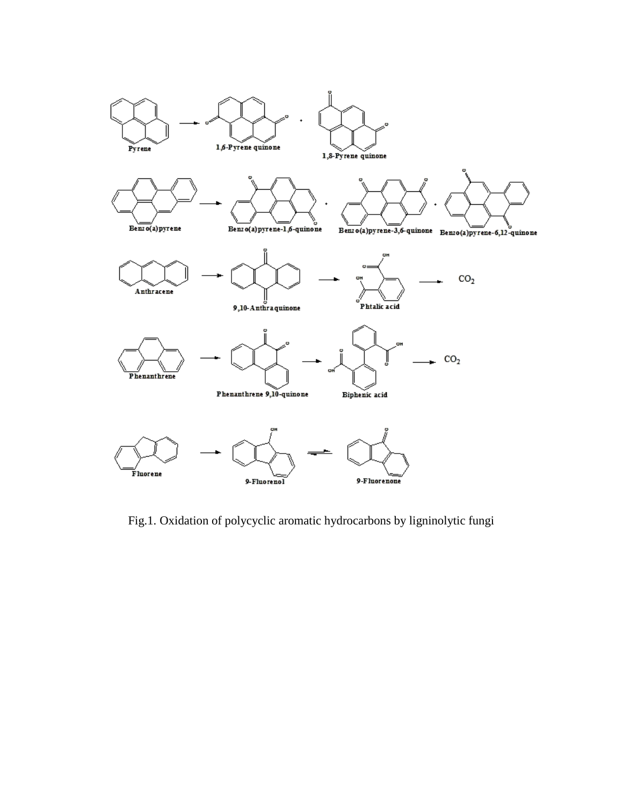

Fig.1. Oxidation of polycyclic aromatic hydrocarbons by ligninolytic fungi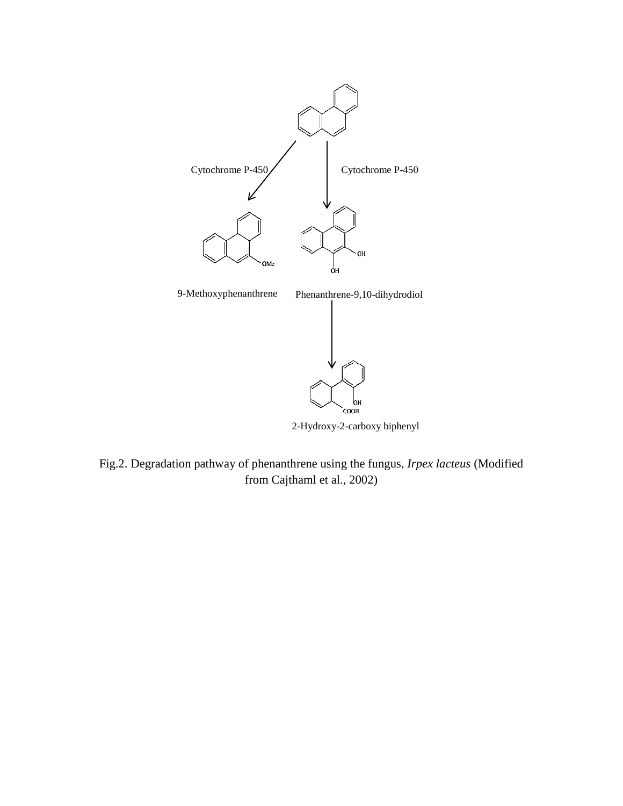

2-Hydroxy-2-carboxy biphenyl

Fig.2. Degradation pathway of phenanthrene using the fungus, *Irpex lacteus* (Modified from Cajthaml et al., 2002)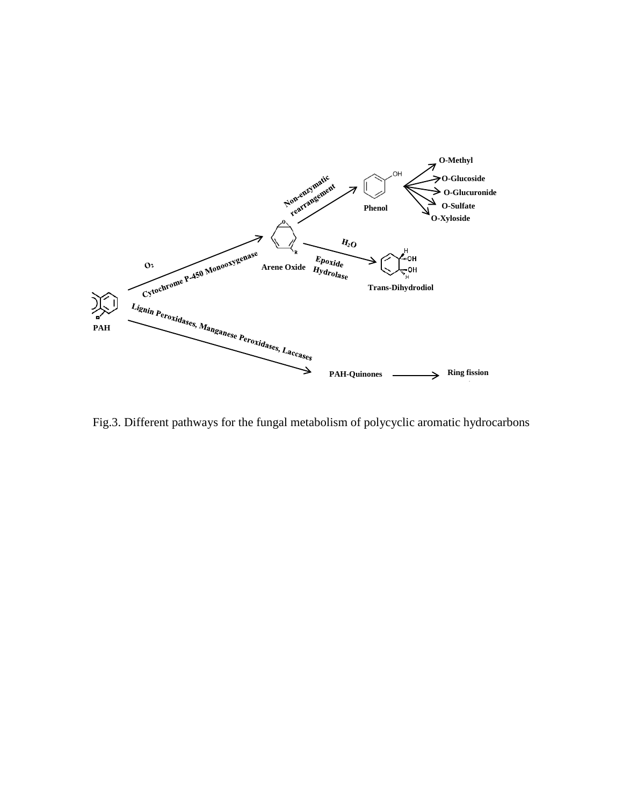

Fig.3. Different pathways for the fungal metabolism of polycyclic aromatic hydrocarbons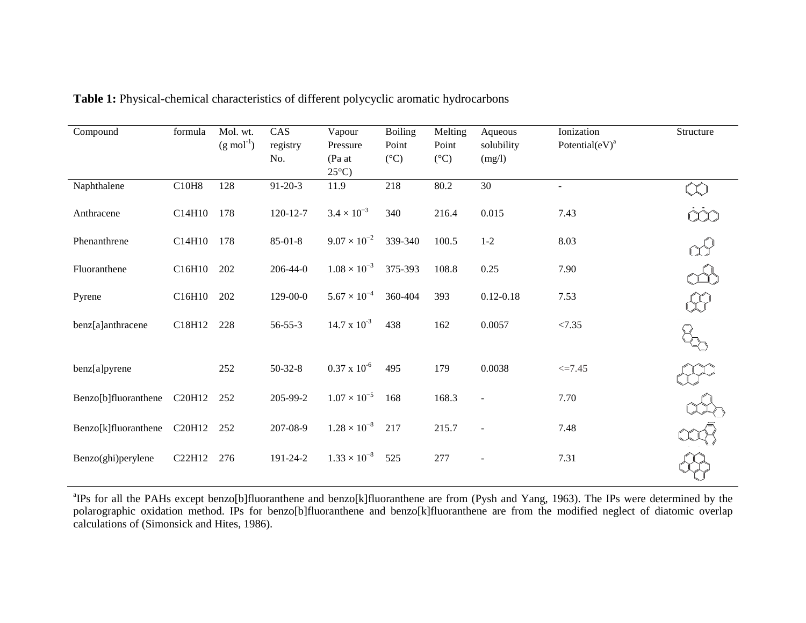| Compound             | formula | Mol. wt.<br>$(g \text{ mol}^{-1})$ | CAS<br>registry<br>No. | Vapour<br>Pressure<br>(Pa at<br>$25^{\circ}$ C) | <b>Boiling</b><br>Point<br>$({}^{\circ}C)$ | Melting<br>Point<br>$({}^{\circ}C)$ | Aqueous<br>solubility<br>(mg/l) | Ionization<br>Potential $(eV)^a$ | Structure |
|----------------------|---------|------------------------------------|------------------------|-------------------------------------------------|--------------------------------------------|-------------------------------------|---------------------------------|----------------------------------|-----------|
| Naphthalene          | C10H8   | 128                                | $91 - 20 - 3$          | 11.9                                            | 218                                        | 80.2                                | 30                              | $\sim$                           |           |
| Anthracene           | C14H10  | 178                                | $120 - 12 - 7$         | $3.4 \times 10^{-3}$                            | 340                                        | 216.4                               | 0.015                           | 7.43                             |           |
| Phenanthrene         | C14H10  | 178                                | $85 - 01 - 8$          | $9.07 \times 10^{-2}$                           | 339-340                                    | 100.5                               | $1 - 2$                         | 8.03                             |           |
| Fluoranthene         | C16H10  | 202                                | $206 - 44 - 0$         | $1.08 \times 10^{-3}$                           | 375-393                                    | 108.8                               | 0.25                            | 7.90                             |           |
| Pyrene               | C16H10  | 202                                | 129-00-0               | $5.67 \times 10^{-4}$                           | 360-404                                    | 393                                 | $0.12 - 0.18$                   | 7.53                             |           |
| benz[a]anthracene    | C18H12  | 228                                | $56 - 55 - 3$          | $14.7 \times 10^{-3}$                           | 438                                        | 162                                 | 0.0057                          | < 7.35                           |           |
| benz[a]pyrene        |         | 252                                | $50-32-8$              | $0.37 \times 10^{-6}$                           | 495                                        | 179                                 | 0.0038                          | $\leq 7.45$                      |           |
| Benzo[b]fluoranthene | C20H12  | 252                                | 205-99-2               | $1.07 \times 10^{-5}$                           | 168                                        | 168.3                               |                                 | 7.70                             |           |
| Benzo[k]fluoranthene | C20H12  | 252                                | 207-08-9               | $1.28 \times 10^{-8}$                           | 217                                        | 215.7                               | $\overline{a}$                  | 7.48                             |           |
| Benzo(ghi)perylene   | C22H12  | 276                                | 191-24-2               | $1.33 \times 10^{-8}$                           | 525                                        | 277                                 |                                 | 7.31                             |           |

**Table 1:** Physical-chemical characteristics of different polycyclic aromatic hydrocarbons

<sup>a</sup>IPs for all the PAHs except benzo[b]fluoranthene and benzo[k]fluoranthene are from (Pysh and Yang, 1963). The IPs were determined by the polarographic oxidation method. IPs for benzo[b]fluoranthene and benzo[k]fluoranthene are from the modified neglect of diatomic overlap calculations of (Simonsick and Hites, 1986).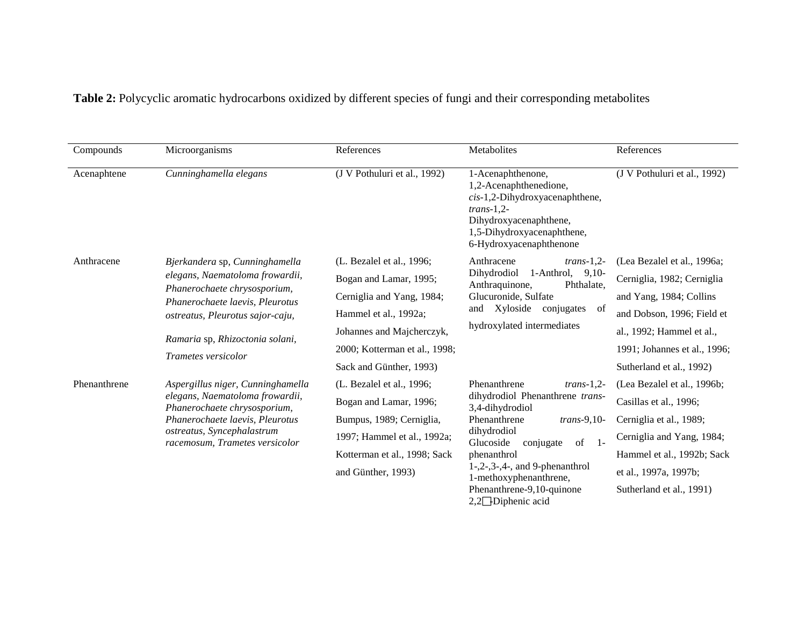**Table 2:** Polycyclic aromatic hydrocarbons oxidized by different species of fungi and their corresponding metabolites

| Compounds    | Microorganisms                                                                                                                                                     | References                    | Metabolites                                                                                                                                                                          | References                   |
|--------------|--------------------------------------------------------------------------------------------------------------------------------------------------------------------|-------------------------------|--------------------------------------------------------------------------------------------------------------------------------------------------------------------------------------|------------------------------|
| Acenaphtene  | Cunninghamella elegans                                                                                                                                             | (J V Pothuluri et al., 1992)  | 1-Acenaphthenone,<br>1,2-Acenaphthenedione,<br>$cis-1$ , 2-Dihydroxyacenaphthene,<br>$trans-1.2-$<br>Dihydroxyacenaphthene,<br>1,5-Dihydroxyacenaphthene,<br>6-Hydroxyacenaphthenone | (J V Pothuluri et al., 1992) |
| Anthracene   | Bjerkandera sp, Cunninghamella                                                                                                                                     | (L. Bezalel et al., 1996;     | Anthracene<br>$trans-1,2-$                                                                                                                                                           | (Lea Bezalel et al., 1996a;  |
|              | elegans, Naematoloma frowardii,                                                                                                                                    | Bogan and Lamar, 1995;        | 1-Anthrol, $9,10$ -<br>Dihydrodiol<br>Anthraquinone,<br>Phthalate,                                                                                                                   | Cerniglia, 1982; Cerniglia   |
|              | Phanerochaete chrysosporium,<br>Phanerochaete laevis, Pleurotus<br>ostreatus, Pleurotus sajor-caju,<br>Ramaria sp, Rhizoctonia solani,<br>Trametes versicolor      | Cerniglia and Yang, 1984;     | Glucuronide, Sulfate<br>Xyloside<br>conjugates<br>of<br>and<br>hydroxylated intermediates                                                                                            | and Yang, 1984; Collins      |
|              |                                                                                                                                                                    | Hammel et al., 1992a;         |                                                                                                                                                                                      | and Dobson, 1996; Field et   |
|              |                                                                                                                                                                    | Johannes and Majcherczyk,     |                                                                                                                                                                                      | al., 1992; Hammel et al.,    |
|              |                                                                                                                                                                    | 2000; Kotterman et al., 1998; |                                                                                                                                                                                      | 1991; Johannes et al., 1996; |
|              |                                                                                                                                                                    | Sack and Günther, 1993)       |                                                                                                                                                                                      | Sutherland et al., 1992)     |
| Phenanthrene | Aspergillus niger, Cunninghamella                                                                                                                                  | (L. Bezalel et al., 1996;     | Phenanthrene<br>$trans-1,2-$                                                                                                                                                         | (Lea Bezalel et al., 1996b;  |
|              | elegans, Naematoloma frowardii,<br>Phanerochaete chrysosporium,<br>Phanerochaete laevis, Pleurotus<br>ostreatus, Syncephalastrum<br>racemosum, Trametes versicolor | Bogan and Lamar, 1996;        | dihydrodiol Phenanthrene trans-<br>3,4-dihydrodiol                                                                                                                                   | Casillas et al., 1996;       |
|              |                                                                                                                                                                    | Bumpus, 1989; Cerniglia,      | Phenanthrene<br>$trans-9,10-$                                                                                                                                                        | Cerniglia et al., 1989;      |
|              |                                                                                                                                                                    | 1997; Hammel et al., 1992a;   | dihydrodiol<br>$of -1$ -<br>Glucoside<br>conjugate<br>phenanthrol<br>$1-,2-,3-,4-,$ and 9-phenanthrol<br>1-methoxyphenanthrene,                                                      | Cerniglia and Yang, 1984;    |
|              |                                                                                                                                                                    | Kotterman et al., 1998; Sack  |                                                                                                                                                                                      | Hammel et al., 1992b; Sack   |
|              |                                                                                                                                                                    | and Günther, 1993)            |                                                                                                                                                                                      | et al., 1997a, 1997b;        |
|              |                                                                                                                                                                    |                               | Phenanthrene-9,10-quinone<br>2,2□Diphenic acid                                                                                                                                       | Sutherland et al., 1991)     |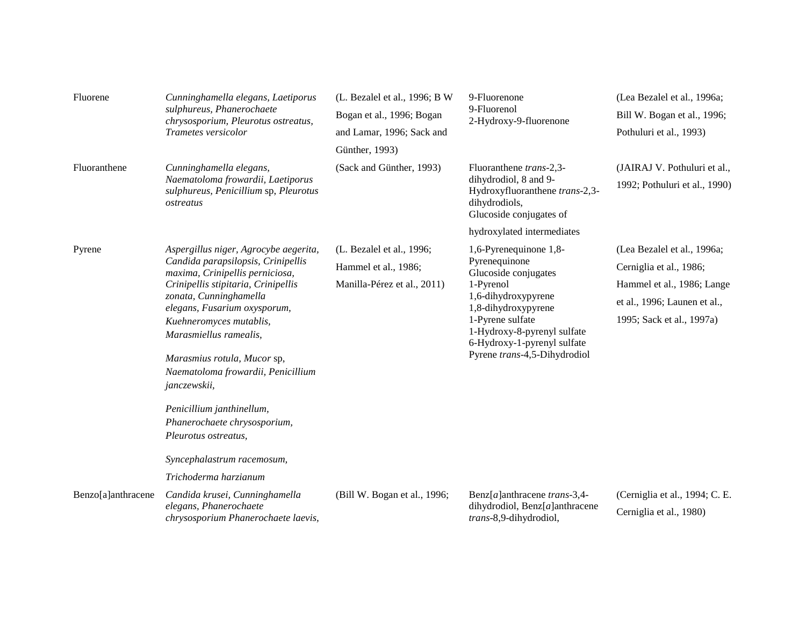| Fluorene           | Cunninghamella elegans, Laetiporus<br>sulphureus, Phanerochaete<br>chrysosporium, Pleurotus ostreatus,<br>Trametes versicolor                                                                                                                                                                                                                                                                                                                                                                         | (L. Bezalel et al., 1996; B W<br>Bogan et al., 1996; Bogan<br>and Lamar, 1996; Sack and<br>Günther, 1993) | 9-Fluorenone<br>9-Fluorenol<br>2-Hydroxy-9-fluorenone                                                                                                                                                                                                                      | (Lea Bezalel et al., 1996a;<br>Bill W. Bogan et al., 1996;<br>Pothuluri et al., 1993)                                                             |
|--------------------|-------------------------------------------------------------------------------------------------------------------------------------------------------------------------------------------------------------------------------------------------------------------------------------------------------------------------------------------------------------------------------------------------------------------------------------------------------------------------------------------------------|-----------------------------------------------------------------------------------------------------------|----------------------------------------------------------------------------------------------------------------------------------------------------------------------------------------------------------------------------------------------------------------------------|---------------------------------------------------------------------------------------------------------------------------------------------------|
| Fluoranthene       | Cunninghamella elegans,<br>Naematoloma frowardii, Laetiporus<br>sulphureus, Penicillium sp, Pleurotus<br>ostreatus                                                                                                                                                                                                                                                                                                                                                                                    | (Sack and Günther, 1993)                                                                                  | Fluoranthene trans-2,3-<br>dihydrodiol, 8 and 9-<br>Hydroxyfluoranthene trans-2,3-<br>dihydrodiols,<br>Glucoside conjugates of                                                                                                                                             | (JAIRAJ V. Pothuluri et al.,<br>1992; Pothuluri et al., 1990)                                                                                     |
| Pyrene             | Aspergillus niger, Agrocybe aegerita,<br>Candida parapsilopsis, Crinipellis<br>maxima, Crinipellis perniciosa,<br>Crinipellis stipitaria, Crinipellis<br>zonata, Cunninghamella<br>elegans, Fusarium oxysporum,<br>Kuehneromyces mutablis,<br>Marasmiellus ramealis,<br>Marasmius rotula, Mucor sp,<br>Naematoloma frowardii, Penicillium<br>janczewskii,<br>Penicillium janthinellum,<br>Phanerochaete chrysosporium,<br>Pleurotus ostreatus,<br>Syncephalastrum racemosum,<br>Trichoderma harzianum | (L. Bezalel et al., 1996;<br>Hammel et al., 1986;<br>Manilla-Pérez et al., 2011)                          | hydroxylated intermediates<br>1,6-Pyrenequinone 1,8-<br>Pyrenequinone<br>Glucoside conjugates<br>1-Pyrenol<br>1,6-dihydroxypyrene<br>1,8-dihydroxypyrene<br>1-Pyrene sulfate<br>1-Hydroxy-8-pyrenyl sulfate<br>6-Hydroxy-1-pyrenyl sulfate<br>Pyrene trans-4,5-Dihydrodiol | (Lea Bezalel et al., 1996a;<br>Cerniglia et al., 1986;<br>Hammel et al., 1986; Lange<br>et al., 1996; Launen et al.,<br>1995; Sack et al., 1997a) |
| Benzo[a]anthracene | Candida krusei, Cunninghamella<br>elegans, Phanerochaete<br>chrysosporium Phanerochaete laevis,                                                                                                                                                                                                                                                                                                                                                                                                       | (Bill W. Bogan et al., 1996;                                                                              | Benz $[a]$ anthracene trans-3,4-<br>dihydrodiol, Benz $[a]$ anthracene<br>trans-8,9-dihydrodiol,                                                                                                                                                                           | (Cerniglia et al., 1994; C. E.<br>Cerniglia et al., 1980)                                                                                         |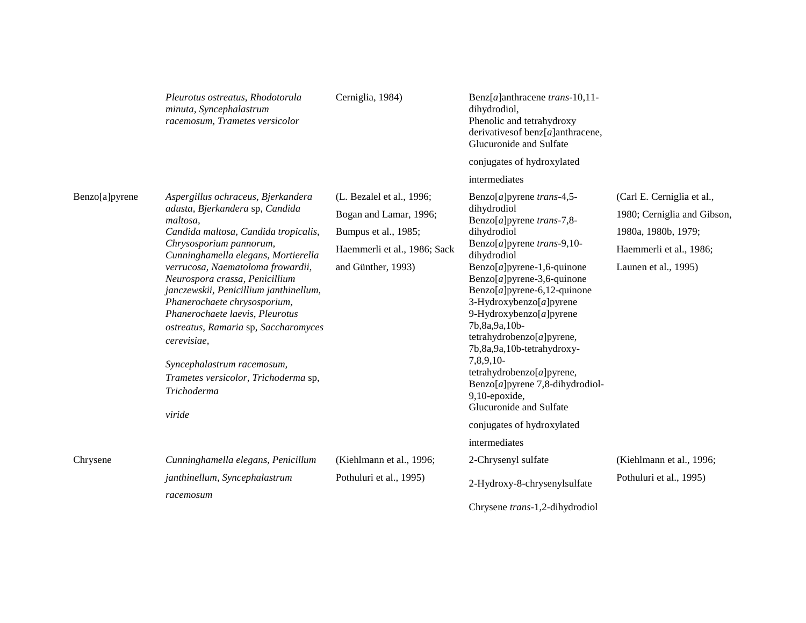|                | Pleurotus ostreatus, Rhodotorula<br>minuta, Syncephalastrum<br>racemosum, Trametes versicolor                                                                                                                                                                                                                                                                                                                                                                                                                                         | Cerniglia, 1984)                                                                                                                  | Benz $[a]$ anthracene trans-10,11-<br>dihydrodiol,<br>Phenolic and tetrahydroxy<br>derivatives of benz $[a]$ anthracene,<br>Glucuronide and Sulfate                                                                                                                                                                                                                                                                                                                                                            |                                                                                                                                     |
|----------------|---------------------------------------------------------------------------------------------------------------------------------------------------------------------------------------------------------------------------------------------------------------------------------------------------------------------------------------------------------------------------------------------------------------------------------------------------------------------------------------------------------------------------------------|-----------------------------------------------------------------------------------------------------------------------------------|----------------------------------------------------------------------------------------------------------------------------------------------------------------------------------------------------------------------------------------------------------------------------------------------------------------------------------------------------------------------------------------------------------------------------------------------------------------------------------------------------------------|-------------------------------------------------------------------------------------------------------------------------------------|
|                |                                                                                                                                                                                                                                                                                                                                                                                                                                                                                                                                       |                                                                                                                                   | conjugates of hydroxylated                                                                                                                                                                                                                                                                                                                                                                                                                                                                                     |                                                                                                                                     |
|                |                                                                                                                                                                                                                                                                                                                                                                                                                                                                                                                                       |                                                                                                                                   | intermediates                                                                                                                                                                                                                                                                                                                                                                                                                                                                                                  |                                                                                                                                     |
| Benzo[a]pyrene | Aspergillus ochraceus, Bjerkandera<br>adusta, Bjerkandera sp, Candida<br>maltosa.<br>Candida maltosa, Candida tropicalis,<br>Chrysosporium pannorum,<br>Cunninghamella elegans, Mortierella<br>verrucosa, Naematoloma frowardii,<br>Neurospora crassa, Penicillium<br>janczewskii, Penicillium janthinellum,<br>Phanerochaete chrysosporium,<br>Phanerochaete laevis, Pleurotus<br>ostreatus, Ramaria sp, Saccharomyces<br>cerevisiae,<br>Syncephalastrum racemosum,<br>Trametes versicolor, Trichoderma sp,<br>Trichoderma<br>viride | (L. Bezalel et al., 1996;<br>Bogan and Lamar, 1996;<br>Bumpus et al., 1985;<br>Haemmerli et al., 1986; Sack<br>and Günther, 1993) | Benzo[a] pyrene trans-4,5-<br>dihydrodiol<br>Benzo[a] pyrene trans-7,8-<br>dihydrodiol<br>Benzo[a] pyrene trans-9,10-<br>dihydrodiol<br>$Benzo[a]pyrene-1,6-quinone$<br>Benzo $[a]$ pyrene-3,6-quinone<br>Benzo $[a]$ pyrene-6,12-quinone<br>3-Hydroxybenzo[a]pyrene<br>9-Hydroxybenzo[a]pyrene<br>7b, 8a, 9a, 10b-<br>tetrahydrobenzo[a]pyrene,<br>7b, 8a, 9a, 10b-tetrahydroxy-<br>7,8,9,10-<br>tetrahydrobenzo[a]pyrene,<br>Benzo $[a]$ pyrene 7,8-dihydrodiol-<br>9,10-epoxide,<br>Glucuronide and Sulfate | (Carl E. Cerniglia et al.,<br>1980; Cerniglia and Gibson,<br>1980a, 1980b, 1979;<br>Haemmerli et al., 1986;<br>Launen et al., 1995) |
|                |                                                                                                                                                                                                                                                                                                                                                                                                                                                                                                                                       |                                                                                                                                   | conjugates of hydroxylated                                                                                                                                                                                                                                                                                                                                                                                                                                                                                     |                                                                                                                                     |
|                |                                                                                                                                                                                                                                                                                                                                                                                                                                                                                                                                       |                                                                                                                                   | intermediates                                                                                                                                                                                                                                                                                                                                                                                                                                                                                                  |                                                                                                                                     |
| Chrysene       | Cunninghamella elegans, Penicillum                                                                                                                                                                                                                                                                                                                                                                                                                                                                                                    | (Kiehlmann et al., 1996;                                                                                                          | 2-Chrysenyl sulfate                                                                                                                                                                                                                                                                                                                                                                                                                                                                                            | (Kiehlmann et al., 1996;                                                                                                            |
|                | janthinellum, Syncephalastrum<br>racemosum                                                                                                                                                                                                                                                                                                                                                                                                                                                                                            | Pothuluri et al., 1995)                                                                                                           | 2-Hydroxy-8-chrysenylsulfate                                                                                                                                                                                                                                                                                                                                                                                                                                                                                   | Pothuluri et al., 1995)                                                                                                             |
|                |                                                                                                                                                                                                                                                                                                                                                                                                                                                                                                                                       |                                                                                                                                   | Chrysene trans-1,2-dihydrodiol                                                                                                                                                                                                                                                                                                                                                                                                                                                                                 |                                                                                                                                     |
|                |                                                                                                                                                                                                                                                                                                                                                                                                                                                                                                                                       |                                                                                                                                   |                                                                                                                                                                                                                                                                                                                                                                                                                                                                                                                |                                                                                                                                     |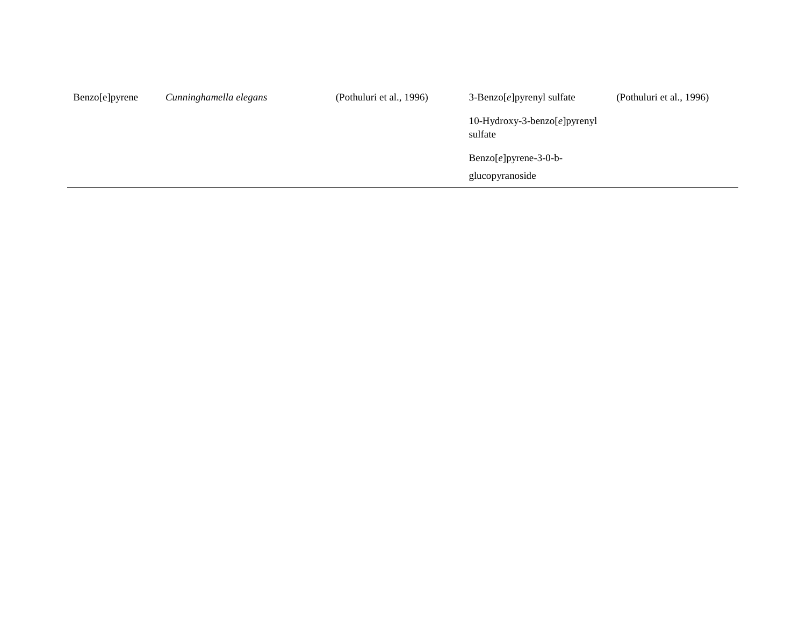| Benzo[e]pyrene | Cunninghamella elegans | (Pothuluri et al., 1996) | $3$ -Benzo[e]pyrenyl sulfate                       | (Pothuluri et al., 1996) |
|----------------|------------------------|--------------------------|----------------------------------------------------|--------------------------|
|                |                        |                          | 10-Hydroxy-3-benzo $[e]$ pyrenyl<br>sulfate        |                          |
|                |                        |                          | $\text{Benzo}[e]$ pyrene-3-0-b-<br>glucopyranoside |                          |
|                |                        |                          |                                                    |                          |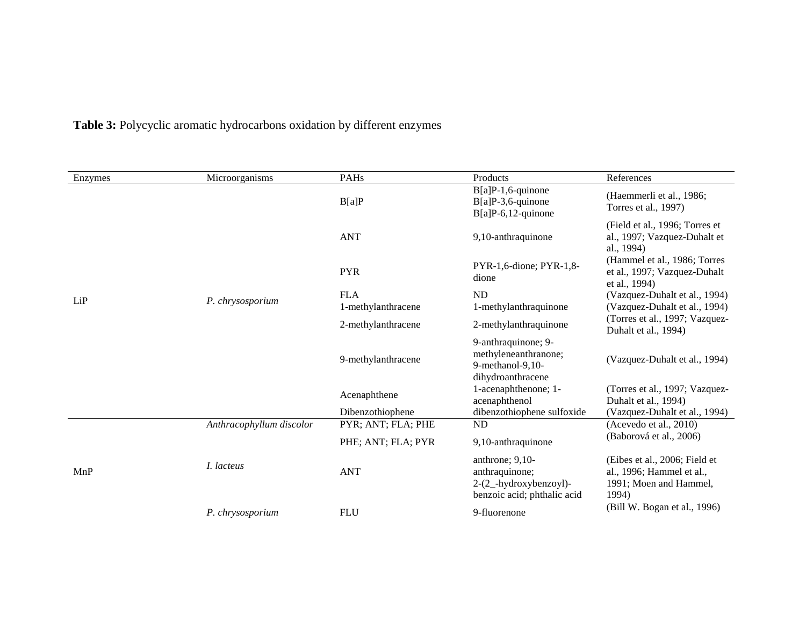|  |  | Table 3: Polycyclic aromatic hydrocarbons oxidation by different enzymes |  |  |
|--|--|--------------------------------------------------------------------------|--|--|
|--|--|--------------------------------------------------------------------------|--|--|

| Microorganisms           | PAHs               | Products                                                                                     | References                                                                                    |
|--------------------------|--------------------|----------------------------------------------------------------------------------------------|-----------------------------------------------------------------------------------------------|
|                          | B[a]P              | $B[a]P-1,6$ -quinone<br>$B[a]P-3,6$ -quinone                                                 | (Haemmerli et al., 1986;<br>Torres et al., 1997)                                              |
|                          | <b>ANT</b>         | 9,10-anthraquinone                                                                           | (Field et al., 1996; Torres et<br>al., 1997; Vazquez-Duhalt et<br>al., 1994)                  |
|                          | <b>PYR</b>         | PYR-1,6-dione; PYR-1,8-<br>dione                                                             | (Hammel et al., 1986; Torres<br>et al., 1997; Vazquez-Duhalt<br>et al., 1994)                 |
|                          | <b>FLA</b>         | <b>ND</b>                                                                                    | (Vazquez-Duhalt et al., 1994)                                                                 |
|                          | 1-methylanthracene | 1-methylanthraquinone                                                                        | (Vazquez-Duhalt et al., 1994)                                                                 |
|                          | 2-methylanthracene | 2-methylanthraquinone                                                                        | (Torres et al., 1997; Vazquez-<br>Duhalt et al., 1994)                                        |
|                          | 9-methylanthracene | 9-anthraquinone; 9-<br>methyleneanthranone;<br>9-methanol-9,10-<br>dihydroanthracene         | (Vazquez-Duhalt et al., 1994)                                                                 |
|                          | Acenaphthene       | 1-acenaphthenone; 1-                                                                         | (Torres et al., 1997; Vazquez-<br>Duhalt et al., 1994)                                        |
|                          | Dibenzothiophene   |                                                                                              | (Vazquez-Duhalt et al., 1994)                                                                 |
| Anthracophyllum discolor | PYR; ANT; FLA; PHE | <b>ND</b>                                                                                    | (Acevedo et al., 2010)                                                                        |
|                          | PHE; ANT; FLA; PYR | 9,10-anthraquinone                                                                           | (Baborová et al., 2006)                                                                       |
| I. lacteus               | <b>ANT</b>         | anthrone; $9,10-$<br>anthraquinone;<br>2-(2_-hydroxybenzoyl)-<br>benzoic acid; phthalic acid | (Eibes et al., 2006; Field et<br>al., 1996; Hammel et al.,<br>1991; Moen and Hammel,<br>1994) |
| P. chrysosporium         |                    |                                                                                              | (Bill W. Bogan et al., 1996)                                                                  |
|                          | P. chrysosporium   |                                                                                              | $B[a]P-6, 12$ -quinone<br>acenaphthenol<br>dibenzothiophene sulfoxide                         |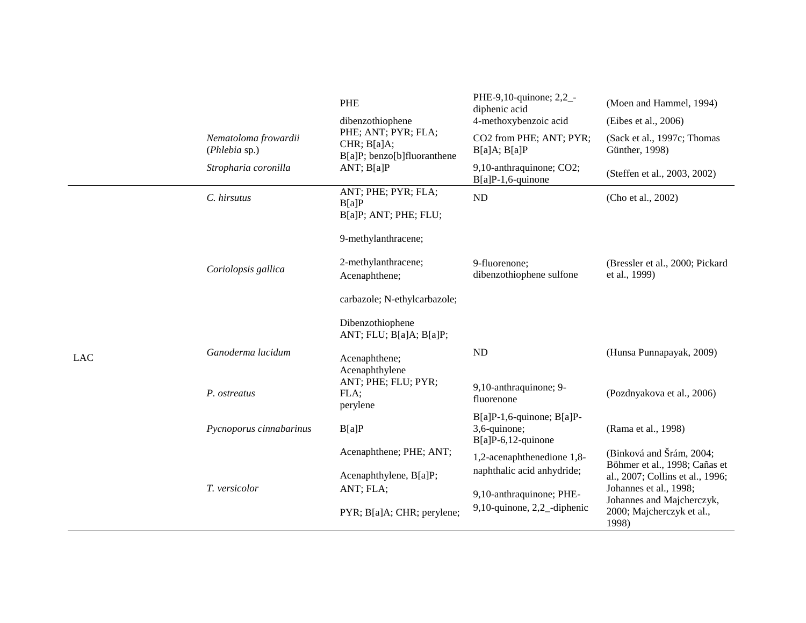|            |                                       | PHE                                                               | PHE-9,10-quinone; 2,2_-<br>diphenic acid                                 | (Moen and Hammel, 1994)                                           |
|------------|---------------------------------------|-------------------------------------------------------------------|--------------------------------------------------------------------------|-------------------------------------------------------------------|
|            |                                       | dibenzothiophene                                                  | 4-methoxybenzoic acid                                                    | (Eibes et al., 2006)                                              |
|            | Nematoloma frowardii<br>(Phlebia sp.) | PHE; ANT; PYR; FLA;<br>CHR; B[a]A;<br>B[a]P; benzo[b]fluoranthene | CO2 from PHE; ANT; PYR;<br>B[a]A; B[a]P                                  | (Sack et al., 1997c; Thomas<br>Günther, 1998)                     |
|            | Stropharia coronilla                  | ANT; $B[a]P$                                                      | 9,10-anthraquinone; CO2;<br>$B[a]P-1,6$ -quinone                         | (Steffen et al., 2003, 2002)                                      |
|            | C. hirsutus                           | ANT; PHE; PYR; FLA;<br>B[a]P<br>B[a]P; ANT; PHE; FLU;             | ND                                                                       | (Cho et al., 2002)                                                |
|            |                                       | 9-methylanthracene;                                               |                                                                          |                                                                   |
|            | Coriolopsis gallica                   | 2-methylanthracene;<br>Acenaphthene;                              | 9-fluorenone;<br>dibenzothiophene sulfone                                | (Bressler et al., 2000; Pickard<br>et al., 1999)                  |
|            |                                       | carbazole; N-ethylcarbazole;                                      |                                                                          |                                                                   |
|            |                                       | Dibenzothiophene<br>ANT; FLU; B[a]A; B[a]P;                       |                                                                          |                                                                   |
| <b>LAC</b> | Ganoderma lucidum                     | Acenaphthene;<br>Acenaphthylene                                   | ND                                                                       | (Hunsa Punnapayak, 2009)                                          |
|            | P. ostreatus                          | ANT; PHE; FLU; PYR;<br>FLA;<br>perylene                           | 9,10-anthraquinone; 9-<br>fluorenone                                     | (Pozdnyakova et al., 2006)                                        |
|            | Pycnoporus cinnabarinus               | B[a]P                                                             | $B[a]P-1,6$ -quinone; $B[a]P-$<br>3,6-quinone;<br>$B[a]P-6, 12$ -quinone | (Rama et al., 1998)                                               |
|            |                                       | Acenaphthene; PHE; ANT;                                           | 1,2-acenaphthenedione 1,8-                                               | (Binková and Šrám, 2004;                                          |
|            |                                       | Acenaphthylene, B[a]P;                                            | naphthalic acid anhydride;                                               | Böhmer et al., 1998; Cañas et<br>al., 2007; Collins et al., 1996; |
|            | T. versicolor                         | ANT; FLA;                                                         | 9,10-anthraquinone; PHE-                                                 | Johannes et al., 1998;                                            |
|            |                                       | PYR; B[a]A; CHR; perylene;                                        | 9,10-quinone, 2,2_-diphenic                                              | Johannes and Majcherczyk,<br>2000; Majcherczyk et al.,<br>1998)   |